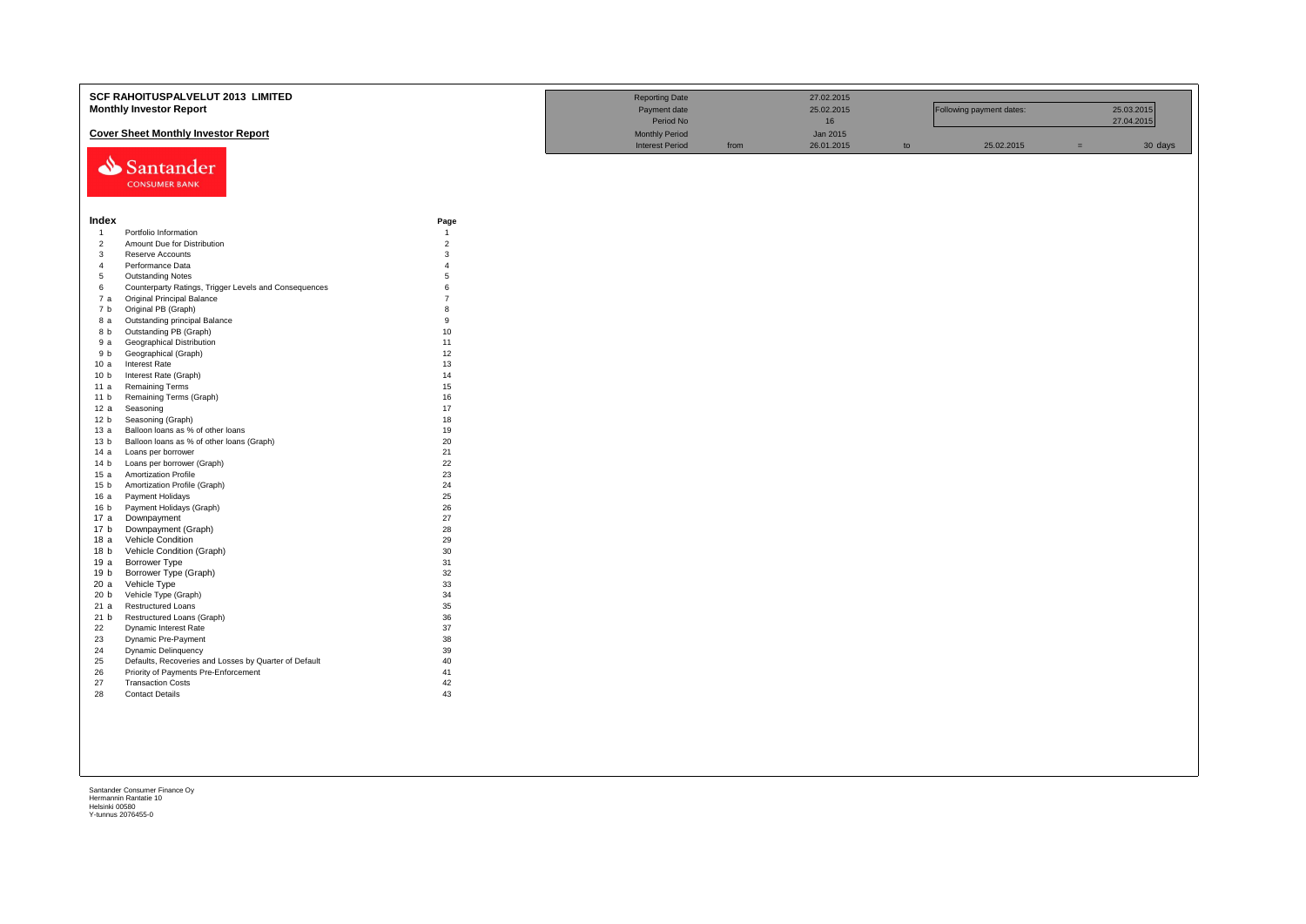|                                | <b>SCF RAHOITUSPALVELUT 2013 LIMITED</b><br><b>Monthly Investor Report</b> | <b>Reporting Date</b><br>Payment date<br>Period No |                        | 27.02.2015<br>25.02.2015<br>16 |            | Following payment dates: |            | 25.03.2015<br>27.04.2015 |         |
|--------------------------------|----------------------------------------------------------------------------|----------------------------------------------------|------------------------|--------------------------------|------------|--------------------------|------------|--------------------------|---------|
|                                | <b>Cover Sheet Monthly Investor Report</b>                                 |                                                    | <b>Monthly Period</b>  |                                | Jan 2015   |                          |            |                          |         |
|                                | Santander<br><b>CONSUMER BANK</b>                                          |                                                    | <b>Interest Period</b> | from                           | 26.01.2015 | to                       | 25.02.2015 | $=$                      | 30 days |
| Index                          |                                                                            | Page                                               |                        |                                |            |                          |            |                          |         |
| $\overline{1}$                 | Portfolio Information<br>Amount Due for Distribution                       | $\overline{1}$                                     |                        |                                |            |                          |            |                          |         |
| $\overline{2}$<br>$\mathbf{3}$ | Reserve Accounts                                                           | $\overline{2}$<br>3                                |                        |                                |            |                          |            |                          |         |
| $\overline{4}$                 | Performance Data                                                           | $\boldsymbol{\Delta}$                              |                        |                                |            |                          |            |                          |         |
| 5                              | <b>Outstanding Notes</b>                                                   | 5                                                  |                        |                                |            |                          |            |                          |         |
| 6                              | Counterparty Ratings, Trigger Levels and Consequences                      | $\mathbf{6}$                                       |                        |                                |            |                          |            |                          |         |
| 7 а                            | <b>Original Principal Balance</b>                                          | $\overline{7}$                                     |                        |                                |            |                          |            |                          |         |
| 7 b                            | Original PB (Graph)                                                        | $\mathbf{R}$                                       |                        |                                |            |                          |            |                          |         |
| 8 a                            | Outstanding principal Balance                                              | $\mathbf{q}$                                       |                        |                                |            |                          |            |                          |         |
| 8 b                            | Outstanding PB (Graph)                                                     | 10                                                 |                        |                                |            |                          |            |                          |         |
| 9а                             | Geographical Distribution                                                  | 11                                                 |                        |                                |            |                          |            |                          |         |
| 9 b                            | Geographical (Graph)                                                       | 12                                                 |                        |                                |            |                          |            |                          |         |
| 10a                            | Interest Rate                                                              | 13                                                 |                        |                                |            |                          |            |                          |         |
| 10 <sub>b</sub>                | Interest Rate (Graph)                                                      | 14                                                 |                        |                                |            |                          |            |                          |         |
| 11 a                           | <b>Remaining Terms</b>                                                     | 15                                                 |                        |                                |            |                          |            |                          |         |
| 11 <sub>b</sub>                | Remaining Terms (Graph)                                                    | 16                                                 |                        |                                |            |                          |            |                          |         |
| 12 a                           | Seasoning                                                                  | 17                                                 |                        |                                |            |                          |            |                          |         |
| 12 <sub>b</sub>                | Seasoning (Graph)                                                          | 18                                                 |                        |                                |            |                          |            |                          |         |
| 13a                            | Balloon loans as % of other loans                                          | 19                                                 |                        |                                |            |                          |            |                          |         |
| 13 <sub>b</sub>                | Balloon loans as % of other loans (Graph)                                  | 20                                                 |                        |                                |            |                          |            |                          |         |
| 14 a                           | Loans per borrower                                                         | 21<br>22                                           |                        |                                |            |                          |            |                          |         |
| 14 b<br>15a                    | Loans per borrower (Graph)<br><b>Amortization Profile</b>                  | 23                                                 |                        |                                |            |                          |            |                          |         |
| 15 <sub>b</sub>                | Amortization Profile (Graph)                                               | 24                                                 |                        |                                |            |                          |            |                          |         |
| 16 a                           | Payment Holidays                                                           | 25                                                 |                        |                                |            |                          |            |                          |         |
| 16 b                           | Payment Holidays (Graph)                                                   | 26                                                 |                        |                                |            |                          |            |                          |         |
| 17 a                           | Downpayment                                                                | 27                                                 |                        |                                |            |                          |            |                          |         |
| 17 b                           | Downpayment (Graph)                                                        | 28                                                 |                        |                                |            |                          |            |                          |         |
| 18 a                           | Vehicle Condition                                                          | 29                                                 |                        |                                |            |                          |            |                          |         |
| 18 b                           | Vehicle Condition (Graph)                                                  | 30                                                 |                        |                                |            |                          |            |                          |         |
| 19 a                           | Borrower Type                                                              | 31                                                 |                        |                                |            |                          |            |                          |         |
| 19 b                           | Borrower Type (Graph)                                                      | 32                                                 |                        |                                |            |                          |            |                          |         |
| 20a                            | Vehicle Type                                                               | 33                                                 |                        |                                |            |                          |            |                          |         |
| 20 <sub>b</sub>                | Vehicle Type (Graph)                                                       | 34                                                 |                        |                                |            |                          |            |                          |         |
| 21 a                           | Restructured Loans                                                         | 35<br>36                                           |                        |                                |            |                          |            |                          |         |
| 21 b<br>22                     | Restructured Loans (Graph)<br>Dynamic Interest Rate                        | 37                                                 |                        |                                |            |                          |            |                          |         |
| 23                             | Dynamic Pre-Payment                                                        | 38                                                 |                        |                                |            |                          |            |                          |         |
| 24                             | Dynamic Delinquency                                                        | 39                                                 |                        |                                |            |                          |            |                          |         |
| 25                             | Defaults, Recoveries and Losses by Quarter of Default                      | 40                                                 |                        |                                |            |                          |            |                          |         |
| 26                             | Priority of Payments Pre-Enforcement                                       | 41                                                 |                        |                                |            |                          |            |                          |         |
| 27                             | <b>Transaction Costs</b>                                                   | 42                                                 |                        |                                |            |                          |            |                          |         |
| 28                             | <b>Contact Details</b>                                                     | 43                                                 |                        |                                |            |                          |            |                          |         |
|                                |                                                                            |                                                    |                        |                                |            |                          |            |                          |         |
|                                |                                                                            |                                                    |                        |                                |            |                          |            |                          |         |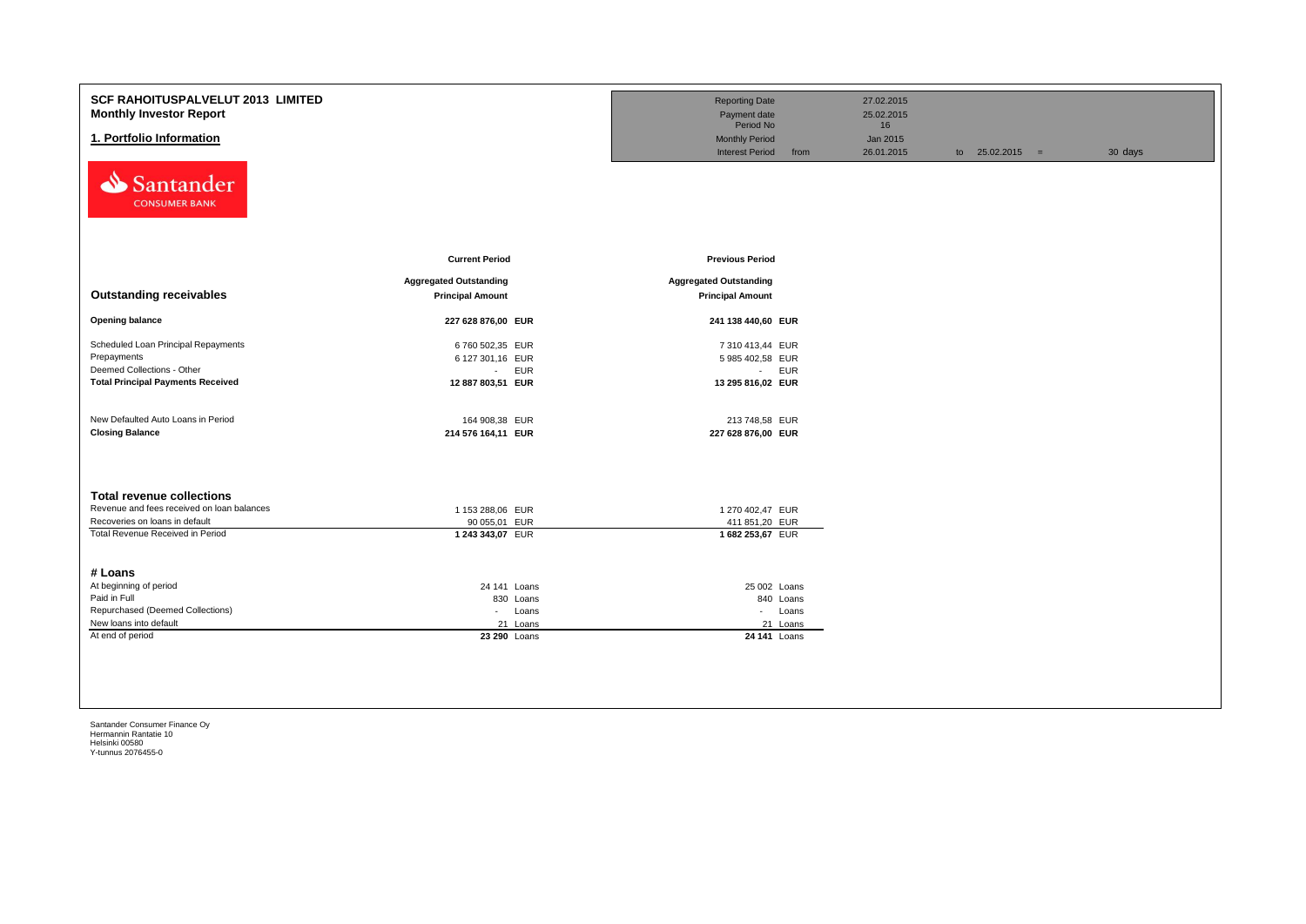| SCF RAHOITUSPALVELUT 2013 LIMITED<br><b>Monthly Investor Report</b><br>1. Portfolio Information |                                                          | <b>Reporting Date</b><br>Payment date<br>Period No<br><b>Monthly Period</b><br><b>Interest Period</b><br>from | 27.02.2015<br>25.02.2015<br>16<br>Jan 2015<br>26.01.2015 | to $25.02.2015 =$ | 30 days |
|-------------------------------------------------------------------------------------------------|----------------------------------------------------------|---------------------------------------------------------------------------------------------------------------|----------------------------------------------------------|-------------------|---------|
| Santander<br><b>CONSUMER BANK</b>                                                               | <b>Current Period</b>                                    | <b>Previous Period</b>                                                                                        |                                                          |                   |         |
|                                                                                                 |                                                          |                                                                                                               |                                                          |                   |         |
| <b>Outstanding receivables</b>                                                                  | <b>Aggregated Outstanding</b><br><b>Principal Amount</b> | <b>Aggregated Outstanding</b><br><b>Principal Amount</b>                                                      |                                                          |                   |         |
| <b>Opening balance</b>                                                                          | 227 628 876,00 EUR                                       | 241 138 440,60 EUR                                                                                            |                                                          |                   |         |
| Scheduled Loan Principal Repayments                                                             | 6 760 502,35 EUR                                         | 7 310 413,44 EUR                                                                                              |                                                          |                   |         |
| Prepayments                                                                                     | 6 127 301,16 EUR                                         | 5 985 402,58 EUR                                                                                              |                                                          |                   |         |
| Deemed Collections - Other                                                                      | <b>EUR</b><br>$\sim 10$                                  | - EUR                                                                                                         |                                                          |                   |         |
| <b>Total Principal Payments Received</b>                                                        | 12 887 803,51 EUR                                        | 13 295 816,02 EUR                                                                                             |                                                          |                   |         |
| New Defaulted Auto Loans in Period                                                              | 164 908,38 EUR                                           | 213 748,58 EUR                                                                                                |                                                          |                   |         |
| <b>Closing Balance</b>                                                                          | 214 576 164,11 EUR                                       | 227 628 876,00 EUR                                                                                            |                                                          |                   |         |
| <b>Total revenue collections</b>                                                                |                                                          |                                                                                                               |                                                          |                   |         |
| Revenue and fees received on loan balances                                                      | 1 153 288,06 EUR                                         | 1 270 402,47 EUR                                                                                              |                                                          |                   |         |
| Recoveries on loans in default                                                                  | 90 055,01 EUR                                            | 411 851,20 EUR                                                                                                |                                                          |                   |         |
| Total Revenue Received in Period<br># Loans                                                     | 1 243 343,07 EUR                                         | 1682 253,67 EUR                                                                                               |                                                          |                   |         |
| At beginning of period                                                                          | 24 141 Loans                                             | 25 002 Loans                                                                                                  |                                                          |                   |         |
| Paid in Full                                                                                    | 830 Loans                                                | 840 Loans                                                                                                     |                                                          |                   |         |
| Repurchased (Deemed Collections)                                                                | Loans<br>$\sim$                                          | - Loans                                                                                                       |                                                          |                   |         |
| New loans into default                                                                          | 21 Loans                                                 | 21 Loans                                                                                                      |                                                          |                   |         |
| At end of period                                                                                | 23 290 Loans                                             | 24 141 Loans                                                                                                  |                                                          |                   |         |
|                                                                                                 |                                                          |                                                                                                               |                                                          |                   |         |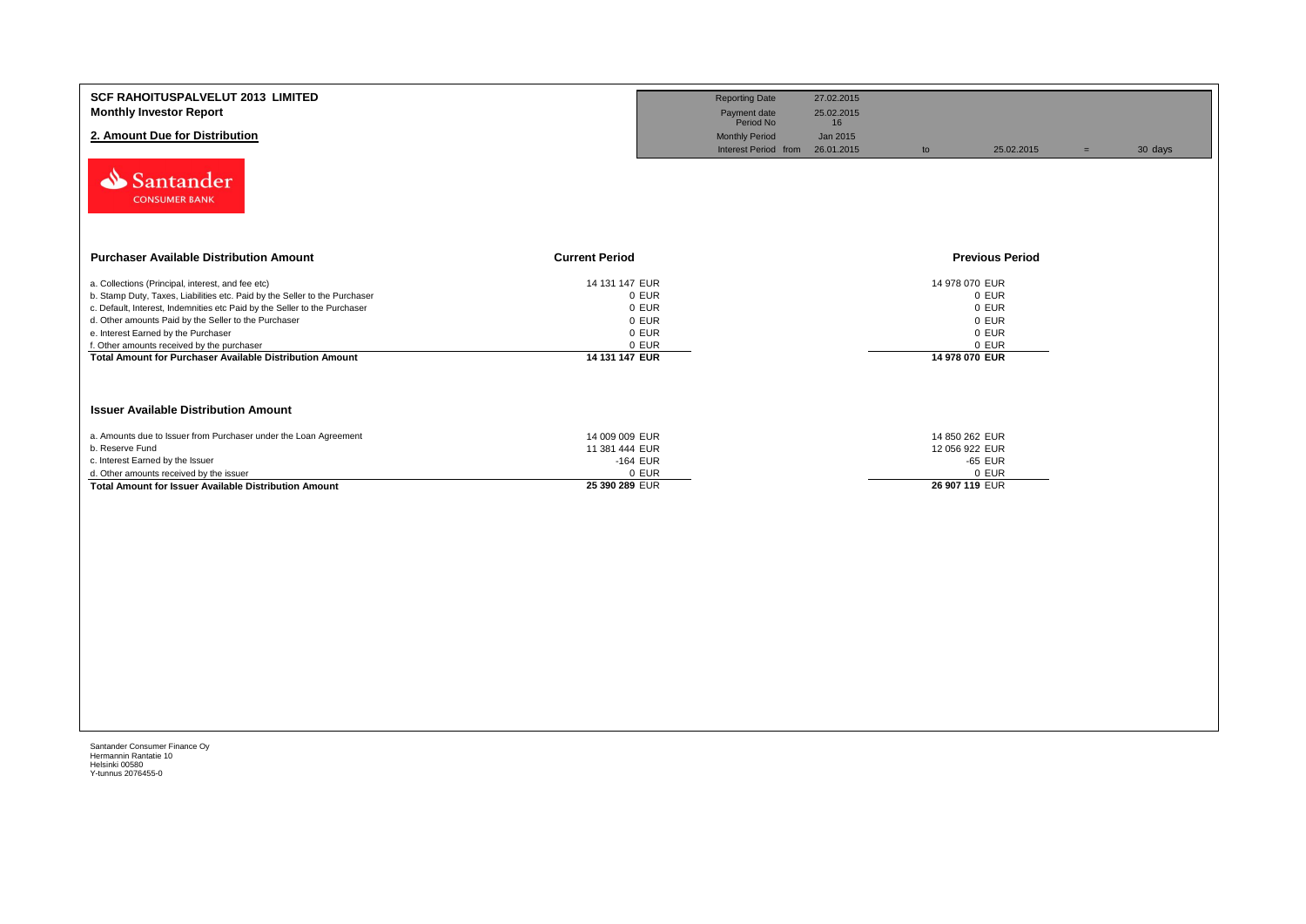| <b>SCF RAHOITUSPALVELUT 2013 LIMITED</b><br><b>Monthly Investor Report</b><br>2. Amount Due for Distribution<br>Santander<br><b>CONSUMER BANK</b>                                                                                                                                                                                                                                                                            |                                                                               | <b>Reporting Date</b><br>Payment date<br>Period No<br><b>Monthly Period</b><br>Interest Period from | 27.02.2015<br>25.02.2015<br>16<br>Jan 2015<br>26.01.2015 | to                                                 | 25.02.2015                                | $=$ | 30 days |
|------------------------------------------------------------------------------------------------------------------------------------------------------------------------------------------------------------------------------------------------------------------------------------------------------------------------------------------------------------------------------------------------------------------------------|-------------------------------------------------------------------------------|-----------------------------------------------------------------------------------------------------|----------------------------------------------------------|----------------------------------------------------|-------------------------------------------|-----|---------|
| <b>Purchaser Available Distribution Amount</b>                                                                                                                                                                                                                                                                                                                                                                               | <b>Current Period</b>                                                         |                                                                                                     |                                                          |                                                    | <b>Previous Period</b>                    |     |         |
| a. Collections (Principal, interest, and fee etc)<br>b. Stamp Duty, Taxes, Liabilities etc. Paid by the Seller to the Purchaser<br>c. Default, Interest, Indemnities etc Paid by the Seller to the Purchaser<br>d. Other amounts Paid by the Seller to the Purchaser<br>e. Interest Earned by the Purchaser<br>f. Other amounts received by the purchaser<br><b>Total Amount for Purchaser Available Distribution Amount</b> | 14 131 147 EUR<br>0 EUR<br>0 EUR<br>0 EUR<br>0 EUR<br>0 EUR<br>14 131 147 EUR |                                                                                                     |                                                          | 14 978 070 EUR<br>14 978 070 EUR                   | 0 EUR<br>0 EUR<br>0 EUR<br>0 EUR<br>0 EUR |     |         |
| <b>Issuer Available Distribution Amount</b>                                                                                                                                                                                                                                                                                                                                                                                  |                                                                               |                                                                                                     |                                                          |                                                    |                                           |     |         |
| a. Amounts due to Issuer from Purchaser under the Loan Agreement<br>b. Reserve Fund<br>c. Interest Earned by the Issuer<br>d. Other amounts received by the issuer<br><b>Total Amount for Issuer Available Distribution Amount</b>                                                                                                                                                                                           | 14 009 009 EUR<br>11 381 444 EUR<br>-164 EUR<br>0 EUR<br>25 390 289 EUR       |                                                                                                     |                                                          | 14 850 262 EUR<br>12 056 922 EUR<br>26 907 119 EUR | -65 EUR<br>0 EUR                          |     |         |
|                                                                                                                                                                                                                                                                                                                                                                                                                              |                                                                               |                                                                                                     |                                                          |                                                    |                                           |     |         |
|                                                                                                                                                                                                                                                                                                                                                                                                                              |                                                                               |                                                                                                     |                                                          |                                                    |                                           |     |         |
|                                                                                                                                                                                                                                                                                                                                                                                                                              |                                                                               |                                                                                                     |                                                          |                                                    |                                           |     |         |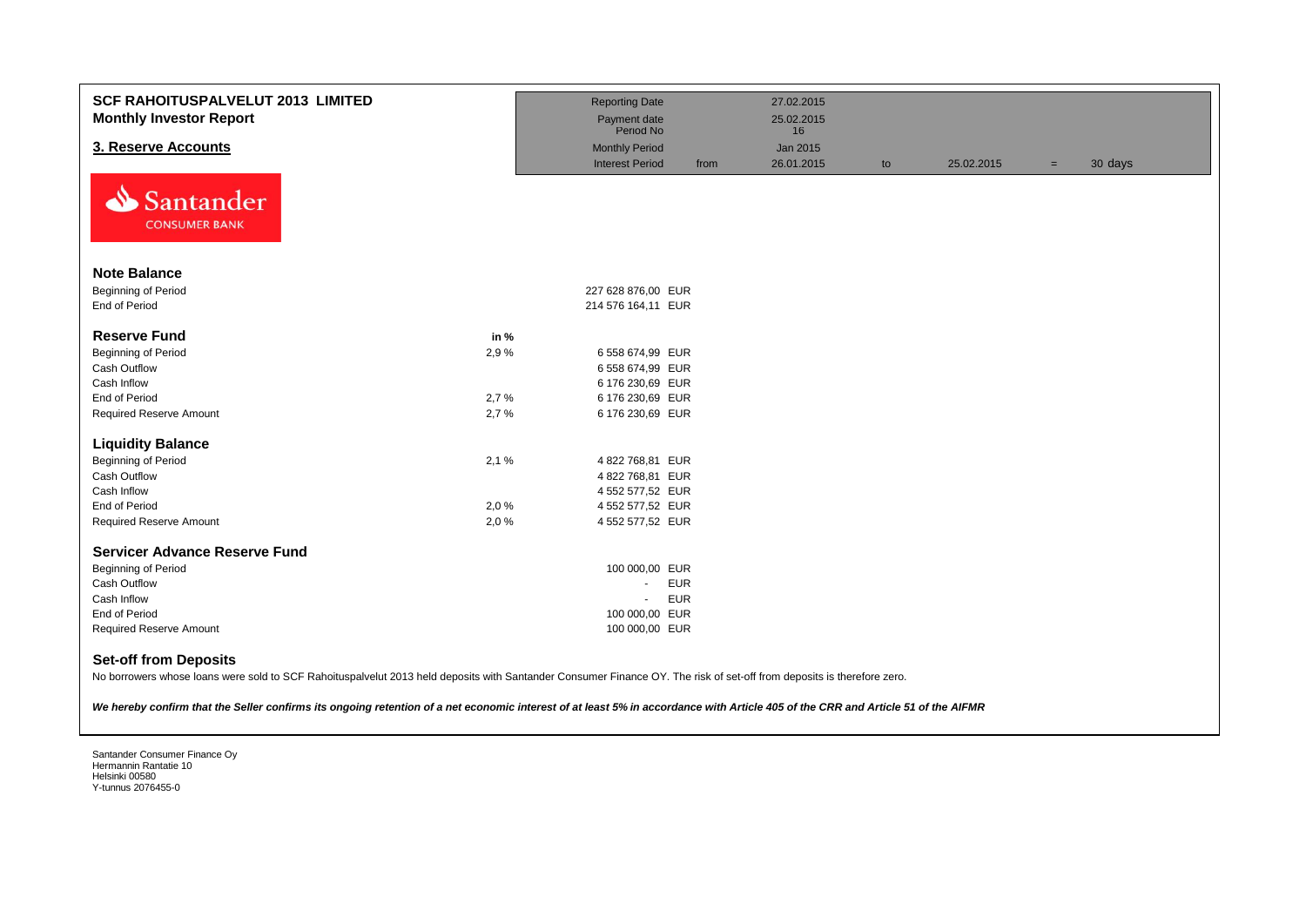| <b>SCF RAHOITUSPALVELUT 2013 LIMITED</b><br><b>Monthly Investor Report</b> |      | <b>Reporting Date</b><br>Payment date           |            | 27.02.2015<br>25.02.2015 |    |            |     |         |
|----------------------------------------------------------------------------|------|-------------------------------------------------|------------|--------------------------|----|------------|-----|---------|
|                                                                            |      | Period No                                       |            | 16                       |    |            |     |         |
| 3. Reserve Accounts                                                        |      | <b>Monthly Period</b><br><b>Interest Period</b> | from       | Jan 2015<br>26.01.2015   |    | 25.02.2015 |     | 30 days |
| N<br>Santander<br><b>CONSUMER BANK</b>                                     |      |                                                 |            |                          | to |            | $=$ |         |
| <b>Note Balance</b>                                                        |      |                                                 |            |                          |    |            |     |         |
| <b>Beginning of Period</b>                                                 |      | 227 628 876,00 EUR                              |            |                          |    |            |     |         |
| End of Period                                                              |      | 214 576 164,11 EUR                              |            |                          |    |            |     |         |
|                                                                            |      |                                                 |            |                          |    |            |     |         |
| <b>Reserve Fund</b>                                                        | in % |                                                 |            |                          |    |            |     |         |
| <b>Beginning of Period</b>                                                 | 2,9% | 6 558 674,99 EUR                                |            |                          |    |            |     |         |
| Cash Outflow                                                               |      | 6 558 674,99 EUR                                |            |                          |    |            |     |         |
| Cash Inflow                                                                |      | 6 176 230,69 EUR                                |            |                          |    |            |     |         |
| End of Period                                                              | 2,7% | 6 176 230,69 EUR                                |            |                          |    |            |     |         |
| <b>Required Reserve Amount</b>                                             | 2,7% | 6 176 230,69 EUR                                |            |                          |    |            |     |         |
| <b>Liquidity Balance</b>                                                   |      |                                                 |            |                          |    |            |     |         |
| <b>Beginning of Period</b>                                                 | 2,1% | 4 822 768,81 EUR                                |            |                          |    |            |     |         |
| Cash Outflow                                                               |      | 4822768,81 EUR                                  |            |                          |    |            |     |         |
| Cash Inflow                                                                |      | 4 552 577,52 EUR                                |            |                          |    |            |     |         |
| End of Period                                                              | 2,0% | 4 552 577,52 EUR                                |            |                          |    |            |     |         |
| <b>Required Reserve Amount</b>                                             | 2,0% | 4 552 577,52 EUR                                |            |                          |    |            |     |         |
| <b>Servicer Advance Reserve Fund</b>                                       |      |                                                 |            |                          |    |            |     |         |
| <b>Beginning of Period</b>                                                 |      | 100 000,00 EUR                                  |            |                          |    |            |     |         |
| Cash Outflow                                                               |      | $\blacksquare$                                  | <b>EUR</b> |                          |    |            |     |         |
| Cash Inflow                                                                |      | $\blacksquare$                                  | <b>EUR</b> |                          |    |            |     |         |
| End of Period                                                              |      | 100 000,00 EUR                                  |            |                          |    |            |     |         |
| <b>Required Reserve Amount</b>                                             |      | 100 000,00 EUR                                  |            |                          |    |            |     |         |
| <b>Set-off from Deposits</b>                                               |      |                                                 |            |                          |    |            |     |         |

No borrowers whose loans were sold to SCF Rahoituspalvelut 2013 held deposits with Santander Consumer Finance OY. The risk of set-off from deposits is therefore zero.

*We hereby confirm that the Seller confirms its ongoing retention of a net economic interest of at least 5% in accordance with Article 405 of the CRR and Article 51 of the AIFMR*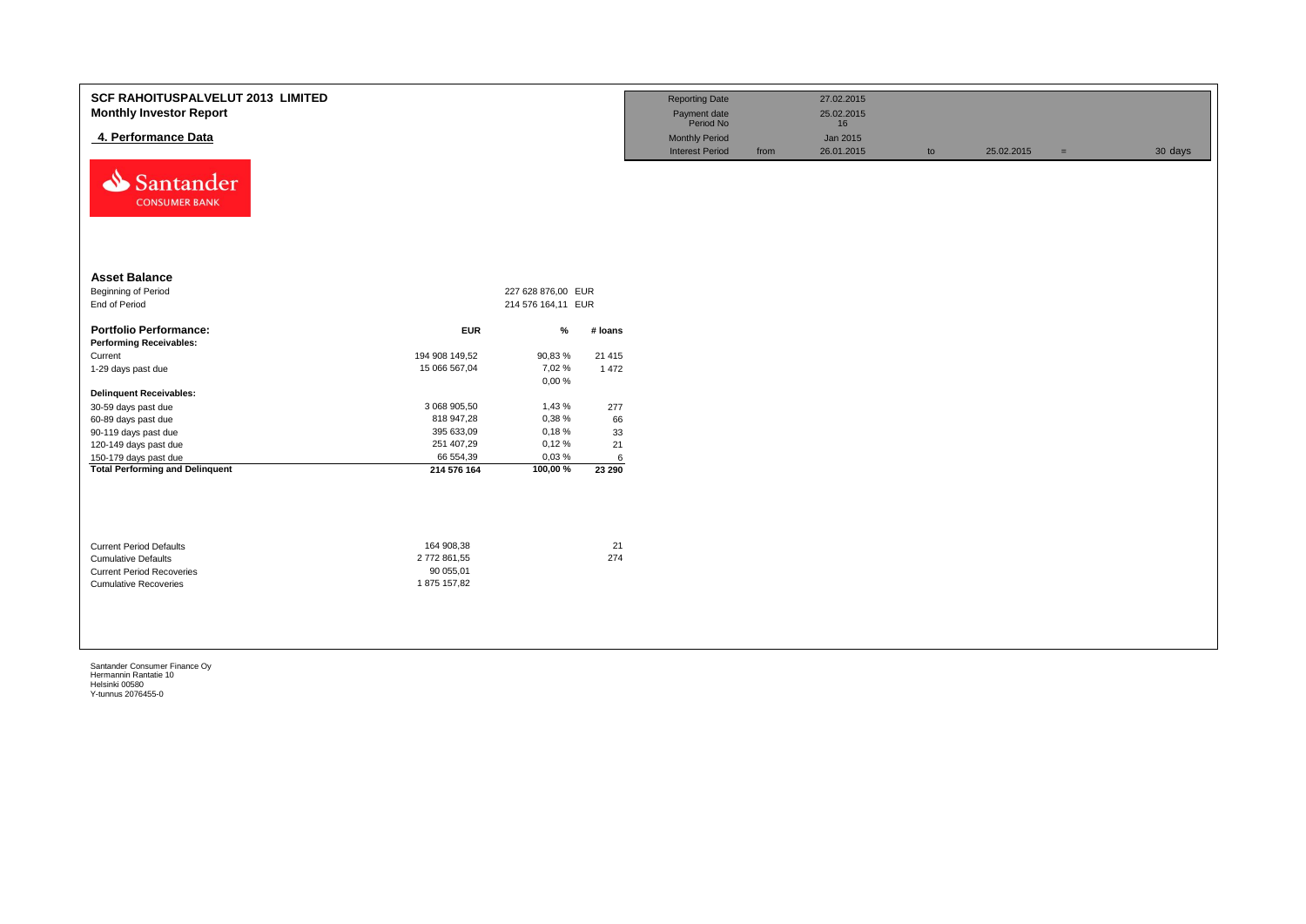| <b>SCF RAHOITUSPALVELUT 2013 LIMITED</b><br><b>Monthly Investor Report</b><br>4. Performance Data<br>⇘<br>Santander<br><b>CONSUMER BANK</b> |                          |                                          |          | <b>Reporting Date</b><br>Payment date<br>Period No<br><b>Monthly Period</b><br><b>Interest Period</b> | from | 27.02.2015<br>25.02.2015<br>16<br>Jan 2015<br>26.01.2015 | to | 25.02.2015 | $=$ | 30 days |
|---------------------------------------------------------------------------------------------------------------------------------------------|--------------------------|------------------------------------------|----------|-------------------------------------------------------------------------------------------------------|------|----------------------------------------------------------|----|------------|-----|---------|
| <b>Asset Balance</b><br>Beginning of Period<br>End of Period                                                                                |                          | 227 628 876,00 EUR<br>214 576 164,11 EUR |          |                                                                                                       |      |                                                          |    |            |     |         |
| <b>Portfolio Performance:</b>                                                                                                               | <b>EUR</b>               | %                                        | # loans  |                                                                                                       |      |                                                          |    |            |     |         |
| <b>Performing Receivables:</b>                                                                                                              |                          |                                          |          |                                                                                                       |      |                                                          |    |            |     |         |
| Current                                                                                                                                     | 194 908 149,52           | 90,83%                                   | 21 4 15  |                                                                                                       |      |                                                          |    |            |     |         |
| 1-29 days past due                                                                                                                          | 15 066 567,04            | 7,02%                                    | 1 4 7 2  |                                                                                                       |      |                                                          |    |            |     |         |
|                                                                                                                                             |                          | 0,00%                                    |          |                                                                                                       |      |                                                          |    |            |     |         |
| <b>Delinquent Receivables:</b>                                                                                                              |                          |                                          |          |                                                                                                       |      |                                                          |    |            |     |         |
| 30-59 days past due                                                                                                                         | 3 068 905,50             | 1,43 %                                   | 277      |                                                                                                       |      |                                                          |    |            |     |         |
| 60-89 days past due                                                                                                                         | 818 947,28<br>395 633,09 | 0,38%<br>0,18%                           | 66       |                                                                                                       |      |                                                          |    |            |     |         |
| 90-119 days past due<br>120-149 days past due                                                                                               | 251 407,29               | 0,12%                                    | 33<br>21 |                                                                                                       |      |                                                          |    |            |     |         |
| 150-179 days past due                                                                                                                       | 66 554,39                | 0,03%                                    | 6        |                                                                                                       |      |                                                          |    |            |     |         |
| <b>Total Performing and Delinquent</b>                                                                                                      | 214 576 164              | 100,00%                                  | 23 290   |                                                                                                       |      |                                                          |    |            |     |         |
|                                                                                                                                             |                          |                                          |          |                                                                                                       |      |                                                          |    |            |     |         |
| <b>Current Period Defaults</b>                                                                                                              | 164 908,38               |                                          | 21       |                                                                                                       |      |                                                          |    |            |     |         |
| <b>Cumulative Defaults</b>                                                                                                                  | 2772861,55               |                                          | 274      |                                                                                                       |      |                                                          |    |            |     |         |
| <b>Current Period Recoveries</b>                                                                                                            | 90 055,01                |                                          |          |                                                                                                       |      |                                                          |    |            |     |         |
| <b>Cumulative Recoveries</b>                                                                                                                | 1875 157,82              |                                          |          |                                                                                                       |      |                                                          |    |            |     |         |
|                                                                                                                                             |                          |                                          |          |                                                                                                       |      |                                                          |    |            |     |         |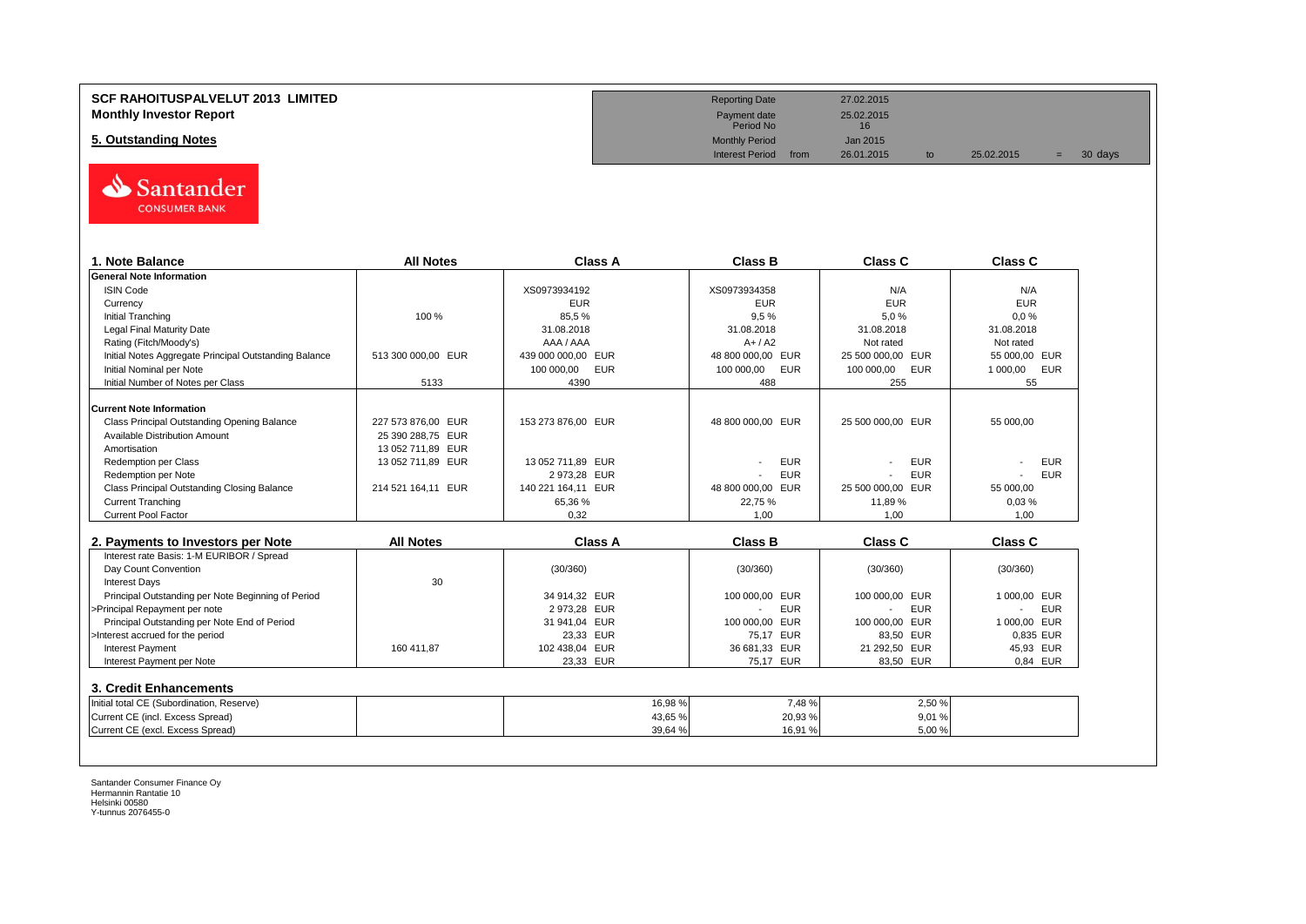### **SCF RAHOITUSPALVELUT 2013 LIMITED Reporting Date** 27.02.2015 **Monthly Investor Report**<br> **Monthly Investor Report** 25.02.2015<br>
Payment date 25.02.2015<br>
Period No

# **5. Outstanding Notes** Monthly Period Jan 2015<br> **5. Outstanding Notes** Jan 2015<br>
Interest Period from 26.01.2015



| 1. Note Balance                                                                                         | <b>All Notes</b>   | <b>Class A</b>           | <b>Class B</b>               | <b>Class C</b>           | Class C                |
|---------------------------------------------------------------------------------------------------------|--------------------|--------------------------|------------------------------|--------------------------|------------------------|
| <b>General Note Information</b>                                                                         |                    |                          |                              |                          |                        |
| <b>ISIN Code</b>                                                                                        |                    | XS0973934192             | XS0973934358                 | N/A                      | N/A                    |
| Currency                                                                                                |                    | <b>EUR</b>               | <b>EUR</b>                   | <b>EUR</b>               | <b>EUR</b>             |
| <b>Initial Tranching</b>                                                                                | 100 %              | 85,5%                    | 9,5%                         | 5,0%                     | 0.0%                   |
| <b>Legal Final Maturity Date</b>                                                                        |                    | 31.08.2018               | 31.08.2018                   | 31.08.2018               | 31.08.2018             |
| Rating (Fitch/Moody's)                                                                                  |                    | AAA / AAA                | $A+ / A2$                    | Not rated                | Not rated              |
| Initial Notes Aggregate Principal Outstanding Balance                                                   | 513 300 000.00 EUR | 439 000 000,00 EUR       | 48 800 000,00 EUR            | 25 500 000,00 EUR        | 55 000.00 EUR          |
| Initial Nominal per Note                                                                                |                    | 100 000,00<br><b>EUR</b> | <b>EUR</b><br>100 000,00     | 100 000,00<br><b>EUR</b> | <b>EUR</b><br>1 000,00 |
| Initial Number of Notes per Class                                                                       | 5133               | 4390                     | 488                          | 255                      | 55                     |
| <b>Current Note Information</b>                                                                         |                    |                          |                              |                          |                        |
| Class Principal Outstanding Opening Balance                                                             | 227 573 876.00 EUR | 153 273 876.00 EUR       | 48 800 000.00 EUR            | 25 500 000.00 EUR        | 55 000.00              |
| Available Distribution Amount                                                                           | 25 390 288,75 EUR  |                          |                              |                          |                        |
| Amortisation                                                                                            | 13 052 711,89 EUR  |                          |                              |                          |                        |
| <b>Redemption per Class</b>                                                                             | 13 052 711,89 EUR  | 13 052 711,89 EUR        | <b>EUR</b>                   | <b>EUR</b>               | <b>EUR</b>             |
| Redemption per Note                                                                                     |                    | 2 973,28 EUR             | <b>EUR</b>                   | <b>EUR</b>               | <b>EUR</b>             |
| Class Principal Outstanding Closing Balance                                                             | 214 521 164,11 EUR | 140 221 164.11 EUR       | 48 800 000,00 EUR            | 25 500 000.00 EUR        | 55 000.00              |
| <b>Current Tranching</b>                                                                                |                    | 65,36 %                  | 22,75 %                      | 11,89 %                  | 0,03%                  |
| <b>Current Pool Factor</b>                                                                              |                    | 0.32                     | 1.00                         | 1.00                     | 1.00                   |
|                                                                                                         |                    |                          |                              |                          |                        |
| 2. Payments to Investors per Note                                                                       | <b>All Notes</b>   | <b>Class A</b>           | <b>Class B</b>               | <b>Class C</b>           | <b>Class C</b>         |
| Interest rate Basis: 1-M EURIBOR / Spread                                                               |                    |                          |                              |                          |                        |
| Day Count Convention                                                                                    |                    | (30/360)                 | (30/360)                     | (30/360)                 | (30/360)               |
| <b>Interest Days</b>                                                                                    | 30                 |                          |                              |                          |                        |
| Principal Outstanding per Note Beginning of Period                                                      |                    | 34 914.32 EUR            | 100 000.00 EUR               | 100 000.00 EUR           | 1 000.00 EUR           |
|                                                                                                         |                    |                          |                              |                          | <b>EUR</b>             |
| >Principal Repayment per note                                                                           |                    | 2 973,28 EUR             | <b>EUR</b><br>$\overline{a}$ | <b>EUR</b>               |                        |
| Principal Outstanding per Note End of Period                                                            |                    | 31 941,04 EUR            | 100 000,00<br><b>EUR</b>     | 100 000,00 EUR           | 1 000.00 EUR           |
| >Interest accrued for the period                                                                        |                    | 23,33 EUR                | 75,17 EUR                    | 83,50 EUR                | 0,835 EUR              |
| <b>Interest Payment</b>                                                                                 | 160 411,87         | 102 438,04 EUR           | 36 681,33 EUR                | 21 292,50 EUR            | 45,93 EUR              |
| Interest Payment per Note                                                                               |                    | 23,33 EUR                | 75,17 EUR                    | 83,50 EUR                | 0.84 EUR               |
|                                                                                                         |                    |                          |                              |                          |                        |
|                                                                                                         |                    |                          |                              |                          |                        |
| 3. Credit Enhancements<br>Initial total CE (Subordination, Reserve)<br>Current CE (incl. Excess Spread) |                    | 16,98%<br>43,65%         | 7,48 %<br>20,93%             | 2,50%<br>9,01%           |                        |

Payment date<br>Period No

Interest Period from 26.01.2015 to 25.02.2015 = 30 days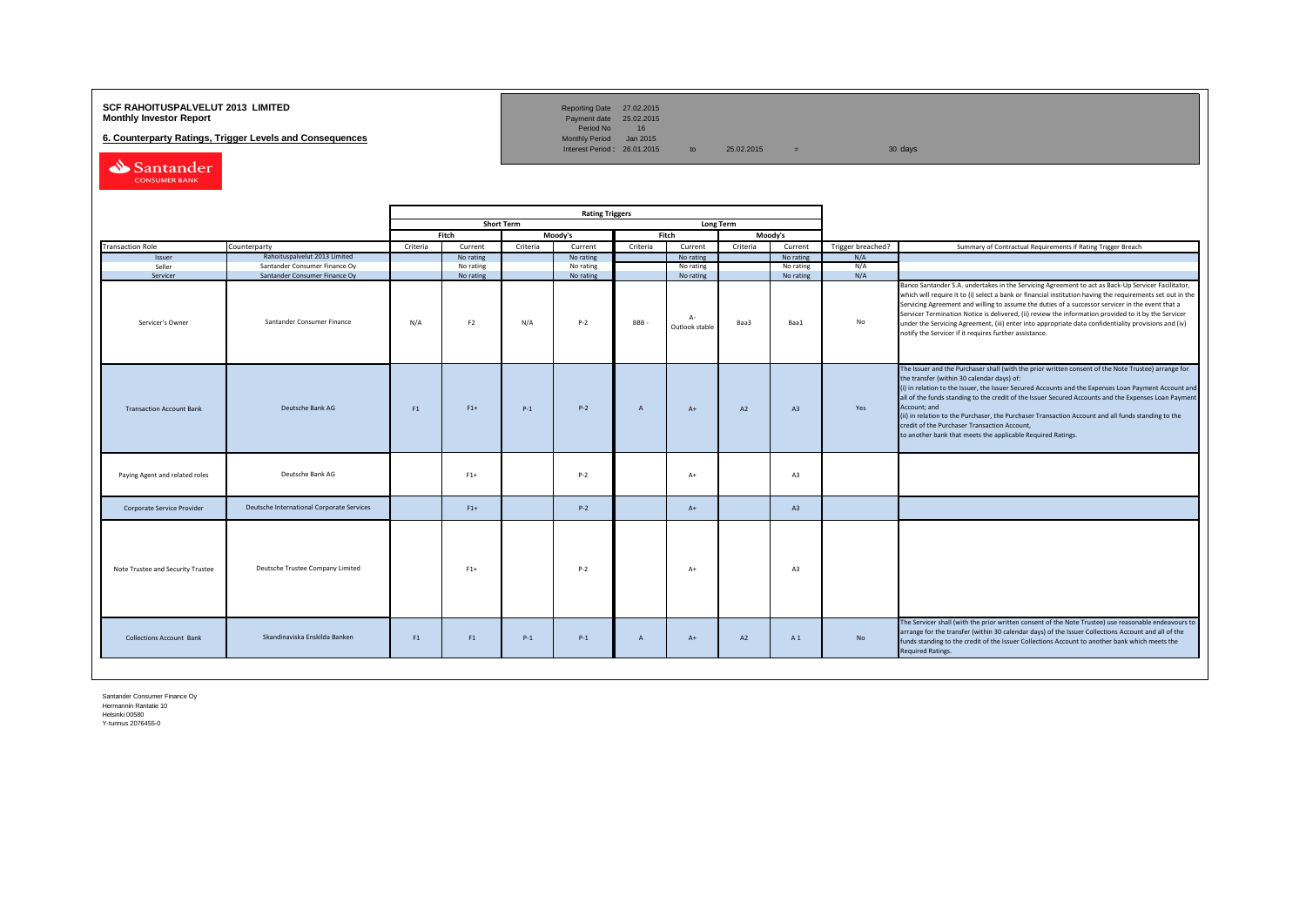#### **SCF RAHOITUSPALVELUT 2013 LIMITED**<br>**Monthly Investor Report** Payment date 25.02.2015

**6. Counterparty Ratings, Trigger Levels and Consequences** 

Reporting Date 27.02.2015<br>Payment date 25.02.2015<br>Period No 16<br>Monthly Period Jan 2015

Interest Period:  $26.01.2015$  to  $25.02.2015$  = 30 days

Santander CONSUMER BANK

|                                   |                                           | <b>Rating Triggers</b> |                |                   |           |                |                        |                  |           |                   |                                                                                                                                                                                                                                                                                                                                                                                                                                                                                                                                                                                                        |
|-----------------------------------|-------------------------------------------|------------------------|----------------|-------------------|-----------|----------------|------------------------|------------------|-----------|-------------------|--------------------------------------------------------------------------------------------------------------------------------------------------------------------------------------------------------------------------------------------------------------------------------------------------------------------------------------------------------------------------------------------------------------------------------------------------------------------------------------------------------------------------------------------------------------------------------------------------------|
|                                   |                                           |                        |                | <b>Short Term</b> |           |                |                        | <b>Long Term</b> |           |                   |                                                                                                                                                                                                                                                                                                                                                                                                                                                                                                                                                                                                        |
|                                   |                                           |                        | Fitch          |                   | Moody's   |                | Fitch                  |                  | Moody's   |                   |                                                                                                                                                                                                                                                                                                                                                                                                                                                                                                                                                                                                        |
| <b>Transaction Role</b>           | Counterparty                              | Criteria               | Current        | Criteria          | Current   | Criteria       | Current                | Criteria         | Current   | Trigger breached? | Summary of Contractual Requirements if Rating Trigger Breach                                                                                                                                                                                                                                                                                                                                                                                                                                                                                                                                           |
| Issuer                            | Rahoituspalvelut 2013 Limited             |                        | No rating      |                   | No rating |                | No rating              |                  | No rating | N/A               |                                                                                                                                                                                                                                                                                                                                                                                                                                                                                                                                                                                                        |
| Seller                            | Santander Consumer Finance Oy             |                        | No rating      |                   | No rating |                | No rating              |                  | No rating | N/A               |                                                                                                                                                                                                                                                                                                                                                                                                                                                                                                                                                                                                        |
| Servicer                          | Santander Consumer Finance Oy             |                        | No rating      |                   | No rating |                | No rating              |                  | No rating | N/A               |                                                                                                                                                                                                                                                                                                                                                                                                                                                                                                                                                                                                        |
| Servicer's Owner                  | Santander Consumer Finance                | N/A                    | F <sub>2</sub> | N/A               | $P-2$     | BBB-           | $A-$<br>Outlook stable | Baa3             | Baa1      | No                | Banco Santander S.A. undertakes in the Servicing Agreement to act as Back-Up Servicer Facilitator,<br>which will require it to (i) select a bank or financial institution having the requirements set out in the<br>Servicing Agreement and willing to assume the duties of a successor servicer in the event that a<br>Servicer Termination Notice is delivered, (ii) review the information provided to it by the Servicer<br>under the Servicing Agreement, (iii) enter into appropriate data confidentiality provisions and (iv)<br>notify the Servicer if it requires further assistance.         |
| <b>Transaction Account Bank</b>   | Deutsche Bank AG                          | F1                     | $F1+$          | $P-1$             | $P-2$     | $\overline{A}$ | $A+$                   | A2               | A3        | Yes               | The Issuer and the Purchaser shall (with the prior written consent of the Note Trustee) arrange for<br>the transfer (within 30 calendar days) of:<br>(i) in relation to the Issuer, the Issuer Secured Accounts and the Expenses Loan Payment Account and<br>all of the funds standing to the credit of the Issuer Secured Accounts and the Expenses Loan Payment<br>Account; and<br>(ii) in relation to the Purchaser, the Purchaser Transaction Account and all funds standing to the<br>credit of the Purchaser Transaction Account,<br>to another bank that meets the applicable Required Ratings. |
| Paying Agent and related roles    | Deutsche Bank AG                          |                        | $F1+$          |                   | $P-2$     |                | $A+$                   |                  | A3        |                   |                                                                                                                                                                                                                                                                                                                                                                                                                                                                                                                                                                                                        |
| Corporate Service Provider        | Deutsche International Corporate Services |                        | $F1+$          |                   | $P-2$     |                | $A+$                   |                  | A3        |                   |                                                                                                                                                                                                                                                                                                                                                                                                                                                                                                                                                                                                        |
| Note Trustee and Security Trustee | Deutsche Trustee Company Limited          |                        | $F1+$          |                   | $P-2$     |                | $A+$                   |                  | A3        |                   |                                                                                                                                                                                                                                                                                                                                                                                                                                                                                                                                                                                                        |
| <b>Collections Account Bank</b>   | Skandinaviska Enskilda Banken             | F1                     | F1             | $P-1$             | $P-1$     | $\overline{A}$ | $A+$                   | A2               | A 1       | No                | The Servicer shall (with the prior written consent of the Note Trustee) use reasonable endeavours to<br>arrange for the transfer (within 30 calendar days) of the Issuer Collections Account and all of the<br>funds standing to the credit of the Issuer Collections Account to another bank which meets the<br><b>Required Ratings.</b>                                                                                                                                                                                                                                                              |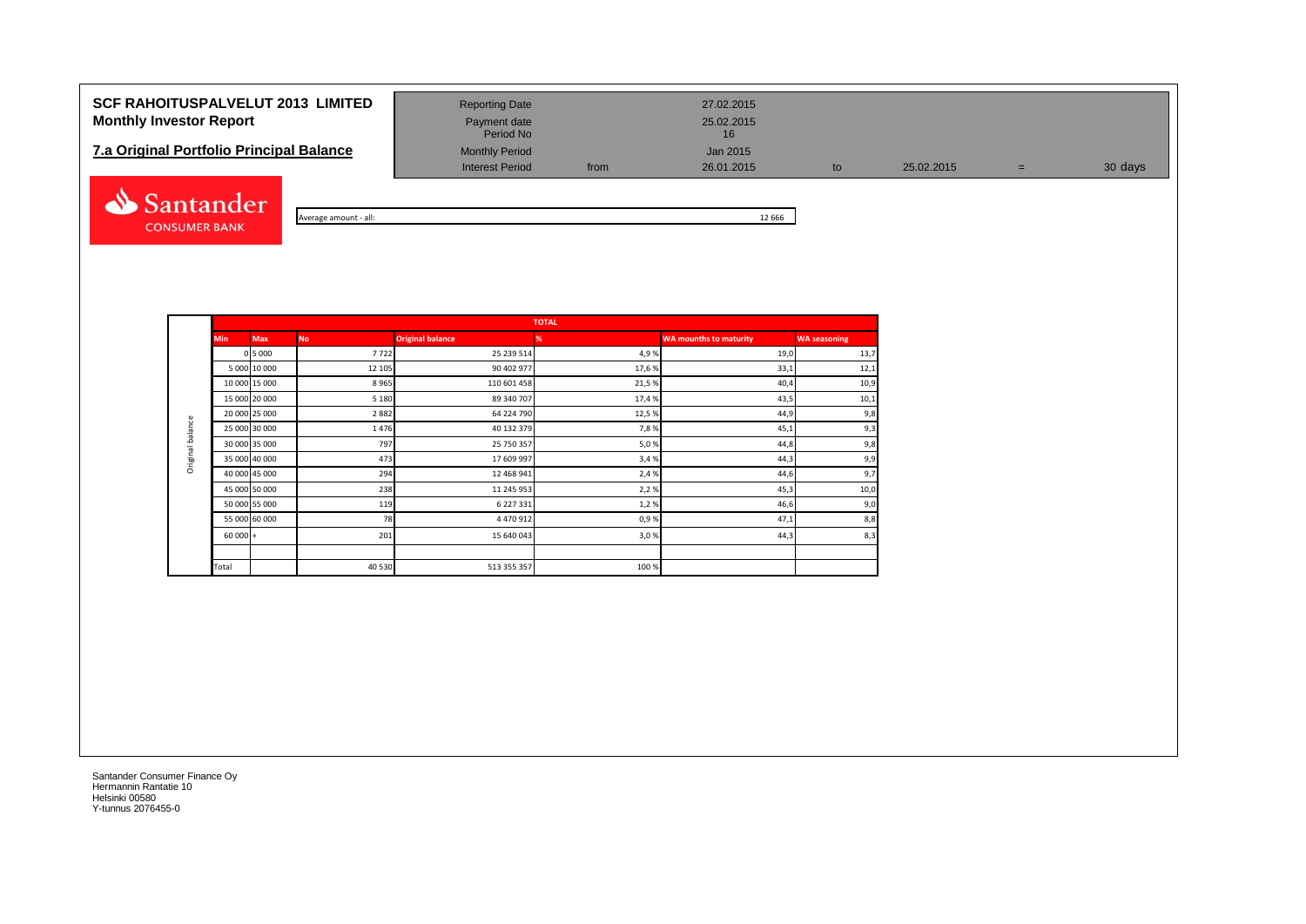## **SCF RAHOITUSPALVELUT 2013 LIMITED** Reporting Date 27.02.2015 **Monthly Investor Report Payment date** Payment date 25.02.2015

| <b>7.a Original Portfolio Principal Balance</b> | <b>Monthly Period</b>  | Jan 2015 |            |
|-------------------------------------------------|------------------------|----------|------------|
|                                                 | <b>Interest Period</b> | from     | 26.01.2015 |



| all:<br>amoun<br>. המכי | 666<br>-- |
|-------------------------|-----------|

Interest Period from 26.01.2015 to 25.02.2015 = 30 days

|                  |            |               |           |                         | <b>TOTAL</b> |                               |                     |
|------------------|------------|---------------|-----------|-------------------------|--------------|-------------------------------|---------------------|
|                  | <b>Min</b> | <b>Max</b>    | <b>No</b> | <b>Original balance</b> | %            | <b>WA mounths to maturity</b> | <b>WA seasoning</b> |
|                  |            | 0 5 0 0 0     | 7722      | 25 239 514              | 4,9%         | 19,0                          | 13,7                |
|                  |            | 5 000 10 000  | 12 105    | 90 402 977              | 17,6%        | 33,1                          | 12,1                |
|                  |            | 10 000 15 000 | 8965      | 110 601 458             | 21,5%        | 40,4                          | 10,9                |
|                  |            | 15 000 20 000 | 5 1 8 0   | 89 340 707              | 17,4%        | 43,5                          | 10,1                |
|                  |            | 20 000 25 000 | 2882      | 64 224 790              | 12,5%        | 44,9                          | 9,8                 |
| Original balance |            | 25 000 30 000 | 1476      | 40 132 379              | 7,8%         | 45,1                          | 9,3                 |
|                  |            | 30 000 35 000 | 797       | 25 750 357              | 5,0%         | 44,8                          | 9,8                 |
|                  |            | 35 000 40 000 | 473       | 17 609 997              | 3,4%         | 44,3                          | 9,9                 |
|                  |            | 40 000 45 000 | 294       | 12 468 941              | 2,4 %        | 44,6                          | 9,7                 |
|                  |            | 45 000 50 000 | 238       | 11 245 953              | 2,2%         | 45,3                          | 10,0                |
|                  |            | 50 000 55 000 | 119       | 6 227 331               | 1,2%         | 46,6                          | 9,0                 |
|                  |            | 55 000 60 000 | 78        | 4 470 912               | 0,9%         | 47,1                          | 8,8                 |
|                  | $60000 +$  |               | 201       | 15 640 043              | 3,0%         | 44,3                          | 8,3                 |
|                  |            |               |           |                         |              |                               |                     |
|                  | Total      |               | 40 530    | 513 355 357             | 100 %        |                               |                     |

Payment date<br>Period No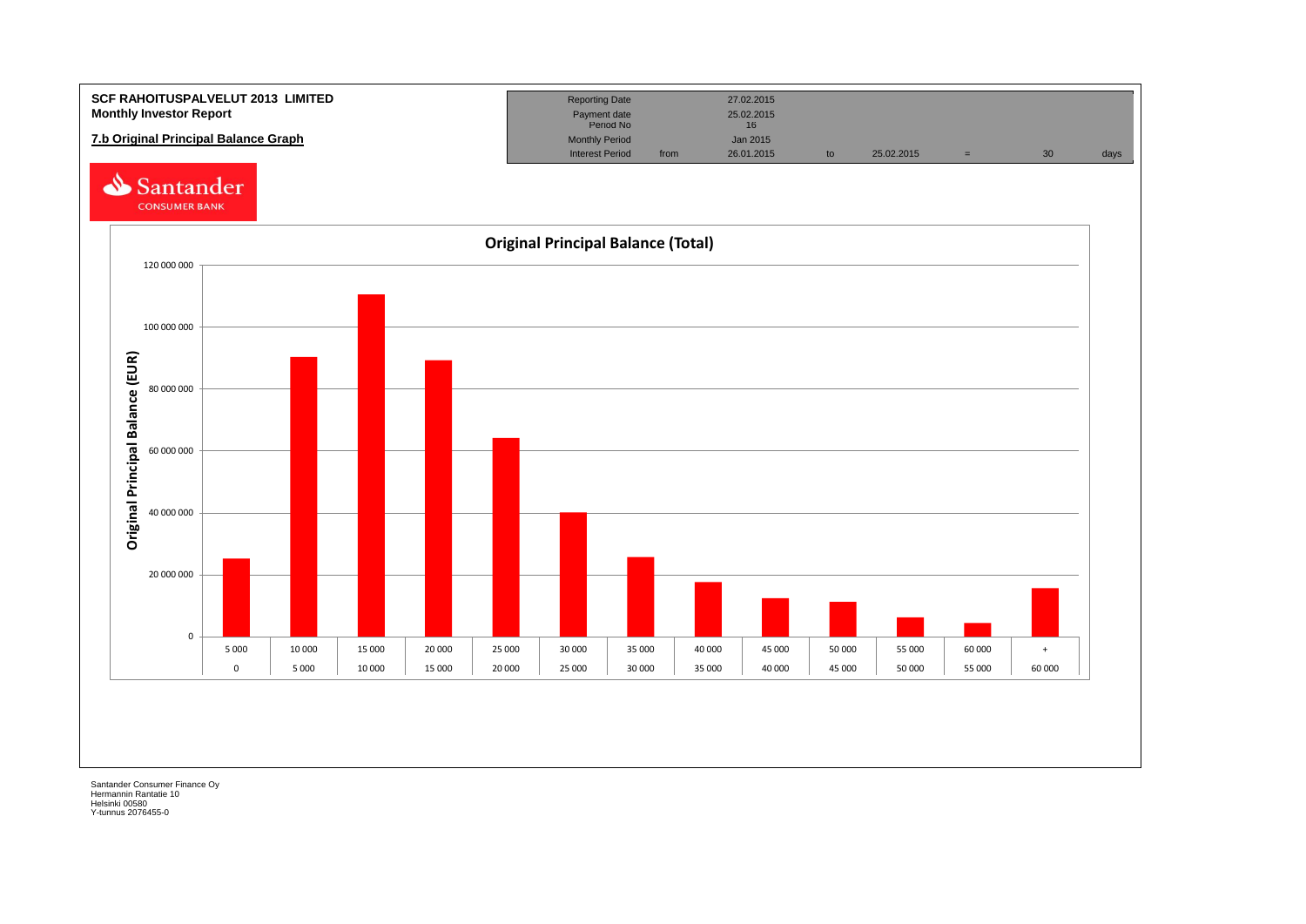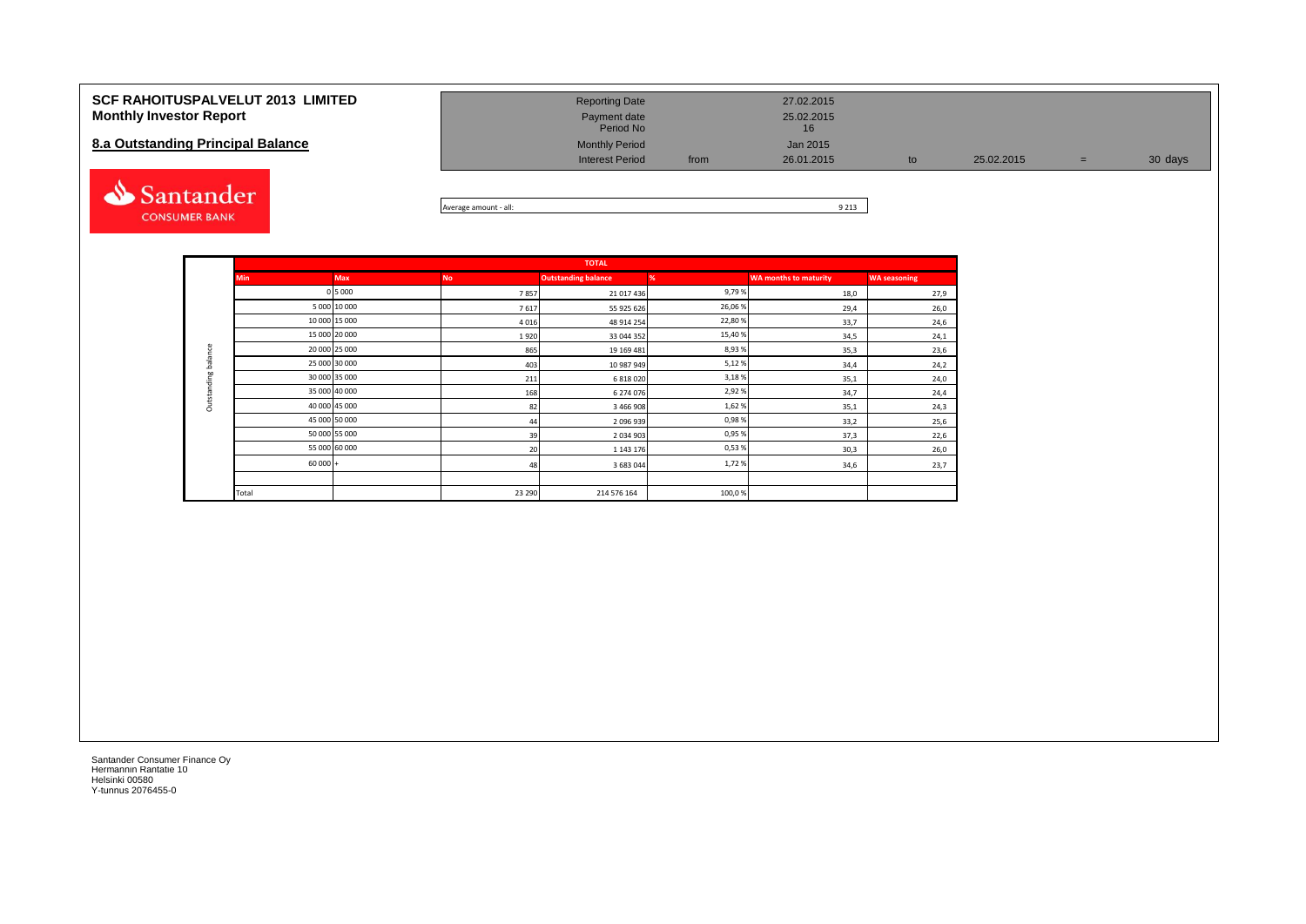| <b>SCF RAHOITUSPALVELUT 2013 LIMITED</b><br><b>Monthly Investor Report</b> | <b>Reporting Date</b><br>Payment date<br>Period No |      | 27.02.2015<br>25.02.2015<br>16 |            |     |         |
|----------------------------------------------------------------------------|----------------------------------------------------|------|--------------------------------|------------|-----|---------|
| 8.a Outstanding Principal Balance                                          | <b>Monthly Period</b><br><b>Interest Period</b>    | from | Jan 2015<br>26.01.2015         | 25.02.2015 | $=$ | 30 days |
| Santander                                                                  |                                                    |      | 0.010                          |            |     |         |



|                     |            |               |           | <b>TOTAL</b>               |         |                              |                     |
|---------------------|------------|---------------|-----------|----------------------------|---------|------------------------------|---------------------|
|                     | <b>Min</b> | <b>Max</b>    | <b>No</b> | <b>Outstanding balance</b> | %       | <b>WA months to maturity</b> | <b>WA seasoning</b> |
|                     |            | 0 5 0 0 0     | 7857      | 21 017 436                 | 9,79%   | 18,0                         | 27,9                |
|                     |            | 5 000 10 000  | 7617      | 55 925 626                 | 26,06%  | 29,4                         | 26,0                |
|                     |            | 10 000 15 000 | 4016      | 48 914 254                 | 22,80%  | 33,7                         | 24,6                |
|                     |            | 15 000 20 000 | 1920      | 33 044 352                 | 15,40 % | 34,5                         | 24,1                |
| Outstanding balance |            | 20 000 25 000 | 865       | 19 169 481                 | 8,93%   | 35,3                         | 23,6                |
|                     |            | 25 000 30 000 | 403       | 10 987 949                 | 5,12%   | 34,4                         | 24,2                |
|                     |            | 30 000 35 000 | 211       | 6 818 020                  | 3,18%   | 35,1                         | 24,0                |
|                     |            | 35 000 40 000 | 168       | 6 274 076                  | 2,92%   | 34,7                         | 24,4                |
|                     |            | 40 000 45 000 | 82        | 3 466 908                  | 1,62%   | 35,1                         | 24,3                |
|                     |            | 45 000 50 000 | 44        | 2096939                    | 0,98%   | 33,2                         | 25,6                |
|                     |            | 50 000 55 000 | 39        | 2034903                    | 0,95%   | 37,3                         | 22,6                |
|                     |            | 55 000 60 000 | 20        | 1 1 4 3 1 7 6              | 0,53%   | 30,3                         | 26,0                |
|                     | $60000 +$  |               | 48        | 3 683 044                  | 1,72%   | 34,6                         | 23,7                |
|                     |            |               |           |                            |         |                              |                     |
|                     | Total      |               | 23 290    | 214 576 164                | 100,0%  |                              |                     |

**CONSUMER BANK**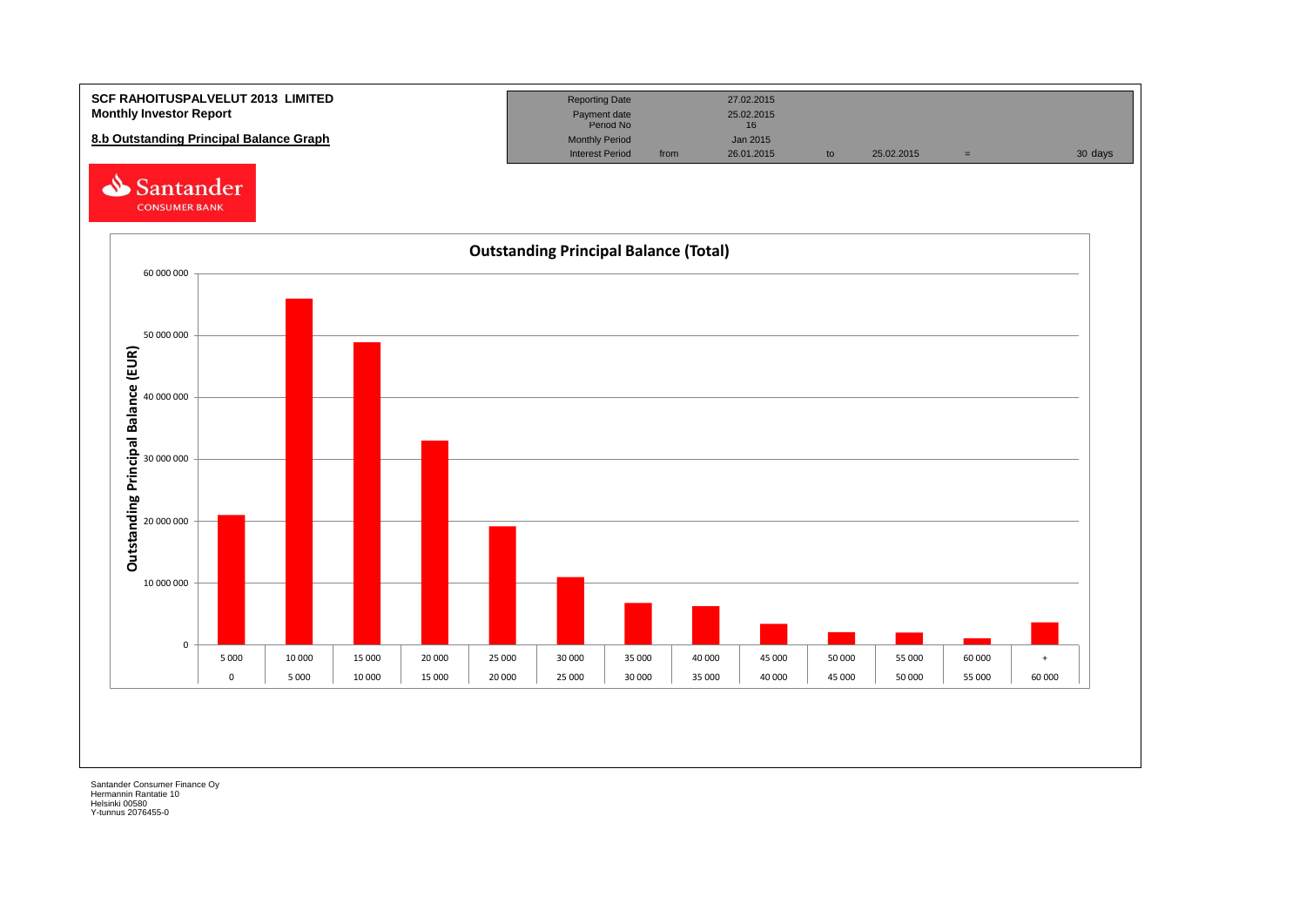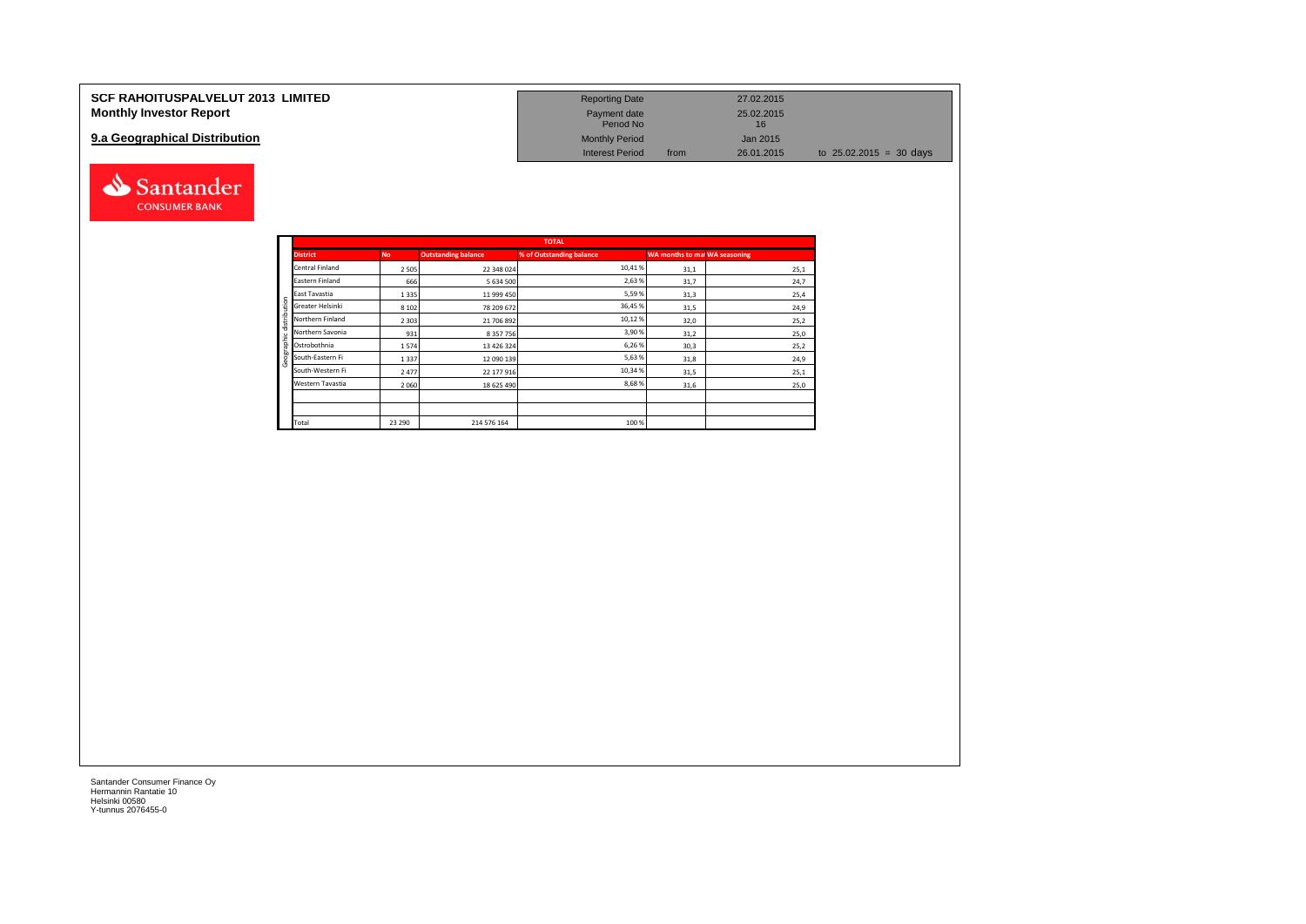| <b>SCF RAHOITUSPALVELUT 2013 LIMITED</b> | <b>Reporting Date</b>     |      | 27.02.2015       |                                   |
|------------------------------------------|---------------------------|------|------------------|-----------------------------------|
| <b>Monthly Investor Report</b>           | Payment date<br>Period No |      | 25.02.2015<br>16 |                                   |
| 9.a Geographical Distribution            | <b>Monthly Period</b>     |      | Jan 2015         |                                   |
|                                          | <b>Interest Period</b>    | from | 26.01.2015       | to $25.02.2015 = 30 \text{ days}$ |



Santander **CONSUMER BANK**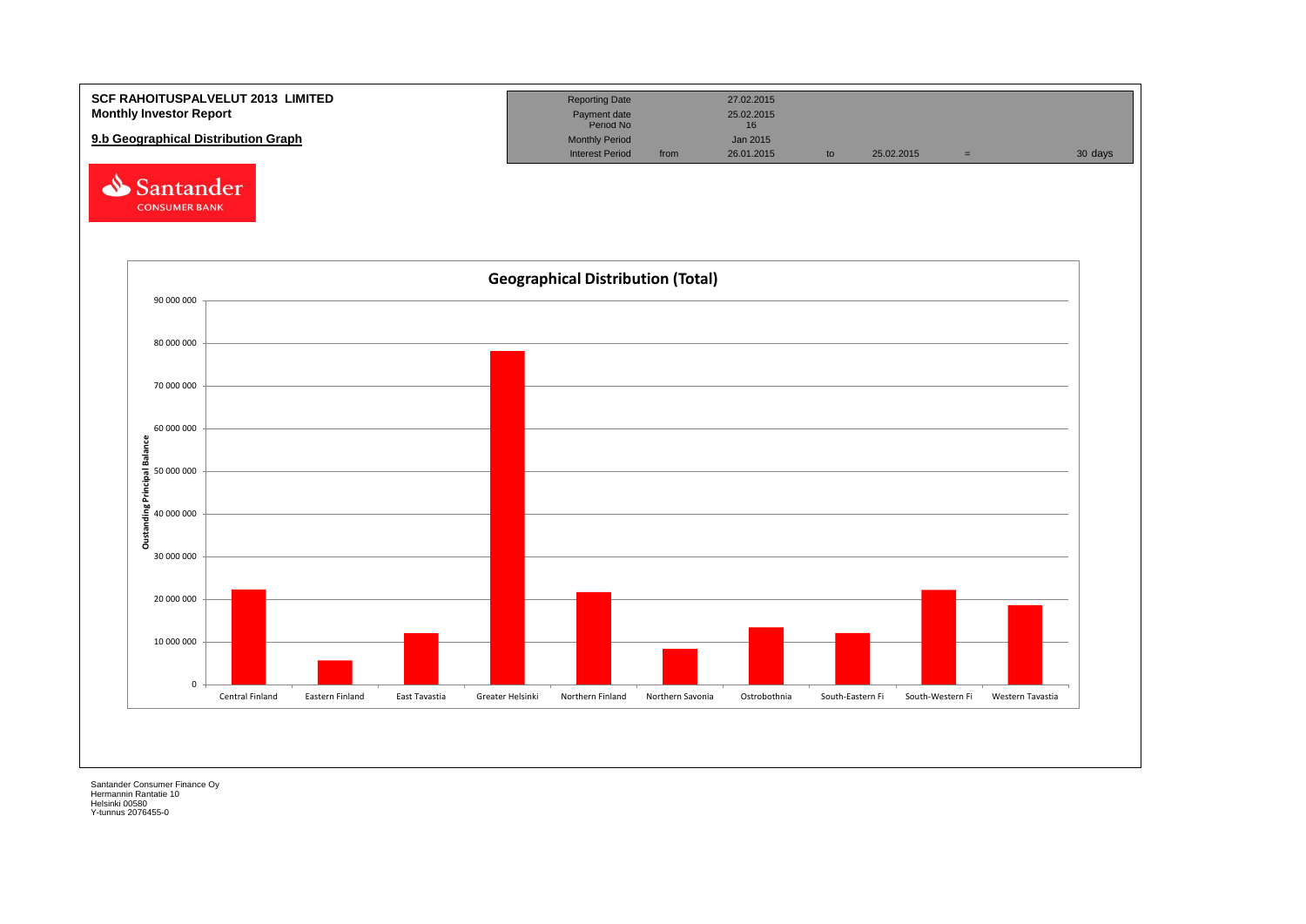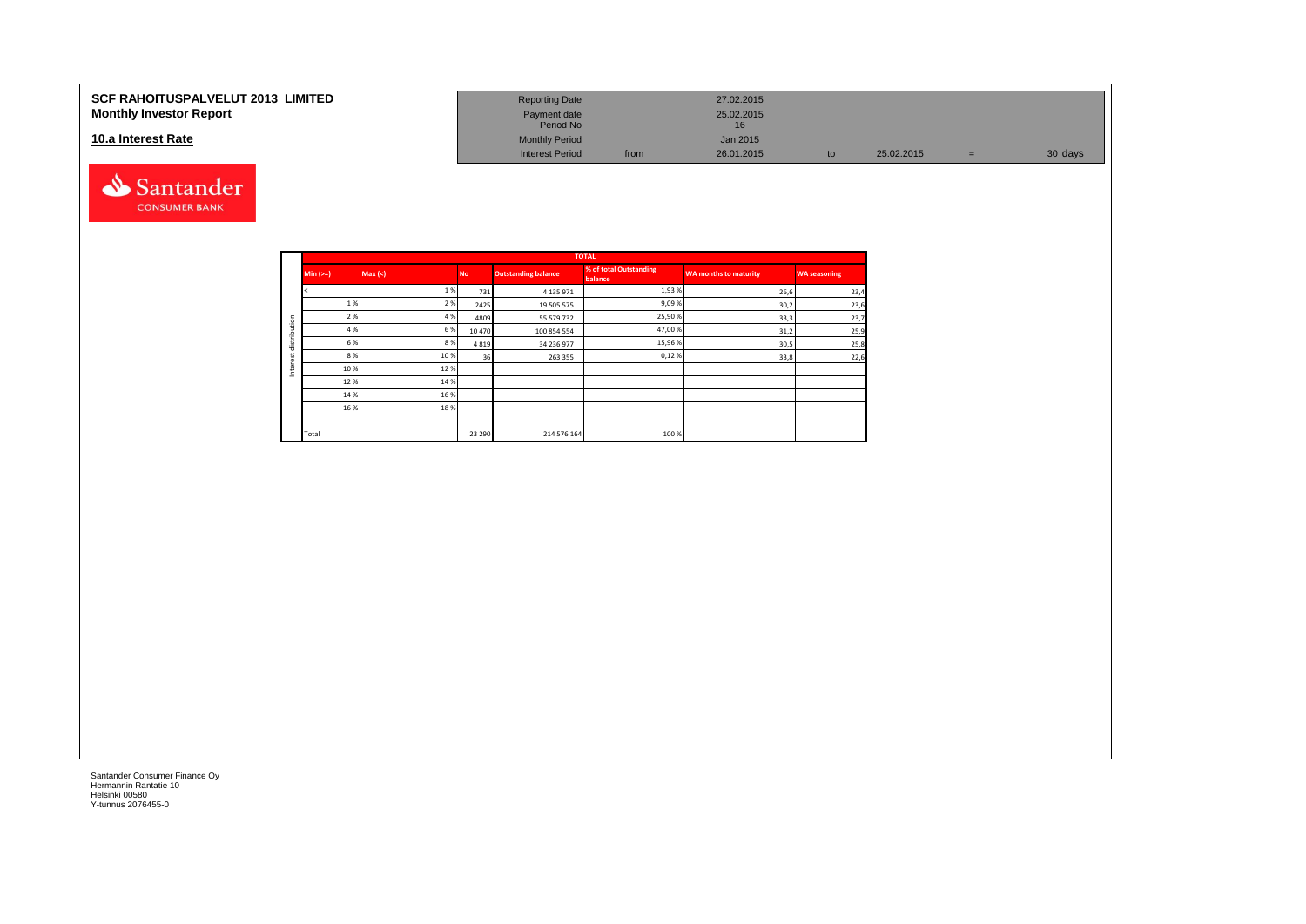#### **10.a Interest Rate**



| SCF RAHOITUSPALVELUT 2013  LIMITED<br><b>Monthly Investor Report</b> | <b>Reporting Date</b><br>Payment date<br>Period No |      | 27.02.2015<br>25.02.2015 |            |   |         |
|----------------------------------------------------------------------|----------------------------------------------------|------|--------------------------|------------|---|---------|
| 10.a Interest Rate                                                   | <b>Monthly Period</b><br><b>Interest Period</b>    | from | Jan 2015<br>26.01.2015   | 25.02.2015 | = | 30 days |

|         |            |        |           |                            | <b>TOTAL</b>                      |                              |                     |
|---------|------------|--------|-----------|----------------------------|-----------------------------------|------------------------------|---------------------|
|         | Min $(>=)$ | Max(<) | <b>No</b> | <b>Outstanding balance</b> | % of total Outstanding<br>balance | <b>WA months to maturity</b> | <b>WA seasoning</b> |
|         |            | 1%     | 731       | 4 1 3 5 9 7 1              | 1,93%                             | 26,6                         | 23,4                |
|         | 1%         | 2 %    | 2425      | 19 505 575                 | 9,09%                             | 30,2                         | 23,6                |
| ution   | 2 %        | 4 %    | 4809      | 55 579 732                 | 25,90%                            | 33,3                         | 23,7                |
| ≏       | 4 %        | 6%     | 10 470    | 100 854 554                | 47,00%                            | 31,2                         | 25,9                |
| distri  | 6 %        | 8%     | 4819      | 34 236 977                 | 15,96%                            | 30,5                         | 25,8                |
| سد<br>ă | 8%         | 10%    | 36        | 263 355                    | 0,12%                             | 33,8                         | 22,6                |
| Inter   | 10%        | 12%    |           |                            |                                   |                              |                     |
|         | 12%        | 14 %   |           |                            |                                   |                              |                     |
|         | 14 %       | 16 %   |           |                            |                                   |                              |                     |
|         | 16 %       | 18%    |           |                            |                                   |                              |                     |
|         |            |        |           |                            |                                   |                              |                     |
|         | Total      |        | 23 290    | 214 576 164                | 100 %                             |                              |                     |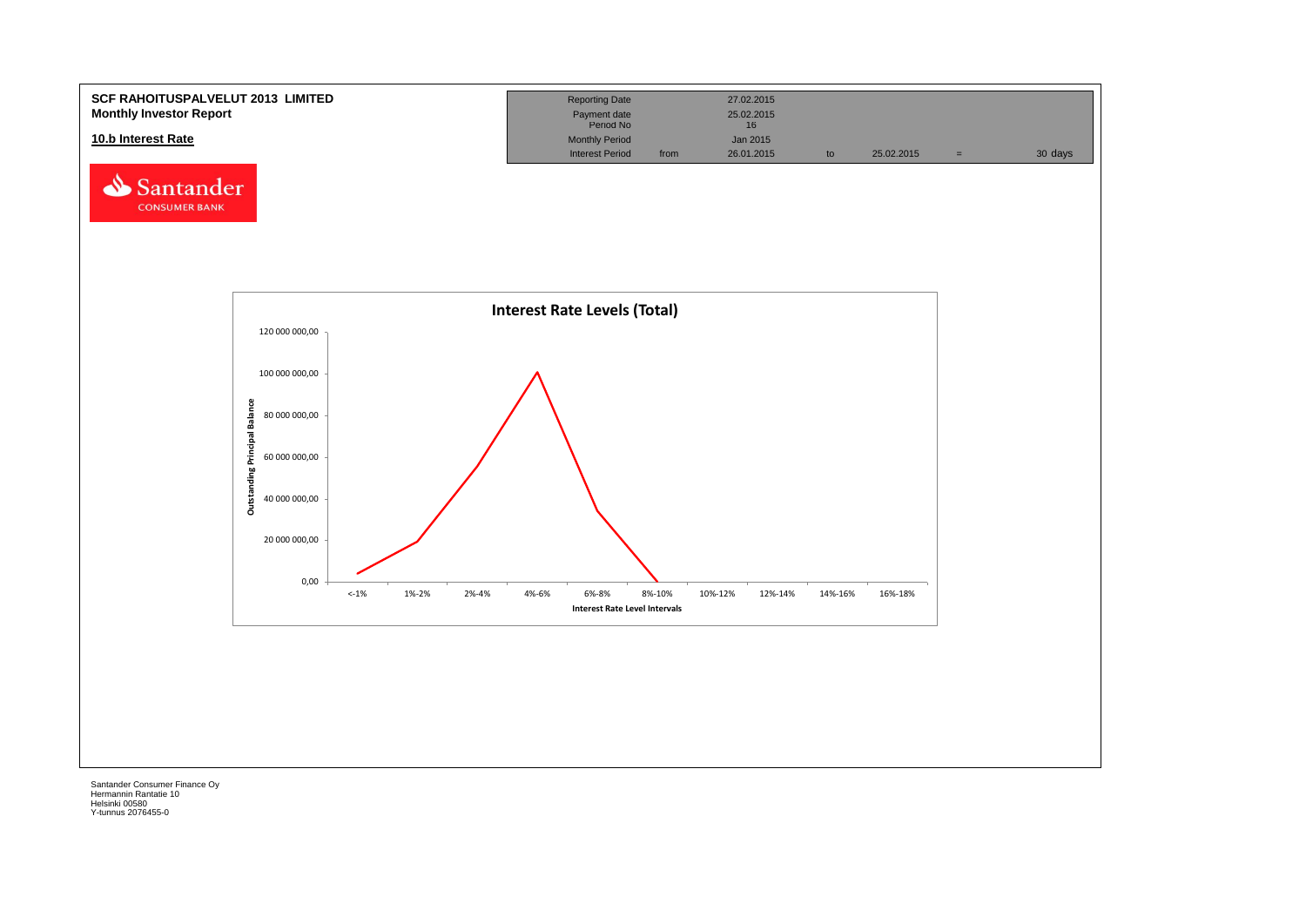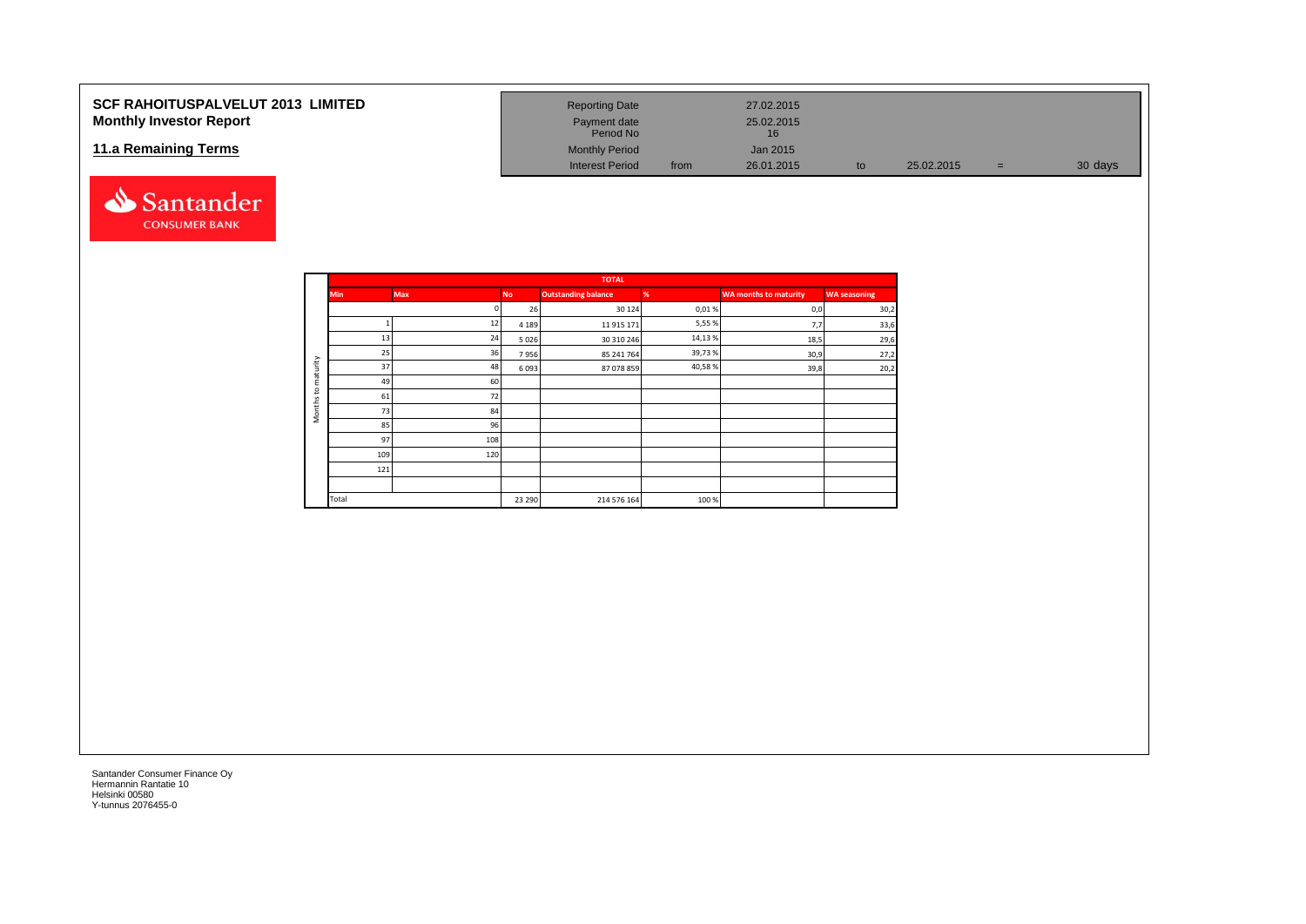#### **SCF RAHOITUSPALVELUT 2013 LIMITED Monthly Investor Report**

#### **11.a Remaining Terms**



| <b>Reporting Date</b>     |      | 27.02.2015       |    |            |   |         |
|---------------------------|------|------------------|----|------------|---|---------|
| Payment date<br>Period No |      | 25.02.2015<br>16 |    |            |   |         |
| <b>Monthly Period</b>     |      | Jan 2015         |    |            |   |         |
| <b>Interest Period</b>    | from | 26.01.2015       | to | 25.02.2015 | = | 30 days |

|                     |            |            |           | <b>TOTAL</b>               |         |                       |                     |
|---------------------|------------|------------|-----------|----------------------------|---------|-----------------------|---------------------|
|                     | <b>Min</b> | <b>Max</b> | <b>No</b> | <b>Outstanding balance</b> | %       | WA months to maturity | <b>WA</b> seasoning |
|                     |            | n          | 26        | 30 124                     | 0,01%   | 0,0                   | 30,2                |
|                     |            | 12         | 4 1 8 9   | 11 915 171                 | 5,55%   | 7,7                   | 33,6                |
|                     | 13         | 24         | 5026      | 30 310 246                 | 14,13 % | 18,5                  | 29,6                |
|                     | 25         | 36         | 7956      | 85 241 764                 | 39,73%  | 30,9                  | 27,2                |
| maturity            | 37         | 48         | 6093      | 87 078 859                 | 40,58%  | 39,8                  | 20,2                |
|                     | 49         | 60         |           |                            |         |                       |                     |
| $\overline{c}$      | 61         | 72         |           |                            |         |                       |                     |
| Months <sup>-</sup> | 73         | 84         |           |                            |         |                       |                     |
|                     | 85         | 96         |           |                            |         |                       |                     |
|                     | 97         | 108        |           |                            |         |                       |                     |
|                     | 109        | 120        |           |                            |         |                       |                     |
|                     | 121        |            |           |                            |         |                       |                     |
|                     |            |            |           |                            |         |                       |                     |
|                     | Total      |            | 23 290    | 214 576 164                | 100%    |                       |                     |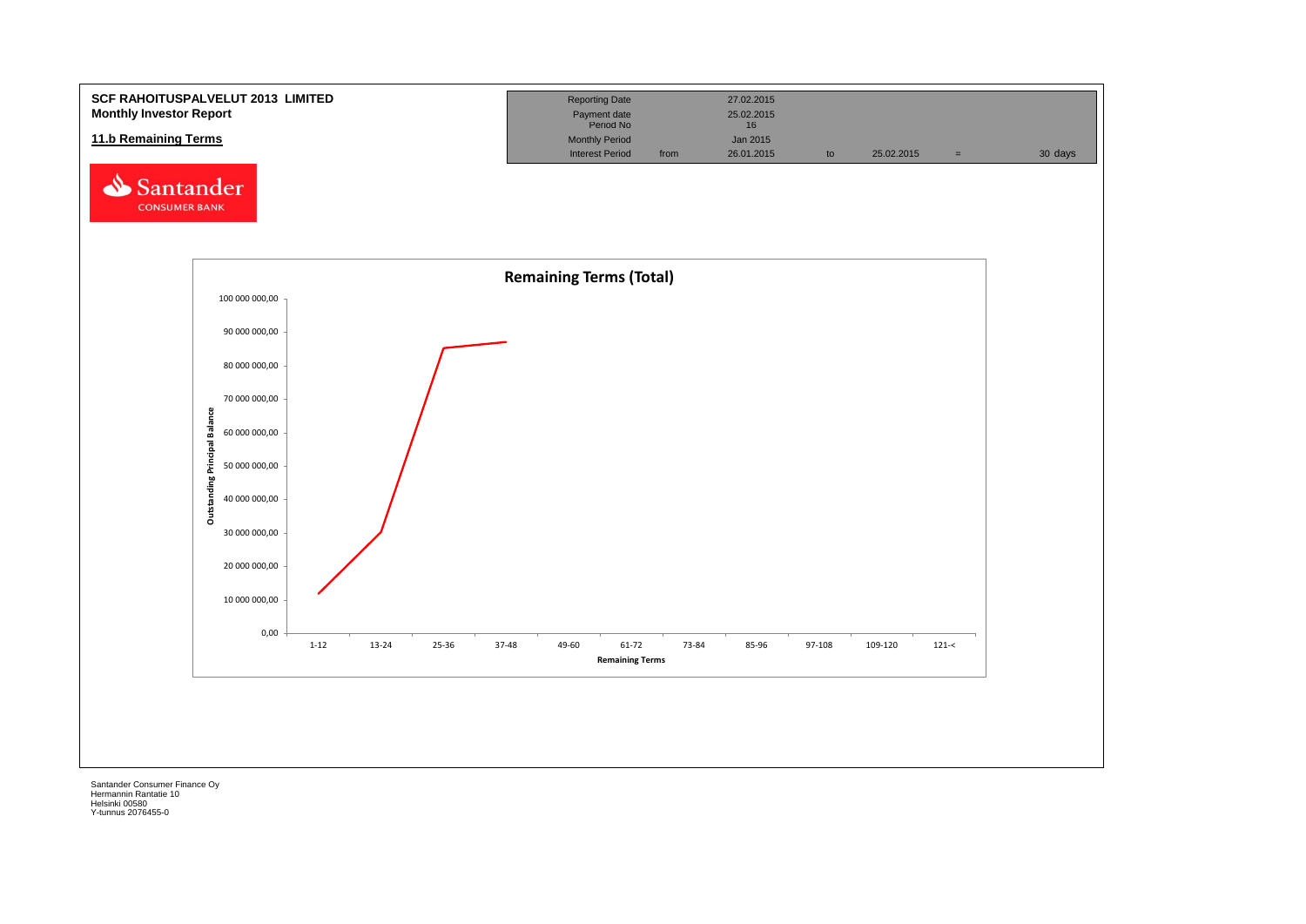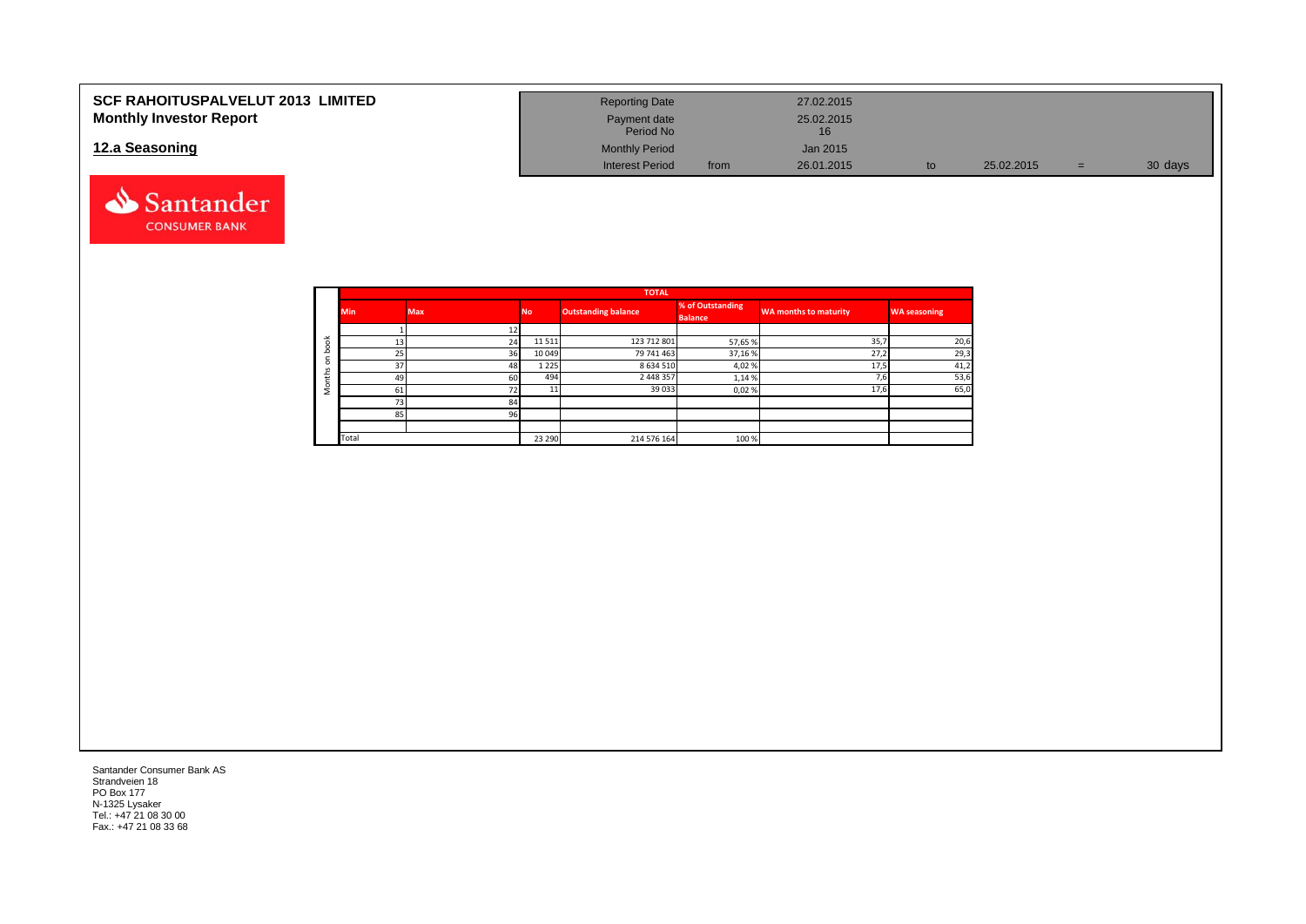| <b>SCF RAHOITUSPALVELUT 2013 LIMITED</b> | <b>Reporting Date</b>     |      | 27.02.2015 |    |            |   |         |
|------------------------------------------|---------------------------|------|------------|----|------------|---|---------|
| <b>Monthly Investor Report</b>           | Payment date<br>Period No |      | 25.02.2015 |    |            |   |         |
| 12.a Seasoning                           | <b>Monthly Period</b>     |      | Jan 2015   |    |            |   |         |
|                                          | <b>Interest Period</b>    | from | 26.01.2015 | to | 25.02.2015 | = | 30 days |



|          |            |            |           | <b>TOTAL</b>        |                  |                       |                     |
|----------|------------|------------|-----------|---------------------|------------------|-----------------------|---------------------|
|          | <b>Min</b> | <b>Max</b> | <b>No</b> | Outstanding balance | % of Outstanding | WA months to maturity | <b>WA seasoning</b> |
|          |            |            |           |                     | <b>Balance</b>   |                       |                     |
|          |            |            |           |                     |                  |                       |                     |
| $\geq$   | 13         | 24         | 11 5 11   | 123 712 801         | 57,65 %          | 35,7                  | 20,6                |
|          | 25         | 36         | 10 049    | 79 741 463          | 37,16 %          | 27,2                  | 29,3                |
| $\Omega$ | 37         | 48         | 1 2 2 5   | 8 6 3 4 5 1 0       | 4,02%            | 17,5                  | 41,2                |
| ÷        | 49         | 60         | 494       | 2 448 357           | 1,14 %           | $\sim$<br>7.6         | 53,6                |
|          | 61         | 72         |           | 39 0 33             | 0,02%            | 17,6                  | 65,C                |
|          | 73         | 84         |           |                     |                  |                       |                     |
|          | 85         | 96         |           |                     |                  |                       |                     |
|          |            |            |           |                     |                  |                       |                     |
|          | Total      |            | 23 290    | 214 576 164         | 100 %            |                       |                     |

Santander Consumer Bank AS Strandveien 18 PO Box 177 N-1325 Lysaker Tel.: +47 21 08 30 00 Fax.: +47 21 08 33 68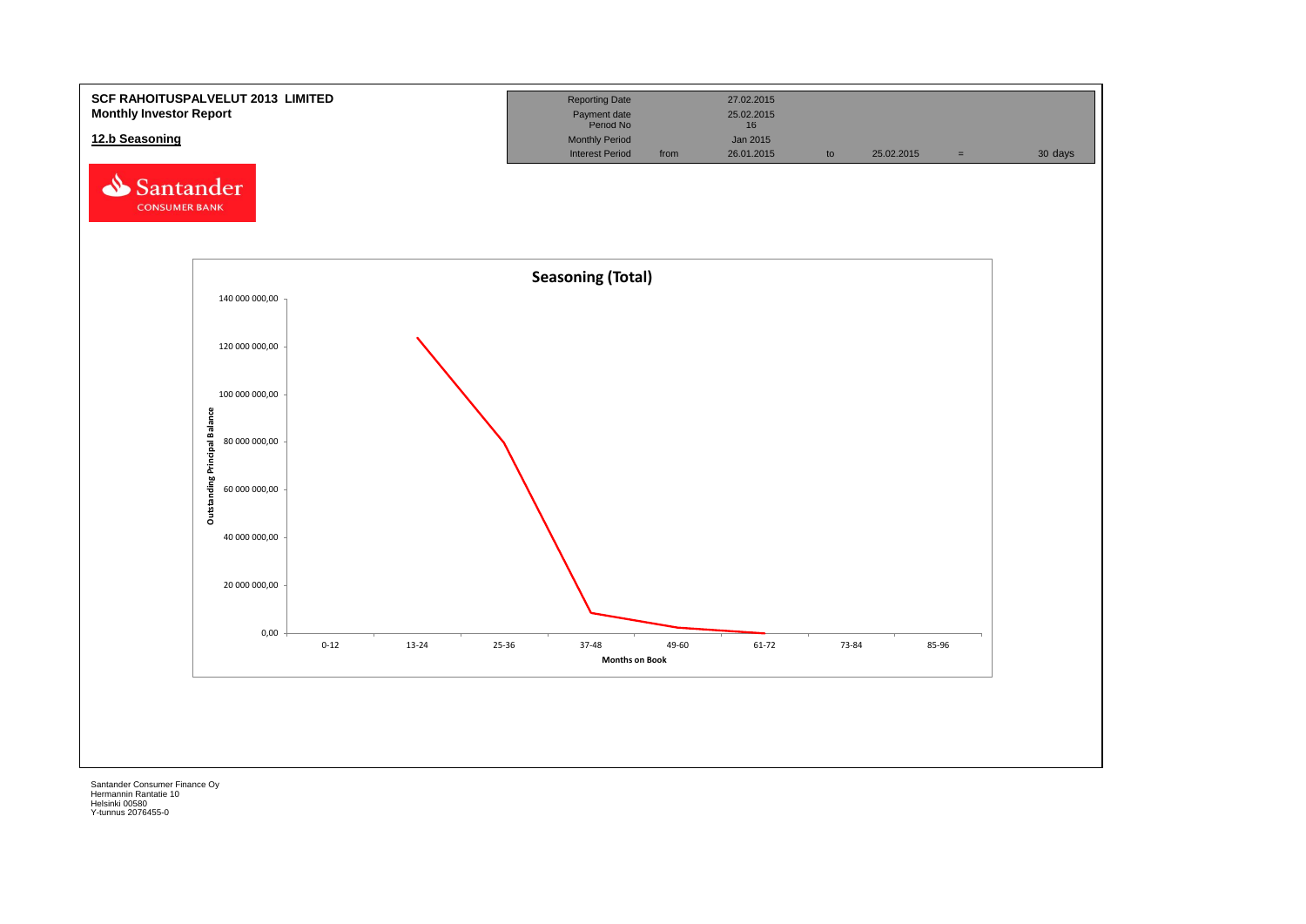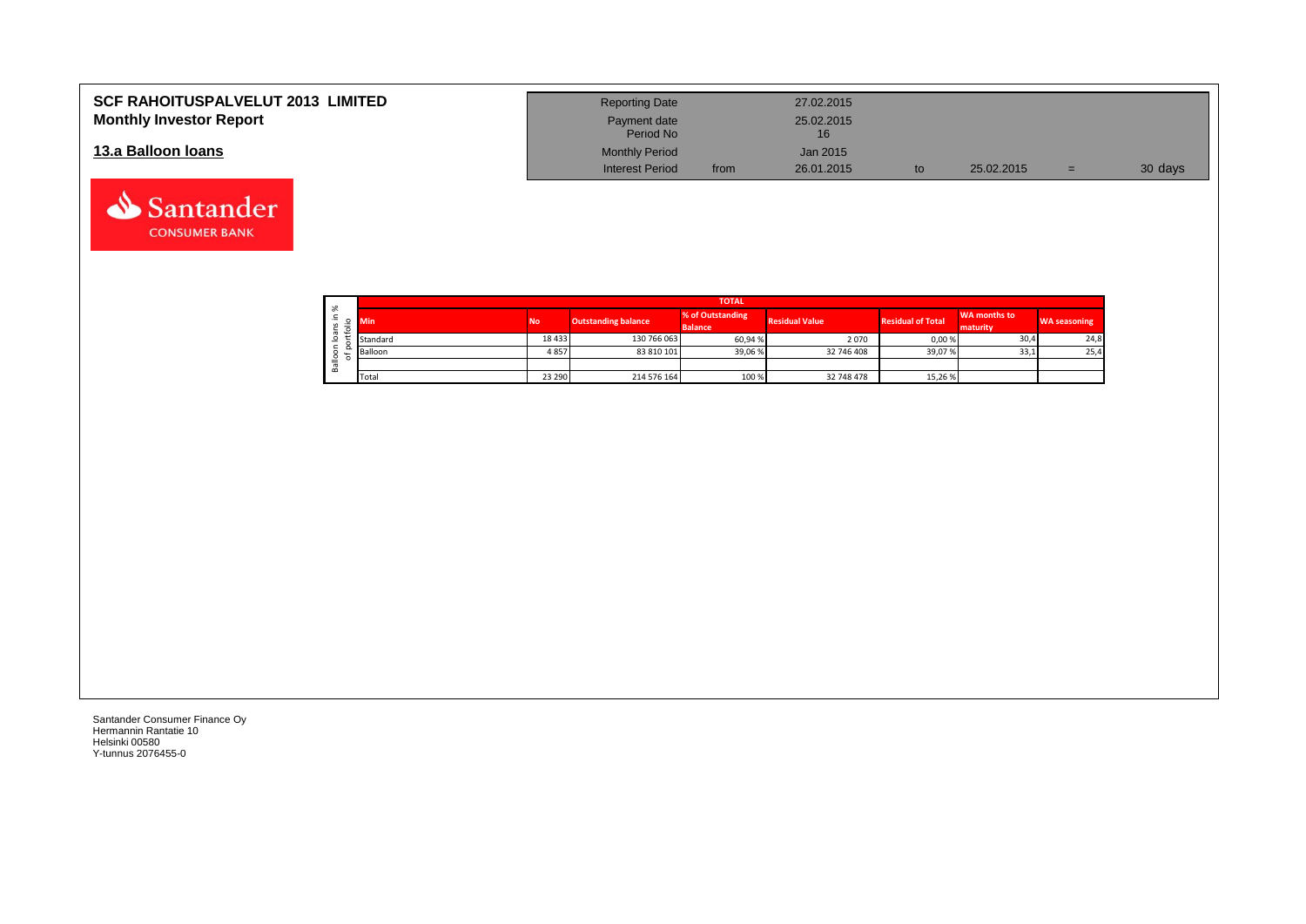| <b>SCF RAHOITUSPALVELUT 2013 LIMITED</b> | <b>Reporting Date</b>     |      | 27.02.2015       |            |     |         |
|------------------------------------------|---------------------------|------|------------------|------------|-----|---------|
| <b>Monthly Investor Report</b>           | Payment date<br>Period No |      | 25.02.2015<br>16 |            |     |         |
| 13.a Balloon Ioans                       | <b>Monthly Period</b>     |      | Jan 2015         |            |     |         |
|                                          | <b>Interest Period</b>    | from | 26.01.2015       | 25.02.2015 | $=$ | 30 days |

| $\sim$       |            |           |                            | <b>TOTAL</b>                       |                       |                          |                                 |                     |
|--------------|------------|-----------|----------------------------|------------------------------------|-----------------------|--------------------------|---------------------------------|---------------------|
| ∸.<br>o<br>⋍ | <b>Min</b> | <b>No</b> | <b>Outstanding balance</b> | % of Outstanding<br><b>Balance</b> | <b>Residual Value</b> | <b>Residual of Total</b> | <b>WA months to</b><br>maturity | <b>WA seasoning</b> |
| -            | Standard   | 18433     | 130 766 063                | 60,94 %                            | 2070                  | 0,00 %                   | 30,4                            | 24,8                |
|              | Balloon    | 4857      | 83 810 101                 | 39,06 %                            | 32 746 408            | 39,07 %                  | 33,1                            | 25,4                |
| ≚<br>≃       |            |           |                            |                                    |                       |                          |                                 |                     |
|              | Total      | 23 290    | 214 576 164                | 100 %                              | 32 748 478            | 15,26 %                  |                                 |                     |

┑

Santander Consumer Finance Oy Hermannin Rantatie 10 Helsinki 00580 Y-tunnus 2076455-0

Santander **CONSUMER BANK**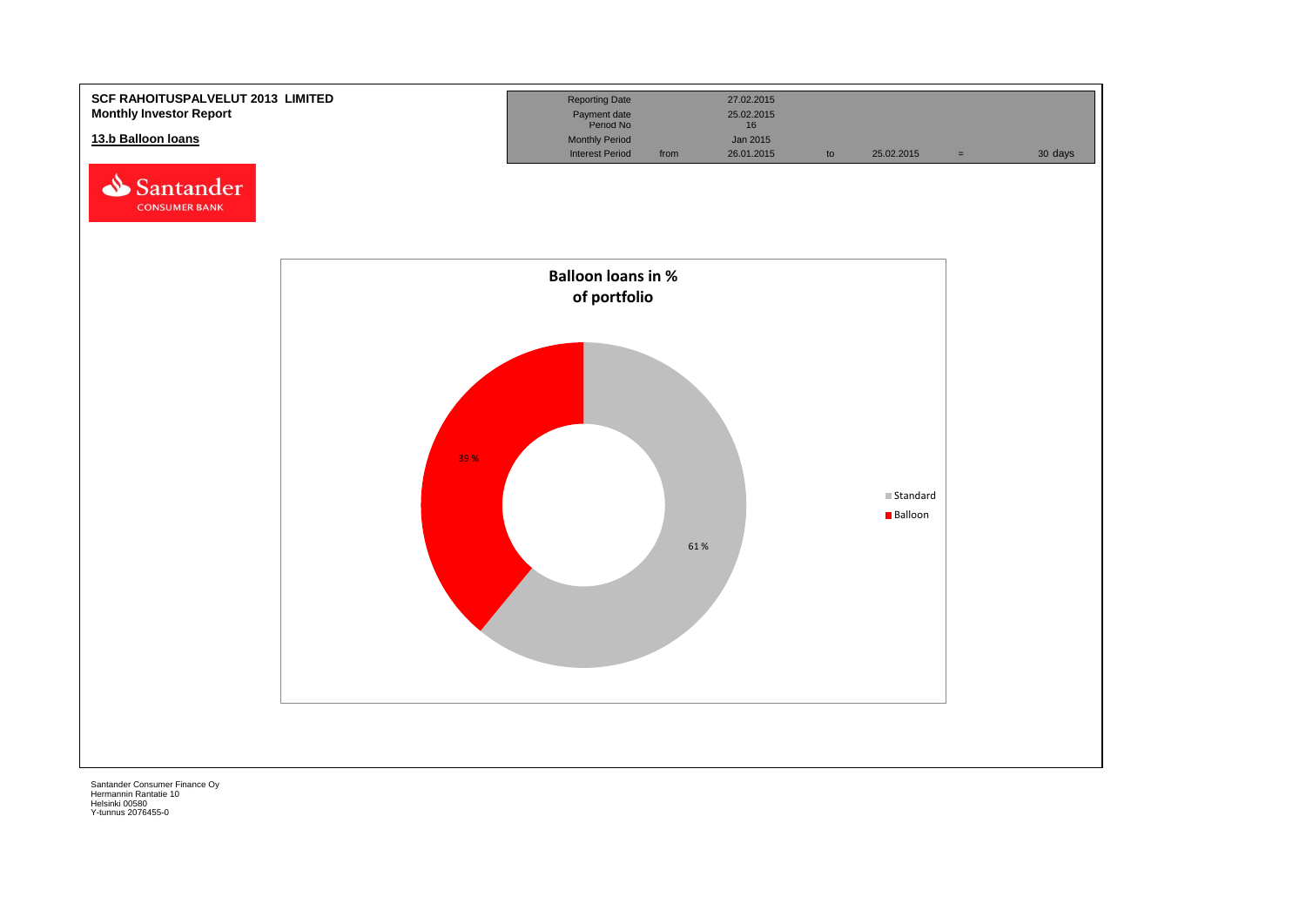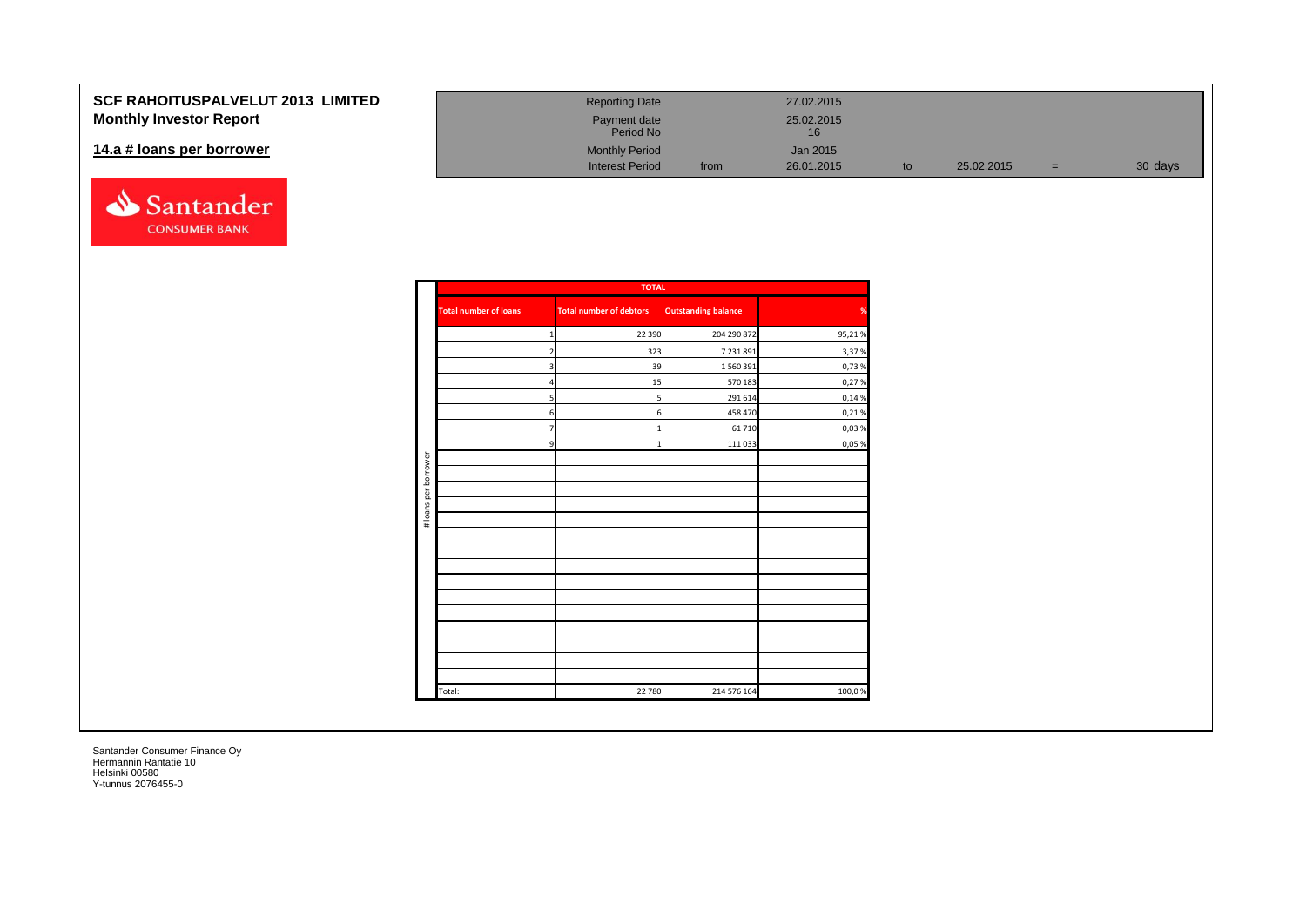#### **SCF RAHOITUSPALVELUT 20 Monthly Investor Report**

#### 14.a # loans per borrower



| <b>013 LIMITED</b> | <b>Reporting Date</b>     |      | 27.02.2015       |    |            |     |         |
|--------------------|---------------------------|------|------------------|----|------------|-----|---------|
|                    | Payment date<br>Period No |      | 25.02.2015<br>16 |    |            |     |         |
|                    | <b>Monthly Period</b>     |      | Jan 2015         |    |            |     |         |
|                    | <b>Interest Period</b>    | from | 26.01.2015       | to | 25.02.2015 | $=$ | 30 days |

|                      |                              | <b>TOTAL</b>                   |                            |        |
|----------------------|------------------------------|--------------------------------|----------------------------|--------|
|                      | <b>Total number of loans</b> | <b>Total number of debtors</b> | <b>Outstanding balance</b> | %      |
|                      |                              | 22 3 9 0                       | 204 290 872                | 95,21% |
|                      | $\overline{2}$               | 323                            | 7 231 891                  | 3,37%  |
|                      | 3                            | 39                             | 1 560 391                  | 0,73%  |
|                      | $\overline{4}$               | 15                             | 570 183                    | 0,27%  |
|                      | 5 <sub>l</sub>               | 5                              | 291 614                    | 0,14 % |
|                      | 6                            | 6                              | 458 470                    | 0,21%  |
|                      | $\overline{7}$               | $\mathbf{1}$                   | 61 710                     | 0,03%  |
|                      | 9                            | $\mathbf{1}$                   | 111 033                    | 0,05%  |
|                      |                              |                                |                            |        |
| # loans per borrower |                              |                                |                            |        |
|                      |                              |                                |                            |        |
|                      |                              |                                |                            |        |
|                      |                              |                                |                            |        |
|                      |                              |                                |                            |        |
|                      |                              |                                |                            |        |
|                      |                              |                                |                            |        |
|                      |                              |                                |                            |        |
|                      |                              |                                |                            |        |
|                      |                              |                                |                            |        |
|                      |                              |                                |                            |        |
|                      |                              |                                |                            |        |
|                      |                              |                                |                            |        |
|                      |                              |                                |                            |        |
|                      | Total:                       | 22 780                         | 214 576 164                | 100,0% |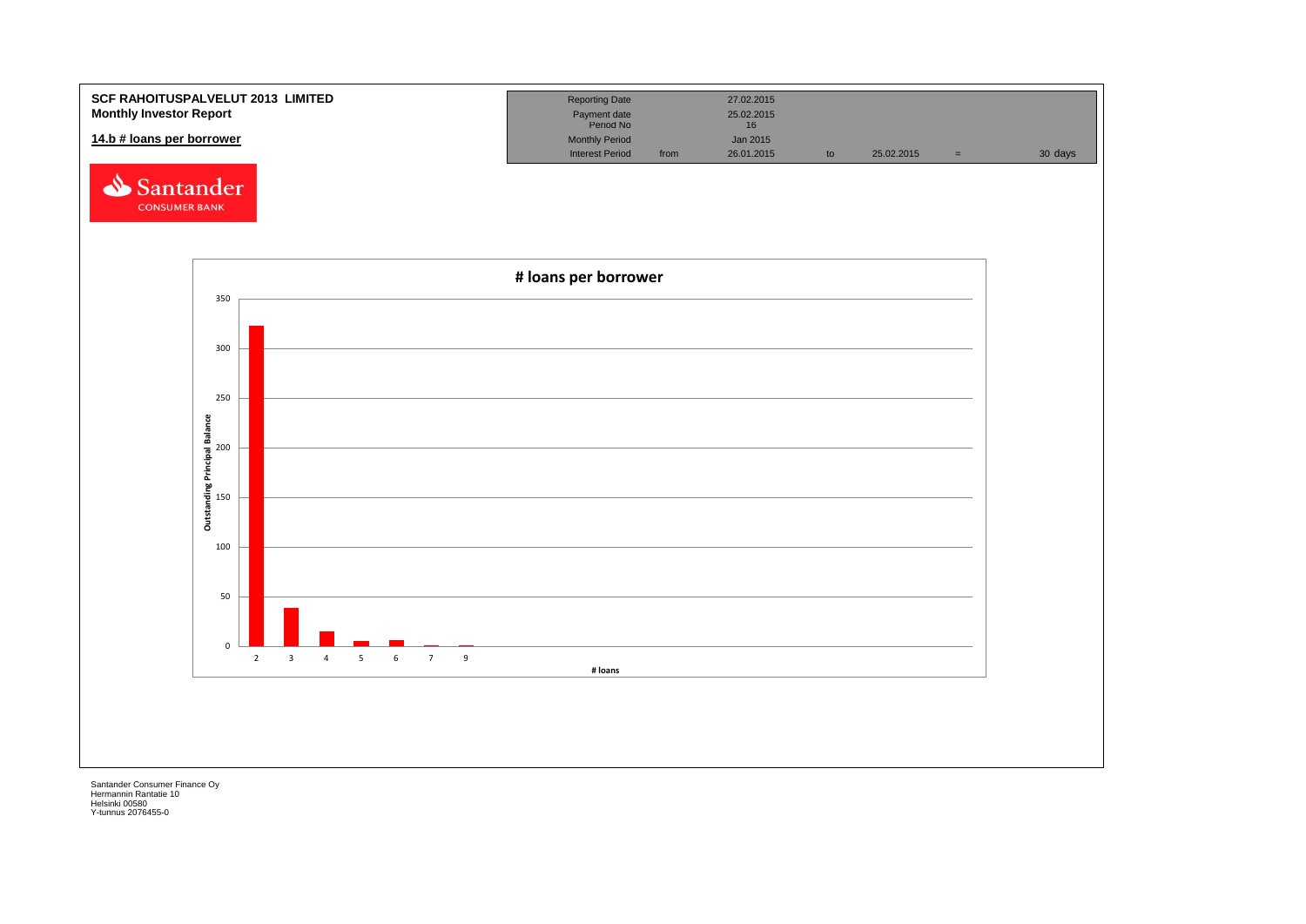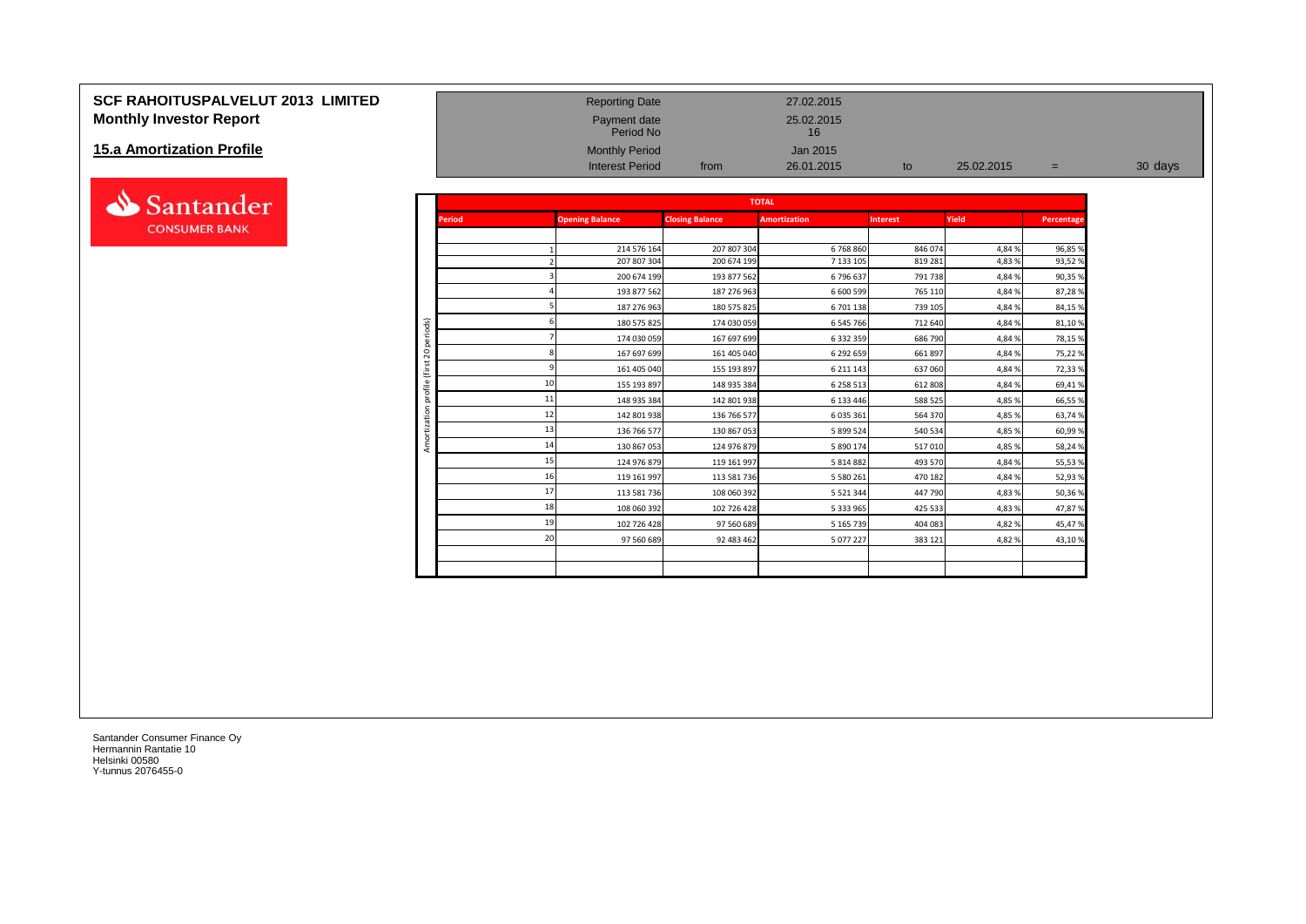#### **SCF RAHOITUSPALVELUT 2013 LIMITED** Reporting Date 27.02.2015 **Monthly Investor Report Payment date** 25.02.2015

#### **15.a Amortization Profile**



|                           |                |               | Period No              |                        | 16                  |                 |            |            |         |
|---------------------------|----------------|---------------|------------------------|------------------------|---------------------|-----------------|------------|------------|---------|
| 15.a Amortization Profile |                |               | <b>Monthly Period</b>  |                        | Jan 2015            |                 |            |            |         |
|                           |                |               | <b>Interest Period</b> | from                   | 26.01.2015          | to              | 25.02.2015 | $=$        | 30 days |
|                           |                |               |                        |                        |                     |                 |            |            |         |
| Santander                 |                |               |                        |                        | <b>TOTAL</b>        |                 |            |            |         |
| <b>CONSUMER BANK</b>      |                | <b>Period</b> | <b>Opening Balance</b> | <b>Closing Balance</b> | <b>Amortization</b> | <b>Interest</b> | Yield      | Percentage |         |
|                           |                |               |                        |                        |                     |                 |            |            |         |
|                           |                |               | 214 576 164            | 207 807 304            | 6768860             | 846 074         | 4,84 %     | 96,85 %    |         |
|                           |                |               | 207 807 304            | 200 674 199            | 7 133 105           | 819 281         | 4,83 %     | 93,52%     |         |
|                           |                |               | 200 674 199            | 193 877 562            | 6796637             | 791 738         | 4,84 %     | 90,35%     |         |
|                           |                |               | 193 877 562            | 187 276 963            | 6 600 599           | 765 110         | 4,84 %     | 87,28%     |         |
|                           |                |               | 187 276 963            | 180 575 825            | 6 701 138           | 739 105         | 4,84 %     | 84,15%     |         |
|                           | riods)         |               | 180 575 825            | 174 030 059            | 6 545 766           | 712 640         | 4,84 %     | 81,10%     |         |
|                           | å              |               | 174 030 059            | 167 697 699            | 6 332 359           | 686 790         | 4,84 %     | 78,15%     |         |
|                           | $\overline{c}$ |               | 167 697 699            | 161 405 040            | 6 292 659           | 661 897         | 4,84 %     | 75,22%     |         |
|                           | $\overline{ }$ |               | 161 405 040            | 155 193 897            | 6 211 143           | 637 060         | 4,84 %     | 72,33%     |         |
|                           | ofile          |               | 155 193 897            | 148 935 384            | 6 258 513           | 612 808         | 4,84 %     | 69,41%     |         |
|                           | ā              |               | 148 935 384            | 142 801 938            | 6 133 446           | 588 525         | 4,85 %     | 66,55 %    |         |
|                           | 6              |               | 142 801 938            | 136 766 577            | 6 035 361           | 564 370         | 4,85 %     | 63,74%     |         |
|                           |                |               | 136 766 577            | 130 867 053            | 5 899 524           | 540 534         | 4,85 %     | 60,99%     |         |
|                           | Amo            | 14            | 130 867 053            | 124 976 879            | 5 890 174           | 517 010         | 4,85 %     | 58,24%     |         |
|                           |                |               | 124 976 879            | 119 161 997            | 5 814 882           | 493 570         | 4,84 %     | 55,53%     |         |
|                           |                | 16            | 119 161 997            | 113 581 736            | 5 580 261           | 470 182         | 4,84 %     | 52,93%     |         |
|                           |                |               | 113 581 736            | 108 060 392            | 5 5 2 1 3 4 4       | 447 790         | 4,83 %     | 50,36%     |         |
|                           |                | 18            | 108 060 392            | 102 726 428            | 5 333 965           | 425 533         | 4,83 %     | 47,87%     |         |
|                           |                | 19            |                        |                        |                     |                 |            |            |         |
|                           |                | 20            | 102 726 428            | 97 560 689             | 5 165 739           | 404 083         | 4,82%      | 45,47%     |         |
|                           |                |               | 97 560 689             | 92 483 462             | 5 077 227           | 383 121         | 4,82%      | 43,10%     |         |
|                           |                |               |                        |                        |                     |                 |            |            |         |
|                           |                |               |                        |                        |                     |                 |            |            |         |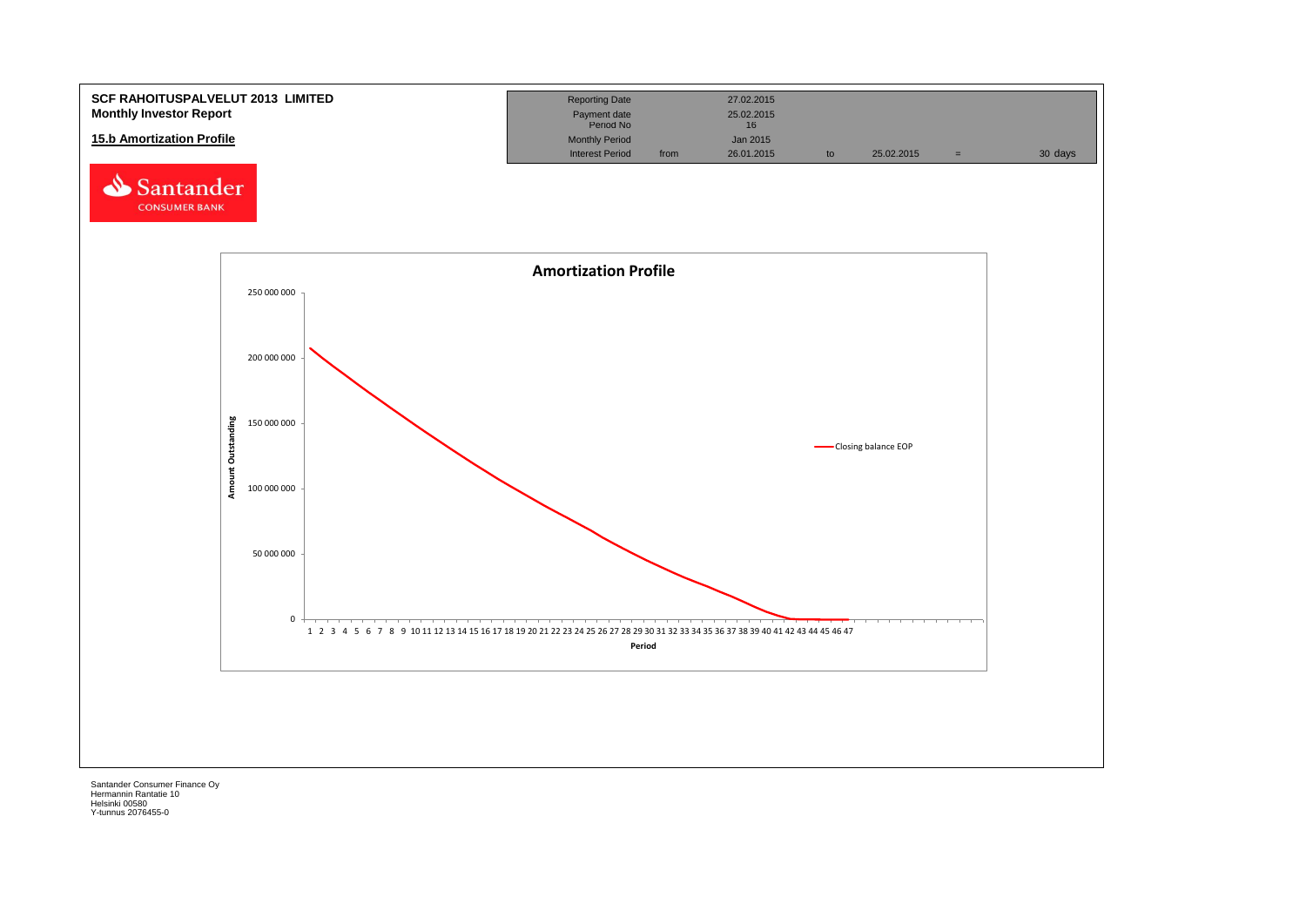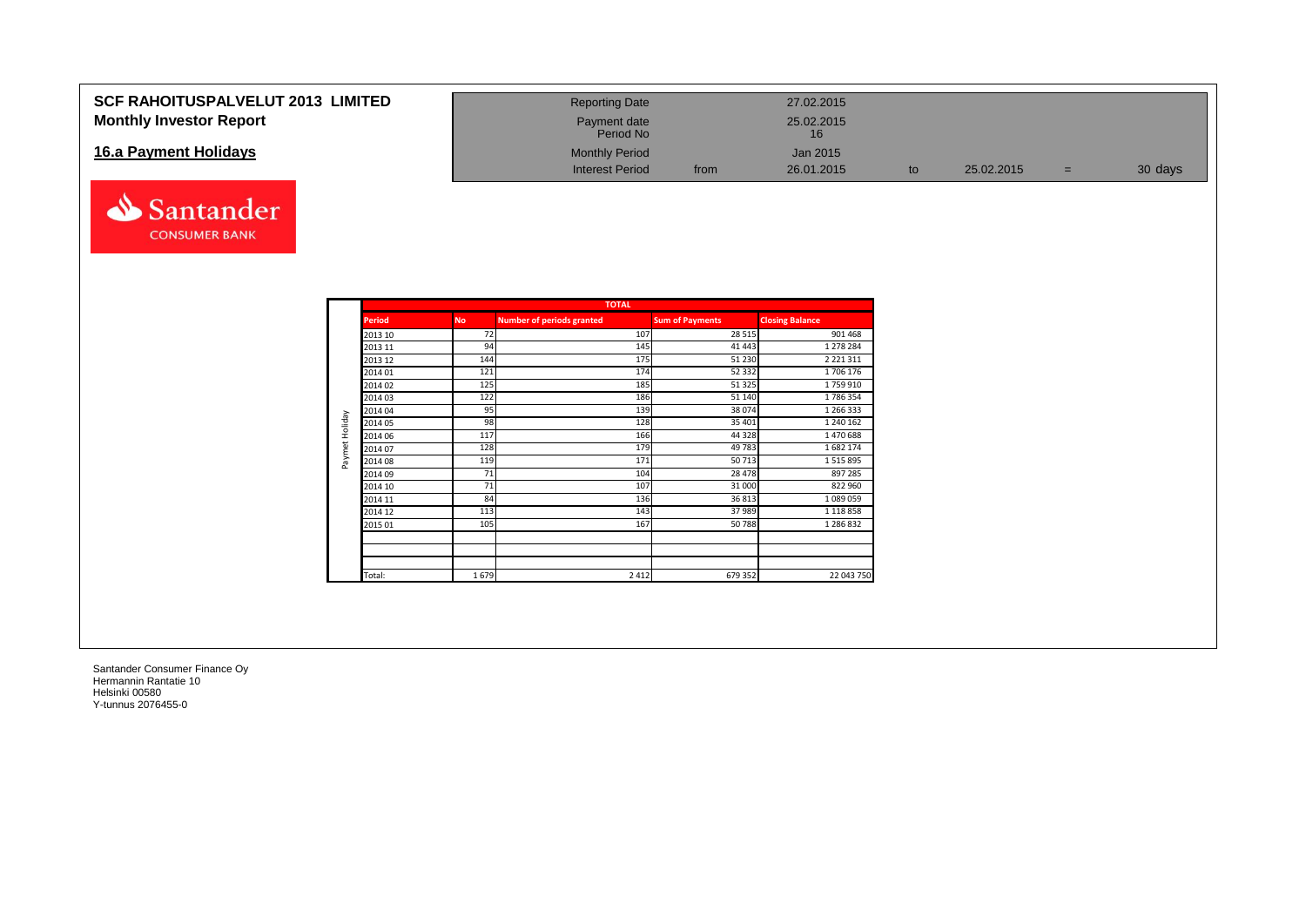#### **SCF RAHOITUSPALVELUT 2013 LIMITED Monthly Investor Report**

#### **16.a Payment Holidays**



| <b>Reporting Date</b>     |      | 27.02.2015       |    |            |          |         |
|---------------------------|------|------------------|----|------------|----------|---------|
| Payment date<br>Period No |      | 25.02.2015<br>16 |    |            |          |         |
| <b>Monthly Period</b>     |      | Jan 2015         |    |            |          |         |
| <b>Interest Period</b>    | from | 26.01.2015       | to | 25.02.2015 | $\equiv$ | 30 days |

|                |               |           | <b>TOTAL</b>                     |                        |                        |
|----------------|---------------|-----------|----------------------------------|------------------------|------------------------|
|                | <b>Period</b> | <b>No</b> | <b>Number of periods granted</b> | <b>Sum of Payments</b> | <b>Closing Balance</b> |
|                | 2013 10       | 72        | 107                              | 28 5 15                | 901 468                |
|                | 2013 11       | 94        | 145                              | 41 4 43                | 1 278 284              |
|                | 2013 12       | 144       | 175                              | 51 230                 | 2 2 2 1 3 1 1          |
|                | 2014 01       | 121       | 174                              | 52 332                 | 1706 176               |
|                | 2014 02       | 125       | 185                              | 51 325                 | 1759910                |
|                | 2014 03       | 122       | 186                              | 51 140                 | 1786354                |
|                | 2014 04       | 95        | 139                              | 38 0 74                | 1 266 333              |
| Paymet Holiday | 2014 05       | 98        | 128                              | 35 401                 | 1 240 162              |
|                | 2014 06       | 117       | 166                              | 44 3 28                | 1470688                |
|                | 2014 07       | 128       | 179                              | 49783                  | 1682174                |
|                | 2014 08       | 119       | 171                              | 50713                  | 1515895                |
|                | 2014 09       | 71        | 104                              | 28 4 78                | 897 285                |
|                | 2014 10       | 71        | 107                              | 31 000                 | 822 960                |
|                | 2014 11       | 84        | 136                              | 36813                  | 1089059                |
|                | 2014 12       | 113       | 143                              | 37 989                 | 1 1 1 8 8 5 8          |
|                | 2015 01       | 105       | 167                              | 50788                  | 1 286 832              |
|                |               |           |                                  |                        |                        |
|                |               |           |                                  |                        |                        |
|                | Total:        | 1679      | 2 4 1 2                          | 679 352                | 22 043 750             |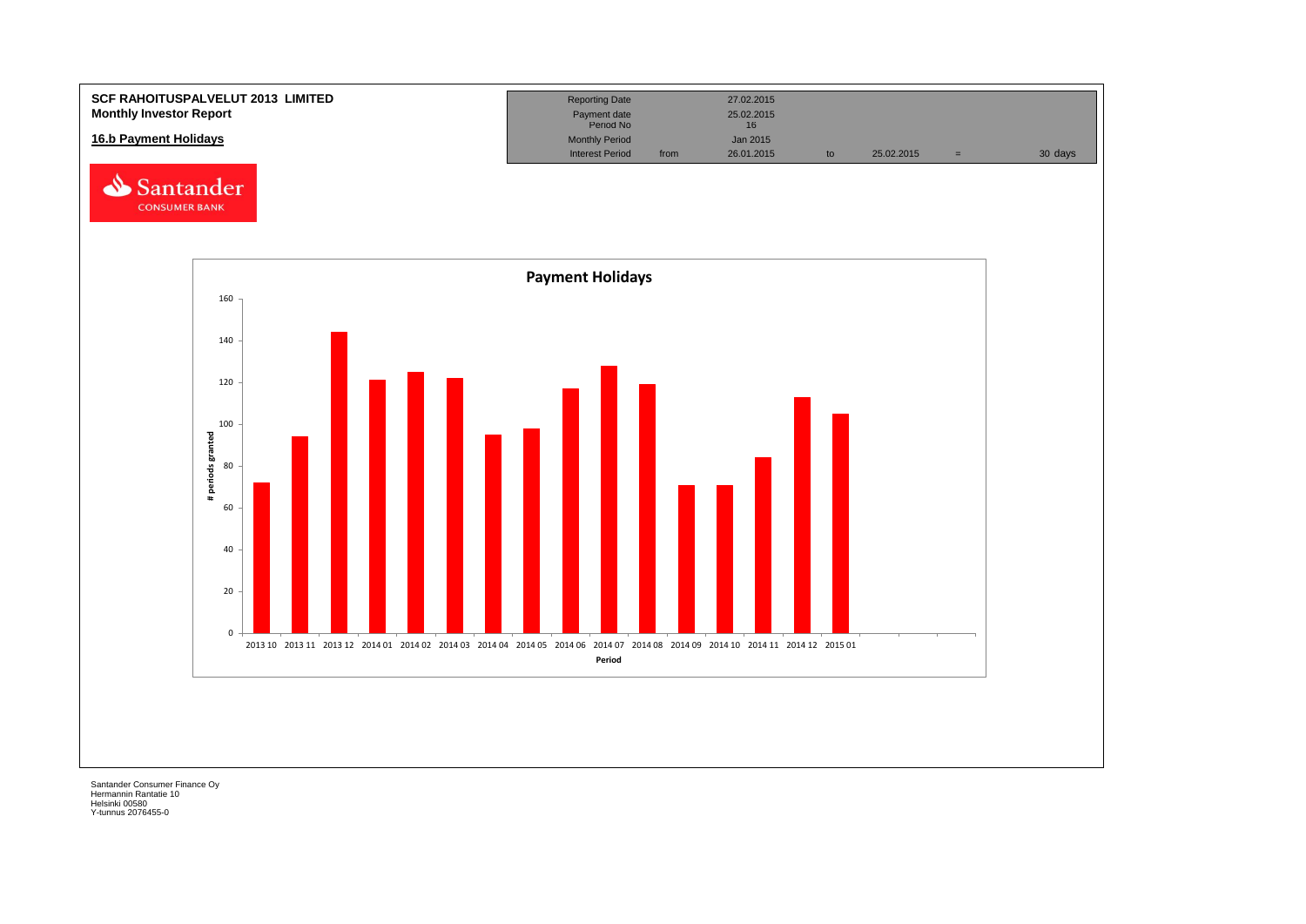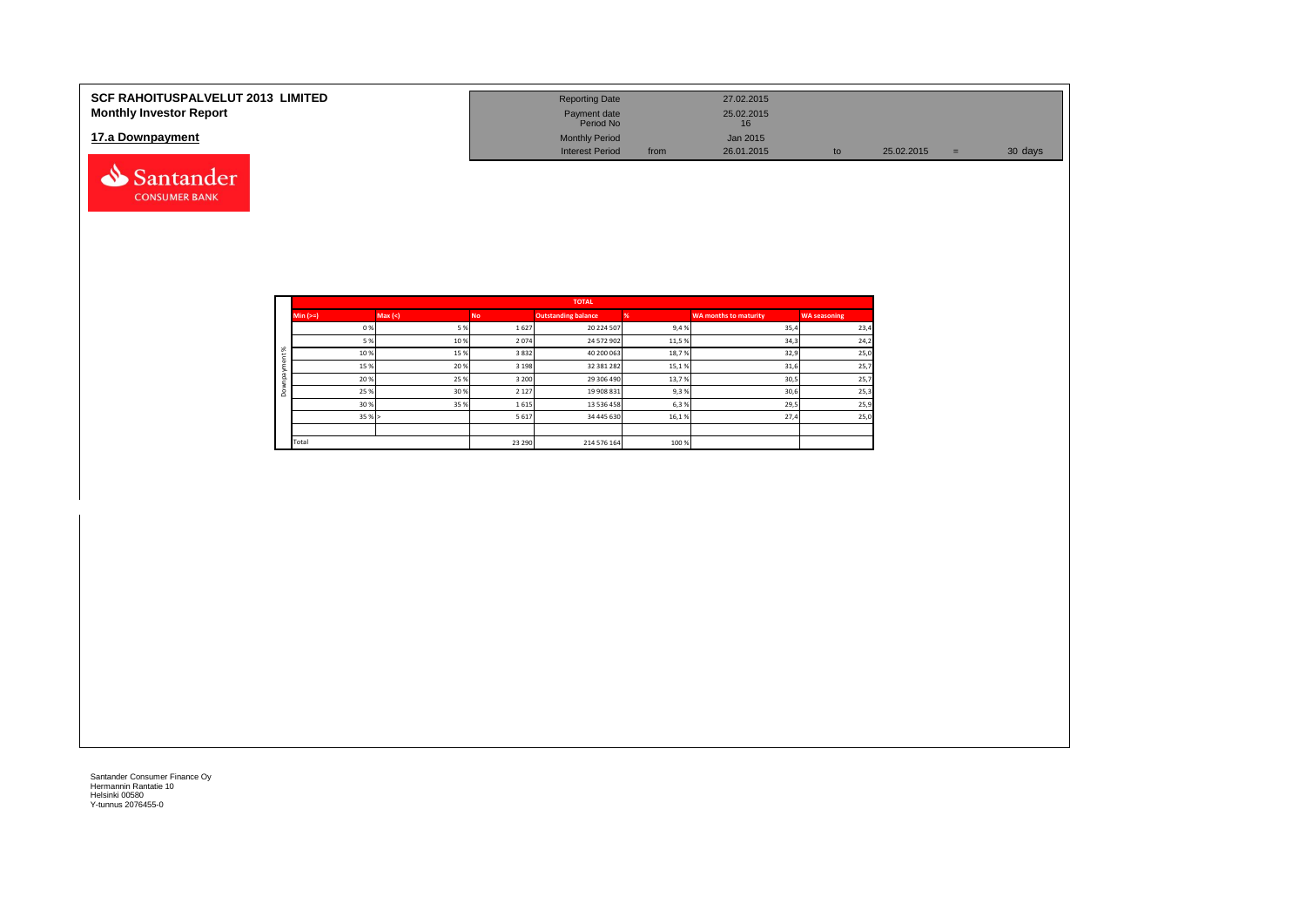| <b>SCF RAHOITUSPALVELUT 2013 LIMITED</b><br><b>Monthly Investor Report</b> | <b>Reporting Date</b><br>Payment date<br>Period No |      | 27.02.2015<br>25.02.2015<br>16 |    |            |      |         |
|----------------------------------------------------------------------------|----------------------------------------------------|------|--------------------------------|----|------------|------|---------|
| 17.a Downpayment                                                           | <b>Monthly Period</b><br><b>Interest Period</b>    | from | Jan 2015<br>26.01.2015         | to | 25.02.2015 | v er | 30 days |
| antander                                                                   |                                                    |      |                                |    |            |      |         |

|              |            |         |           | <b>TOTAL</b>               |       |                       |                     |
|--------------|------------|---------|-----------|----------------------------|-------|-----------------------|---------------------|
|              | $Min (==)$ | Max (<) | <b>No</b> | <b>Outstanding balance</b> |       | WA months to maturity | <b>WA seasoning</b> |
|              | 0%         | 5 %     | 1627      | 20 224 507                 | 9,4%  | 35,4                  | 23,4                |
|              | 5 %        | 10%     | 2074      | 24 572 902                 | 11,5% | 34,3                  | 24,2                |
| ೫            | 10%        | 15 %    | 3832      | 40 200 063                 | 18,7% | 32,9                  | 25,0                |
| ۰            | 15 %       | 20 %    | 3 1 9 8   | 32 381 282                 | 15,1% | 31,6                  | 25,7                |
| $\bar{a}$    | 20%        | 25 %    | 3 2 0 0   | 29 306 490                 | 13,7% | 30,5                  | 25,7                |
| ۰<br>$\circ$ | 25 %       | 30 %    | 2 1 2 7   | 19 908 831                 | 9,3%  | 30,6                  | 25,3                |
|              | 30 %       | 35 %    | 1615      | 13 536 458                 | 6,3%  | 29,5                  | 25,9                |
|              | 35%        |         | 5 6 1 7   | 34 445 630                 | 16,1% | 27,4                  | 25,0                |
|              |            |         |           |                            |       |                       |                     |
|              | Total      |         | 23 29 0   | 214 576 164                | 100 % |                       |                     |

**CONSUMER BANK**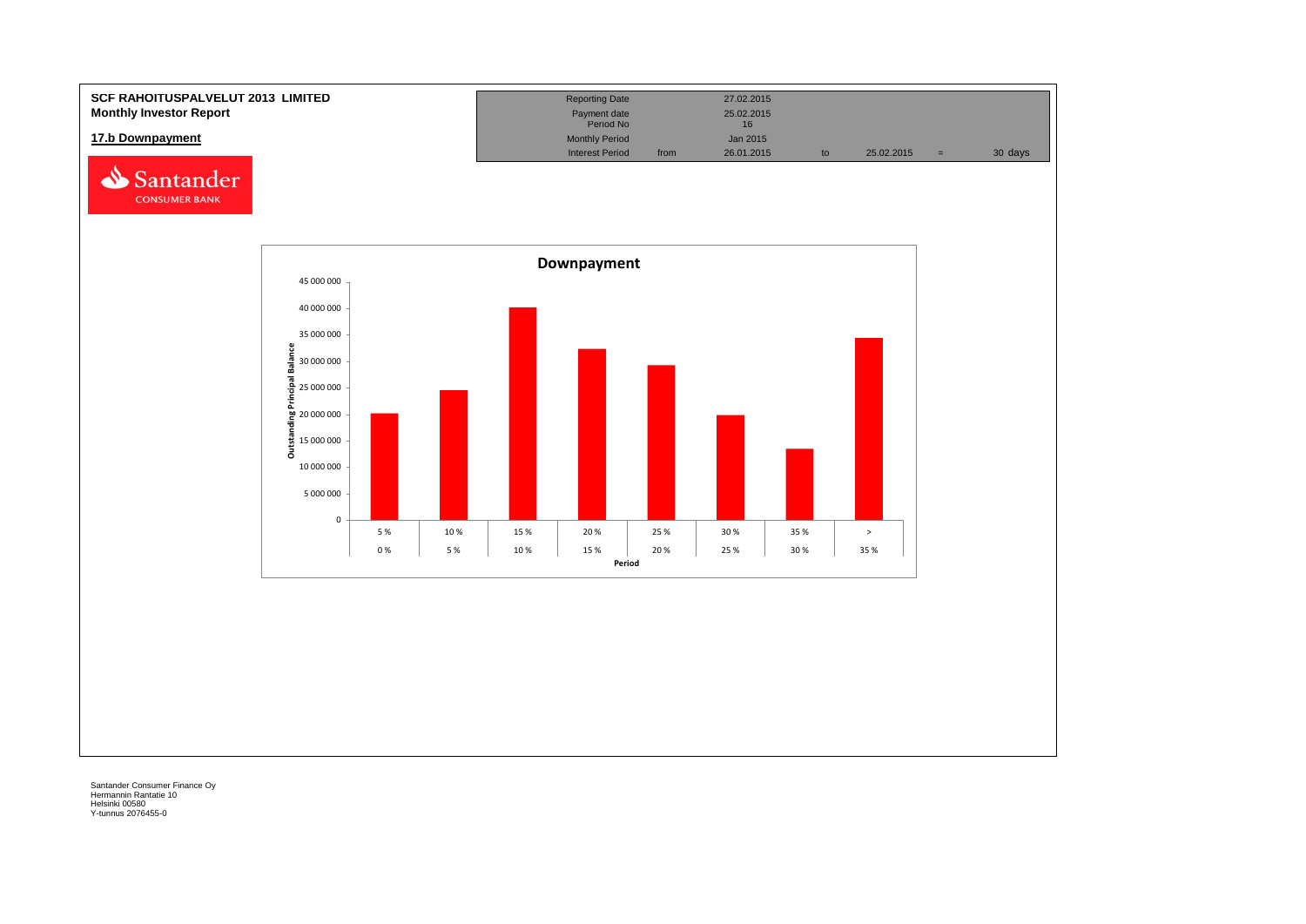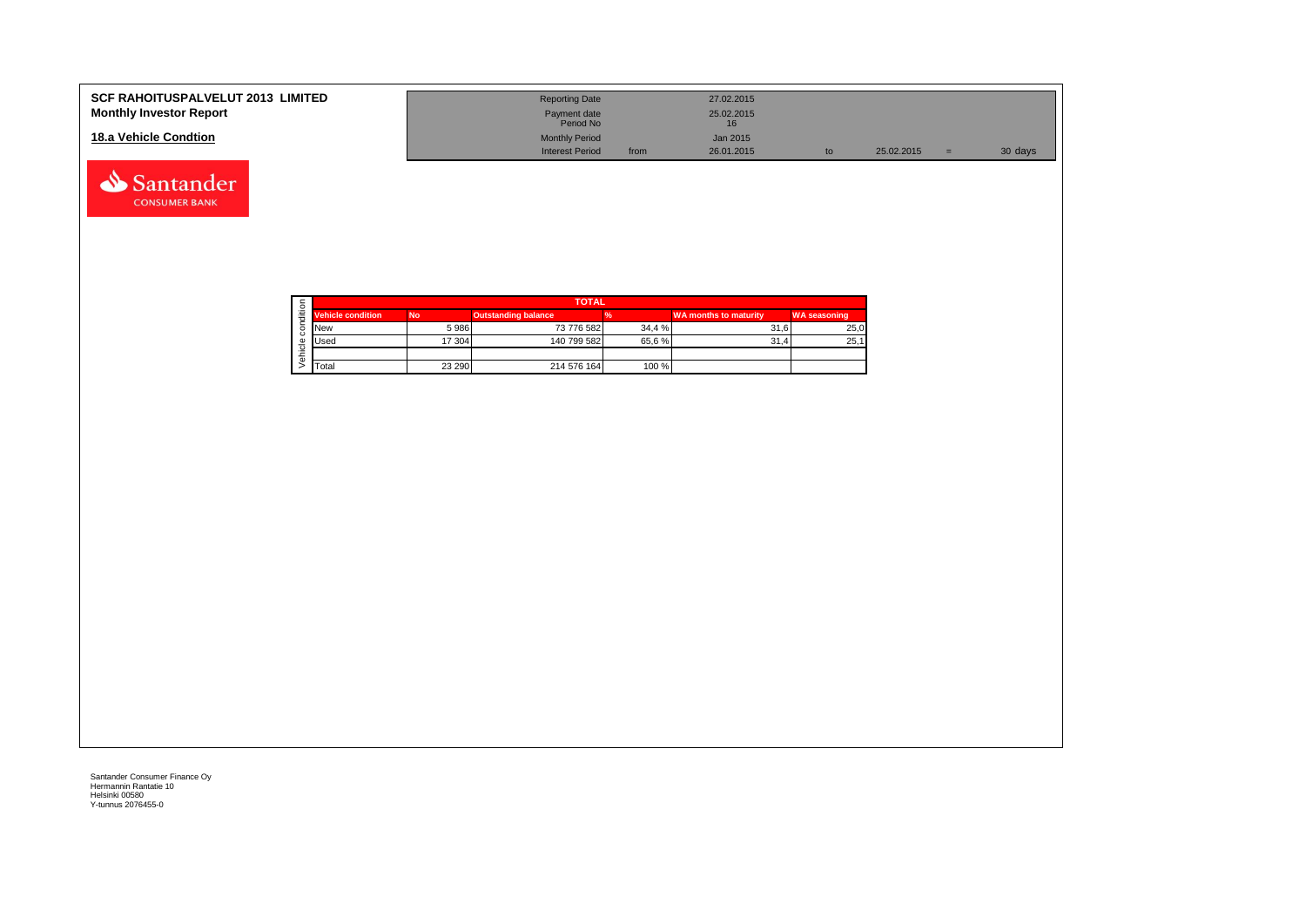| <b>SCF RAHOITUSPALVELUT 2013 LIMITED</b><br><b>Monthly Investor Report</b> | <b>Reporting Date</b><br>Payment date<br>Period No |      | 27.02.2015<br>25.02.2015 |    |            |     |         |
|----------------------------------------------------------------------------|----------------------------------------------------|------|--------------------------|----|------------|-----|---------|
| 18.a Vehicle Condtion                                                      | <b>Monthly Period</b><br><b>Interest Period</b>    | from | Jan 2015<br>26.01.2015   | to | 25.02.2015 | $=$ | 30 days |

|   |                          | <b>TOTAL</b><br><b>Outstanding balance</b><br><b>No</b><br>73 776 582<br>34.4 %<br>5986<br>17 304<br>140 799 582<br>65.6%<br>100 %<br>23 290<br>214 576 164 |  |                              |                     |  |  |
|---|--------------------------|-------------------------------------------------------------------------------------------------------------------------------------------------------------|--|------------------------------|---------------------|--|--|
| ≝ | <b>Vehicle condition</b> |                                                                                                                                                             |  | <b>WA months to maturity</b> | <b>WA seasoning</b> |  |  |
|   | <b>New</b>               |                                                                                                                                                             |  | 31.6                         | 25,0                |  |  |
|   | <b>Used</b>              |                                                                                                                                                             |  | 31.4                         | 25,1                |  |  |
|   |                          |                                                                                                                                                             |  |                              |                     |  |  |
|   | Total                    |                                                                                                                                                             |  |                              |                     |  |  |

Santander **CONSUMER BANK**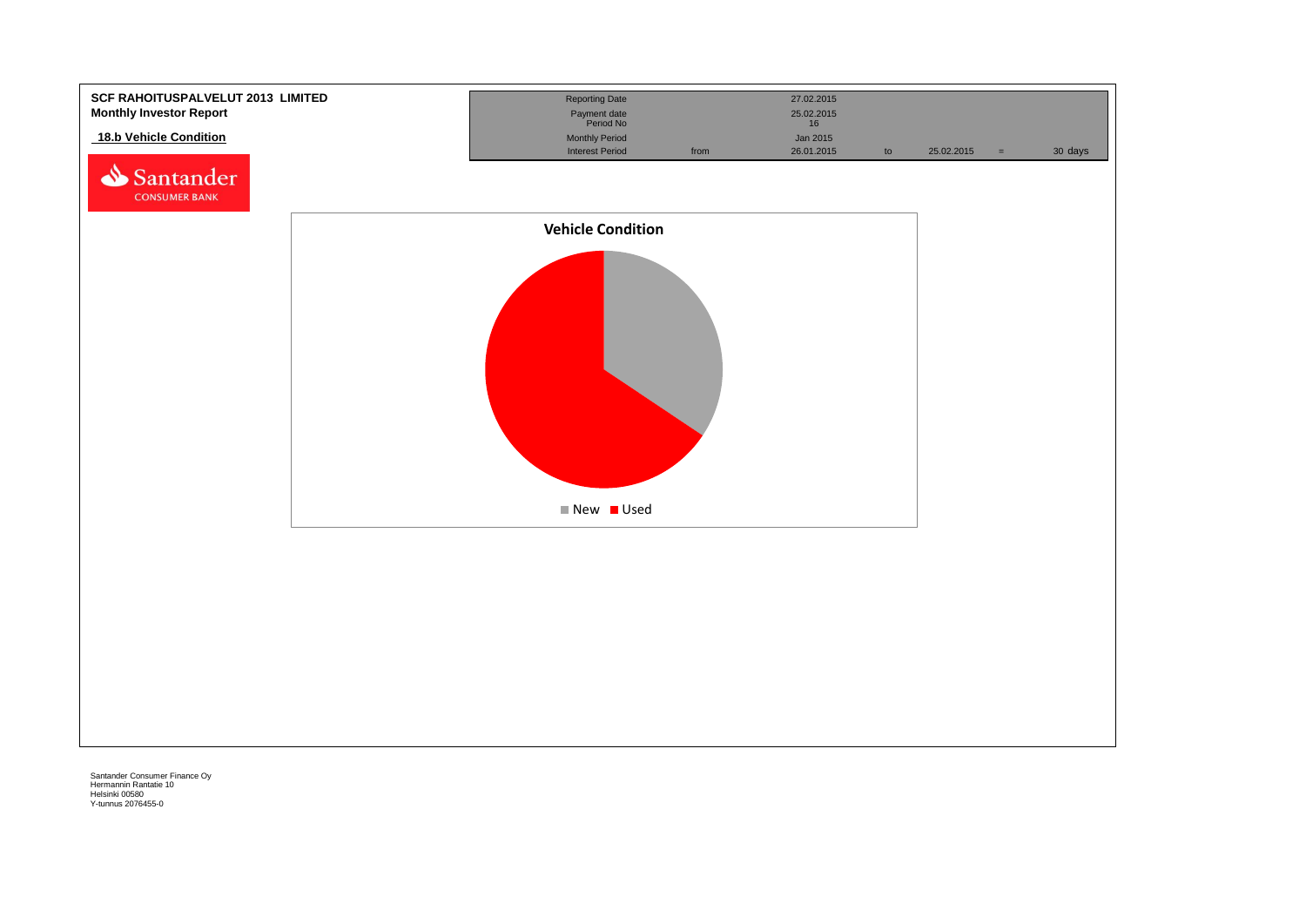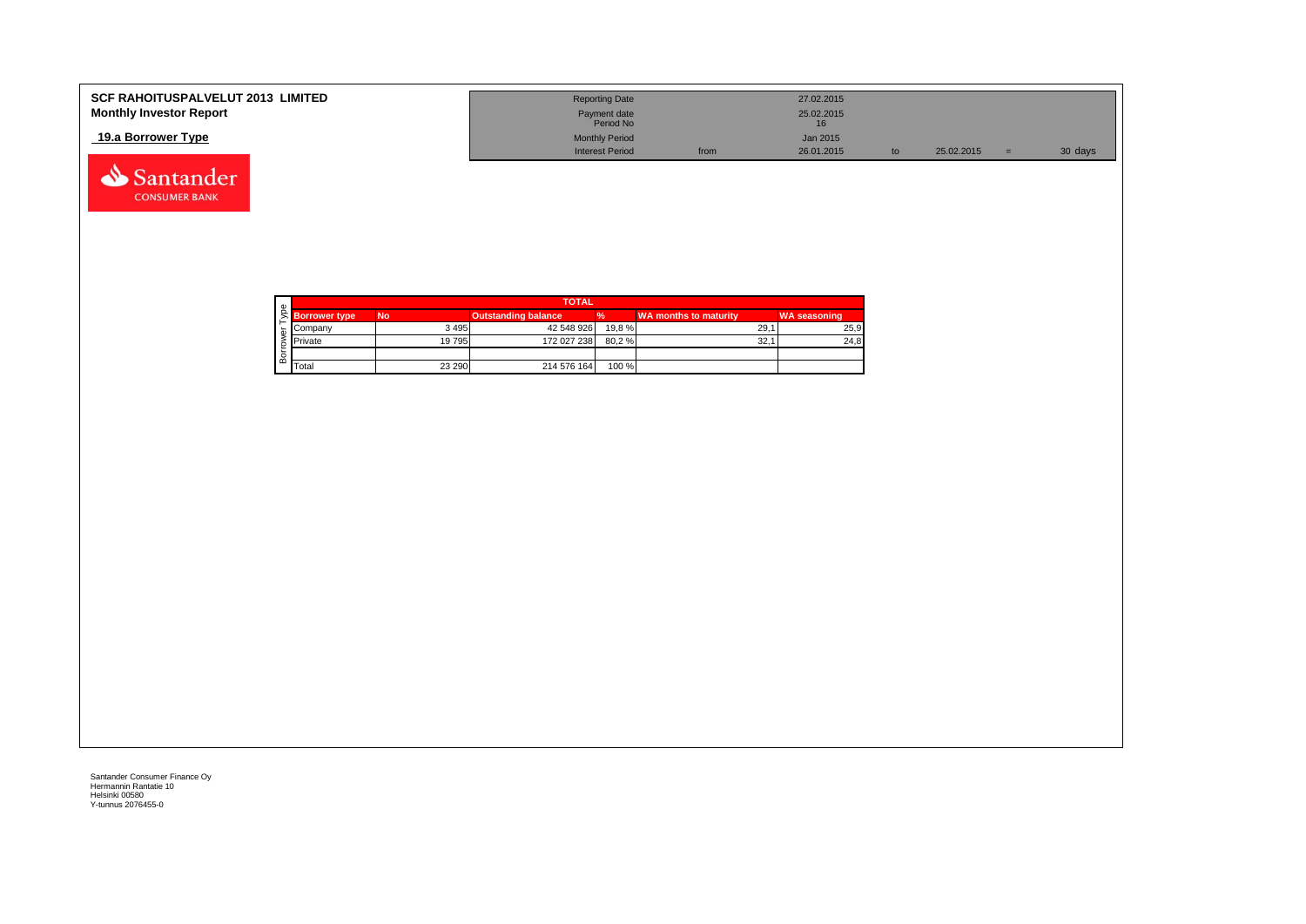| <b>SCF RAHOITUSPALVELUT 2013 LIMITED</b><br><b>Monthly Investor Report</b> | <b>Reporting Date</b><br>Payment date<br>Period No |      | 27.02.2015<br>25.02.2015 |            |         |
|----------------------------------------------------------------------------|----------------------------------------------------|------|--------------------------|------------|---------|
| 19.a Borrower Type                                                         | <b>Monthly Period</b><br><b>Interest Period</b>    | from | Jan 2015<br>26.01.2015   | 25.02.2015 | 30 days |



 $\begin{array}{|c|c|c|c|}\n\hline\n\end{array}$  Total  $\begin{array}{|c|c|c|}\n\hline\n\end{array}$  23 290  $\begin{array}{|c|c|c|}\n\hline\n\end{array}$  214 576 164  $\begin{array}{|c|c|}\n\hline\n\end{array}$  100 %

Santander Consumer Finance Oy Hermannin Rantatie 10 Helsinki 00580 Y-tunnus 2076455-0

Santander **CONSUMER BANK**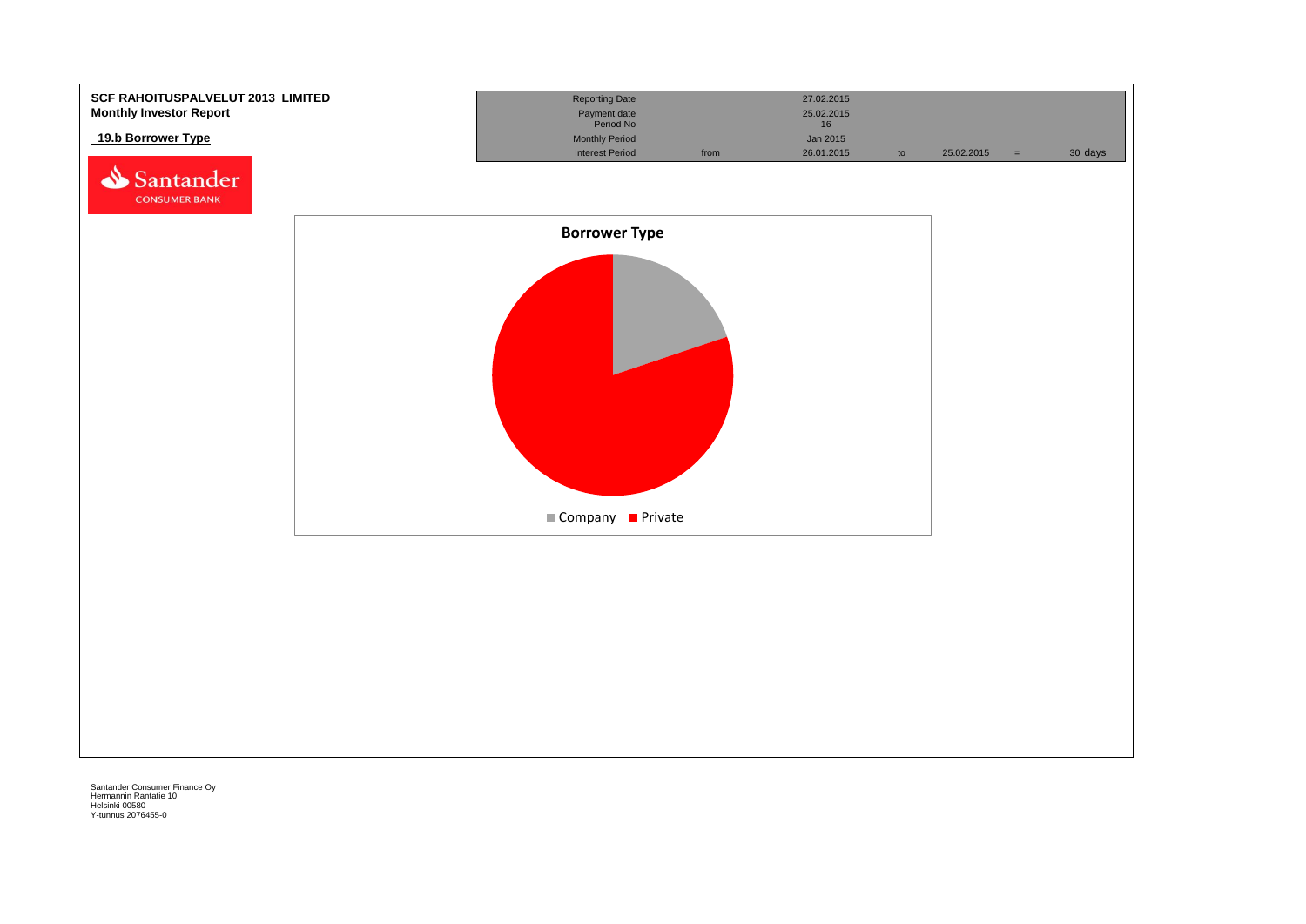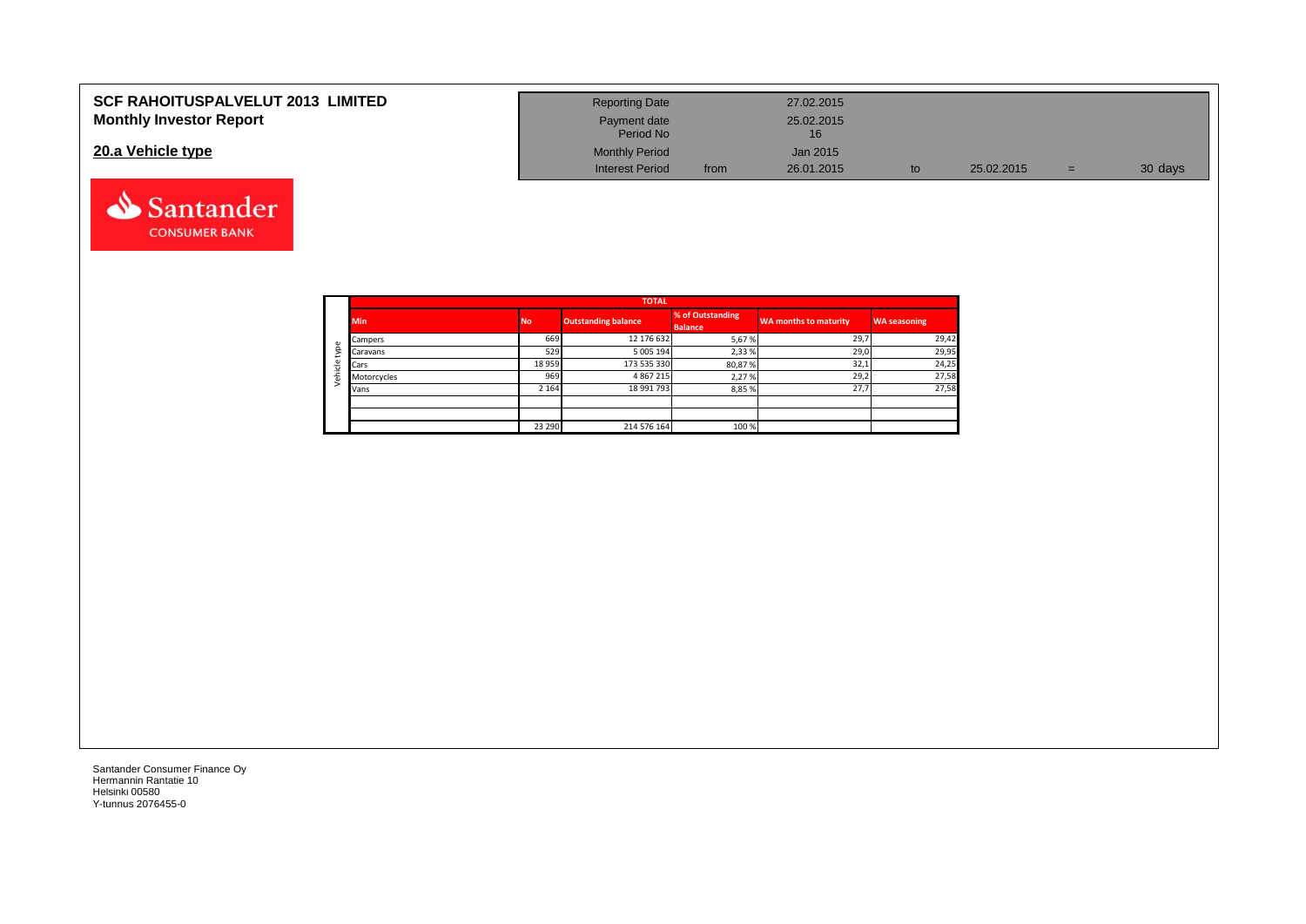| <b>SCF RAHOITUSPALVELUT 2013 LIMITED</b> | <b>Reporting Date</b>     |      | 27.02.2015       |            |     |         |
|------------------------------------------|---------------------------|------|------------------|------------|-----|---------|
| <b>Monthly Investor Report</b>           | Payment date<br>Period No |      | 25.02.2015<br>16 |            |     |         |
| 20.a Vehicle type                        | <b>Monthly Period</b>     |      | Jan 2015         |            |     |         |
|                                          | <b>Interest Period</b>    | from | 26.01.2015       | 25.02.2015 | $=$ | 30 days |

|                | <b>TOTAL</b> |           |                            |                                    |                       |                     |  |  |  |  |  |  |
|----------------|--------------|-----------|----------------------------|------------------------------------|-----------------------|---------------------|--|--|--|--|--|--|
|                | <b>Min</b>   | <b>No</b> | <b>Outstanding balance</b> | % of Outstanding<br><b>Balance</b> | WA months to maturity | <b>WA seasoning</b> |  |  |  |  |  |  |
| $\mathbbmss{}$ | Campers      | 669       | 12 176 632                 | 5,67%                              | 29,7                  | 29,42               |  |  |  |  |  |  |
| g              | Caravans     | 529       | 5 005 194                  | 2,33%                              | 29,0                  | 29,95               |  |  |  |  |  |  |
|                | Cars         | 18 9 59   | 173 535 330                | 80,87%                             | 32,1                  | 24,25               |  |  |  |  |  |  |
| ehicle         | Motorcycles  | 969       | 4867215                    | 2,27%                              | 29,2                  | 27,58               |  |  |  |  |  |  |
|                | Vans         | 2 1 6 4   | 18 991 793                 | 8,85%                              | 27,7                  | 27,58               |  |  |  |  |  |  |
|                |              |           |                            |                                    |                       |                     |  |  |  |  |  |  |
|                |              |           |                            |                                    |                       |                     |  |  |  |  |  |  |
|                |              | 23 290    | 214 576 164                | 100 %                              |                       |                     |  |  |  |  |  |  |

Santander **CONSUMER BANK**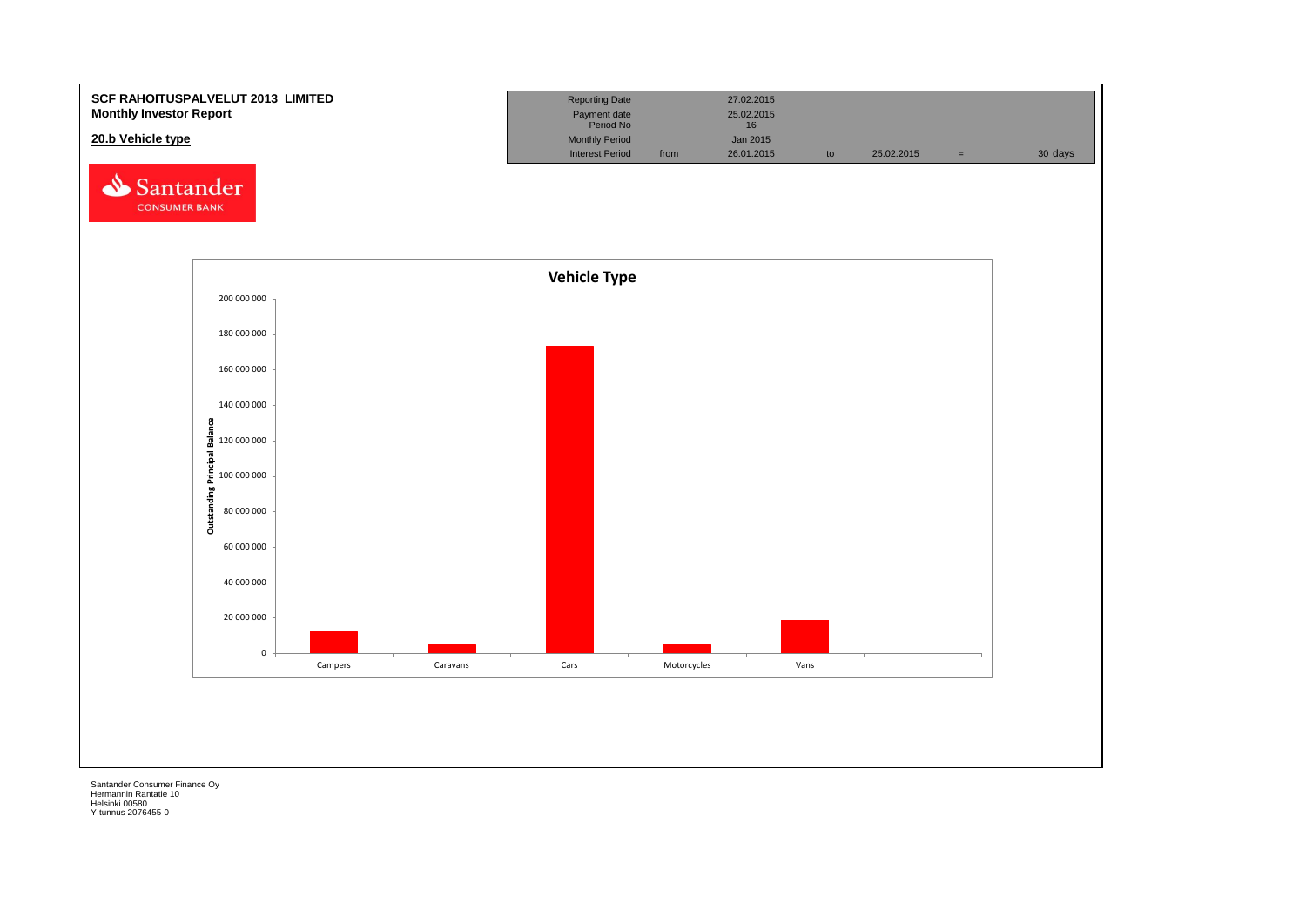![](_page_34_Figure_0.jpeg)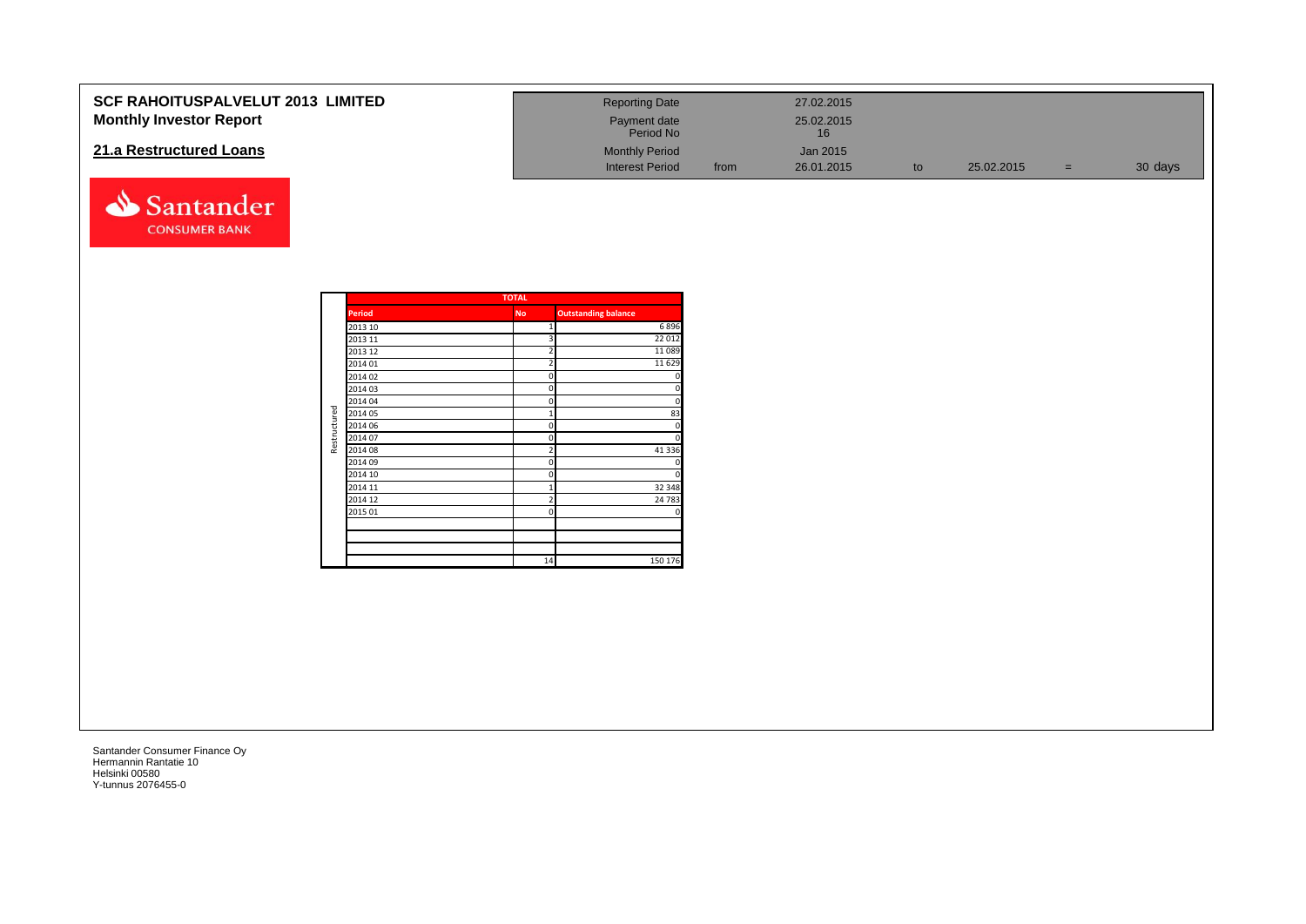| <b>SCF RAHOITUSPALVELUT 2013 LIMITED</b> | <b>Reporting Date</b>     |      | 27.02.2015 |            |     |         |
|------------------------------------------|---------------------------|------|------------|------------|-----|---------|
| <b>Monthly Investor Report</b>           | Payment date<br>Period No |      | 25.02.2015 |            |     |         |
| 21.a Restructured Loans                  | <b>Monthly Period</b>     |      | Jan 2015   |            |     |         |
|                                          | <b>Interest Period</b>    | from | 26.01.2015 | 25.02.2015 | $=$ | 30 days |

|                         |               | <b>TOTAL</b>   |                            |
|-------------------------|---------------|----------------|----------------------------|
|                         | <b>Period</b> | <b>No</b>      | <b>Outstanding balance</b> |
|                         | 2013 10       | 1              | 6896                       |
|                         | 2013 11       | 3              | 22 012                     |
|                         | 2013 12       | $\overline{2}$ | 11 0 89                    |
|                         | 2014 01       | $\overline{2}$ | 11 6 29                    |
|                         | 2014 02       | 0              | $\mathbf 0$                |
|                         | 2014 03       | 0              | $\overline{0}$             |
|                         | 2014 04       | 0              | $\mathbf 0$                |
| Restructured<br>2014 05 | 1             | 83             |                            |
|                         | 2014 06       | 0              | 0                          |
|                         | 2014 07       | 0              | $\overline{0}$             |
|                         | 2014 08       | $\overline{2}$ | 41 3 3 6                   |
|                         | 2014 09       | 0              | 0                          |
|                         | 2014 10       | 0              | $\overline{0}$             |
|                         | 2014 11       | 1              | 32 348                     |
|                         | 2014 12       | $\overline{2}$ | 24 783                     |
|                         | 2015 01       | 0              | 0                          |
|                         |               |                |                            |
|                         |               |                |                            |
|                         |               |                |                            |
|                         |               | 14             | 150 176                    |

Santander **CONSUMER BANK**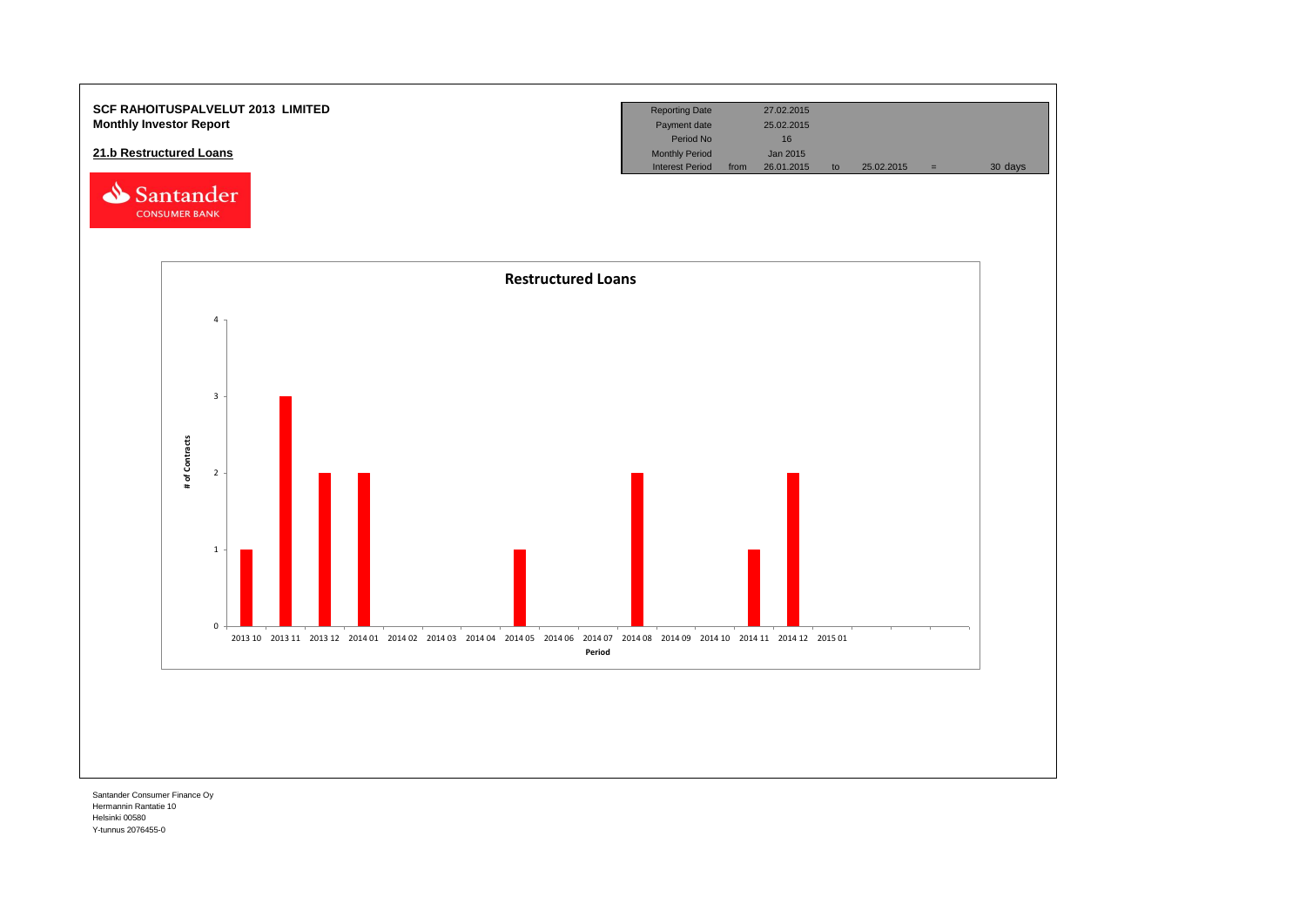![](_page_36_Figure_0.jpeg)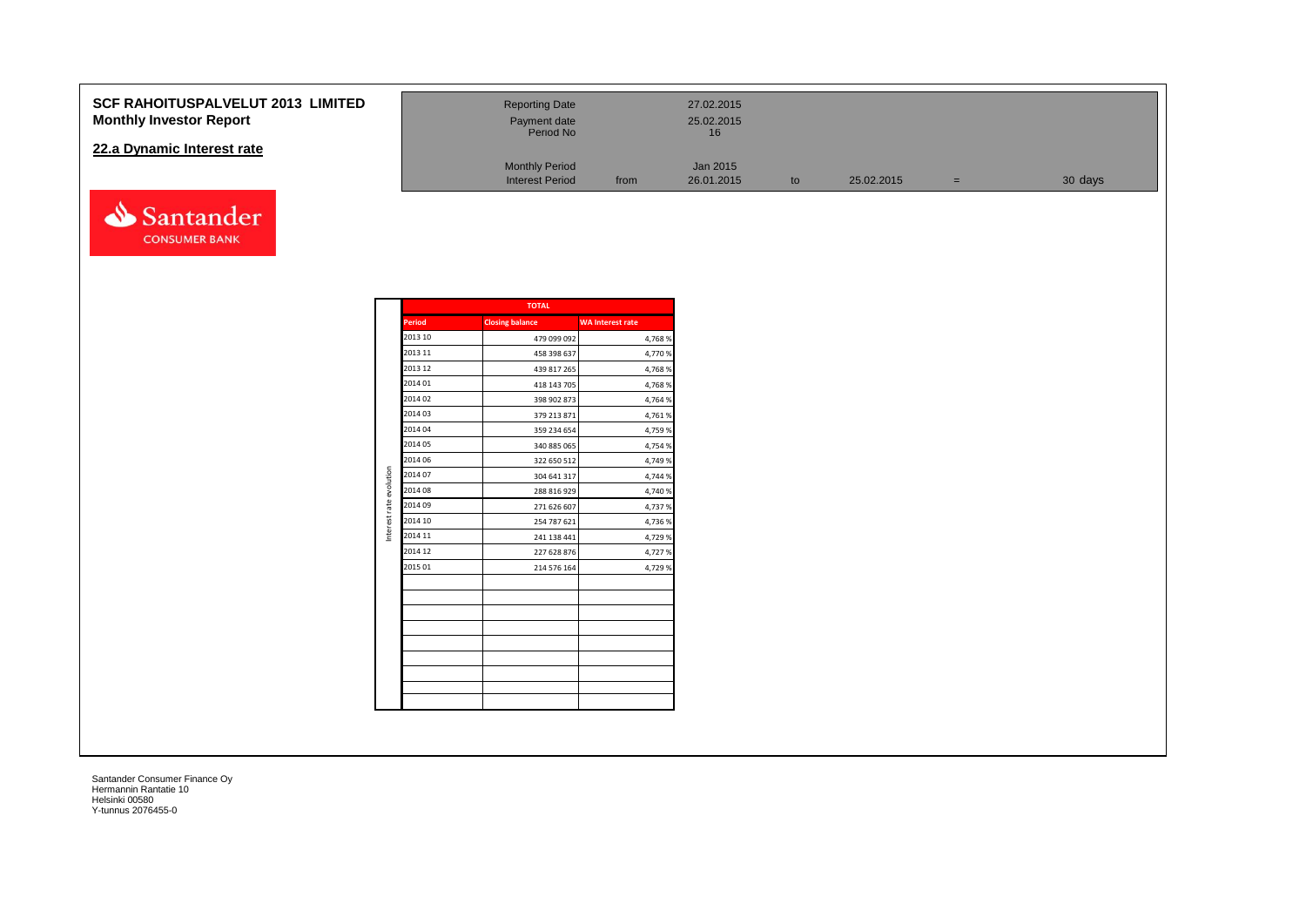#### **SCF RAHOITUSPALVELUT 2013 Monthly Investor Report**

#### **22.a Dynamic Interest rate**

![](_page_37_Picture_2.jpeg)

| <b>LIMITED</b> | <b>Reporting Date</b><br>Payment date<br>Period No |      | 27.02.2015<br>25.02.2015<br>16 |    |            |     |         |
|----------------|----------------------------------------------------|------|--------------------------------|----|------------|-----|---------|
|                | <b>Monthly Period</b><br><b>Interest Period</b>    | from | Jan 2015<br>26.01.2015         | to | 25.02.2015 | $=$ | 30 days |

|                         |               | <b>TOTAL</b>           |                         |
|-------------------------|---------------|------------------------|-------------------------|
|                         | <b>Period</b> | <b>Closing balance</b> | <b>WA Interest rate</b> |
|                         | 2013 10       | 479 099 092            | 4,768%                  |
|                         | 2013 11       | 458 398 637            | 4,770 %                 |
|                         | 2013 12       | 439 817 265            | 4,768%                  |
|                         | 2014 01       | 418 143 705            | 4,768%                  |
|                         | 2014 02       | 398 902 873            | 4,764 %                 |
|                         | 2014 03       | 379 213 871            | 4,761%                  |
|                         | 2014 04       | 359 234 654            | 4,759 %                 |
|                         | 2014 05       | 340 885 065            | 4,754 %                 |
|                         | 2014 06       | 322 650 512            | 4,749 %                 |
| Interest rate evolution | 2014 07       | 304 641 317            | 4,744 %                 |
|                         | 2014 08       | 288 816 929            | 4,740 %                 |
|                         | 2014 09       | 271 626 607            | 4,737%                  |
|                         | 2014 10       | 254 787 621            | 4,736 %                 |
|                         | 2014 11       | 241 138 441            | 4,729 %                 |
|                         | 2014 12       | 227 628 876            | 4,727 %                 |
|                         | 2015 01       | 214 576 164            | 4,729 %                 |
|                         |               |                        |                         |
|                         |               |                        |                         |
|                         |               |                        |                         |
|                         |               |                        |                         |
|                         |               |                        |                         |
|                         |               |                        |                         |
|                         |               |                        |                         |
|                         |               |                        |                         |
|                         |               |                        |                         |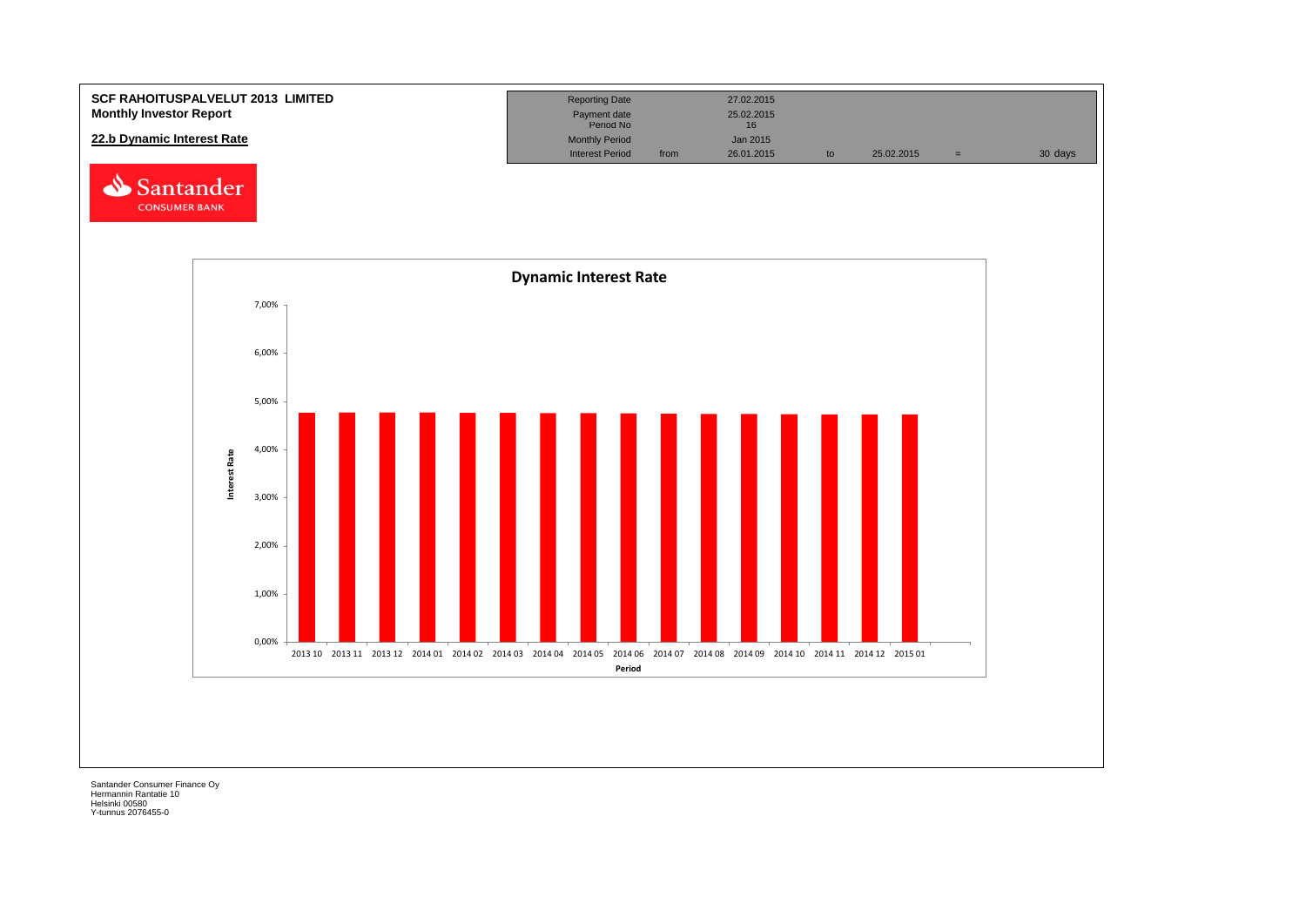![](_page_38_Figure_0.jpeg)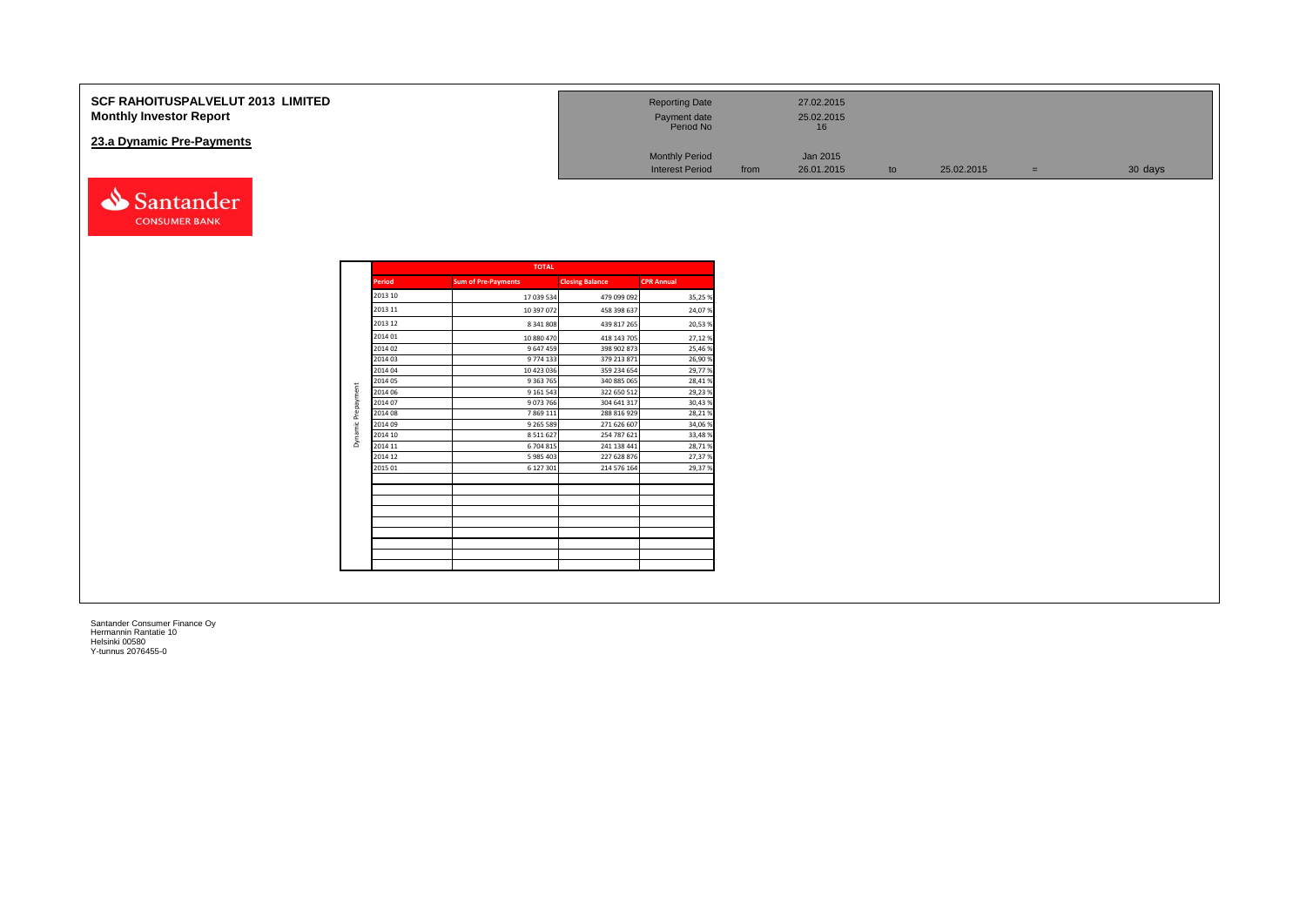| <b>SCF RAHOITUSPALVELUT 2013 LIMITED</b><br><b>Monthly Investor Report</b> | <b>Reporting Date</b><br>Payment date<br>Period No |      | 27.02.2015<br>25.02.2015 |               |            |     |         |
|----------------------------------------------------------------------------|----------------------------------------------------|------|--------------------------|---------------|------------|-----|---------|
| 23.a Dynamic Pre-Payments                                                  |                                                    |      |                          |               |            |     |         |
|                                                                            | <b>Monthly Period</b>                              |      | Jan 2015                 |               |            |     |         |
|                                                                            | <b>Interest Period</b>                             | from | 26.01.2015               | $\mathsf{to}$ | 25.02.2015 | $=$ | 30 days |

|               | <b>TOTAL</b>               |                        |                   |
|---------------|----------------------------|------------------------|-------------------|
| <b>Period</b> | <b>Sum of Pre-Payments</b> | <b>Closing Balance</b> | <b>CPR Annual</b> |
| 2013 10       | 17 039 534                 | 479 099 092            | 35,25%            |
| 2013 11       | 10 397 072                 | 458 398 637            | 24,07%            |
| 2013 12       | 8 341 808                  | 439 817 265            | 20,53%            |
| 2014 01       | 10 880 470                 | 418 143 705            | 27,12%            |
| 2014 02       | 9 647 459                  | 398 902 873            | 25,46%            |
| 2014 03       | 9774 133                   | 379 213 871            | 26,90%            |
| 2014 04       | 10 423 036                 | 359 234 654            | 29,77%            |
| 2014 05       | 9 3 63 7 65                | 340 885 065            | 28,41%            |
| 2014 06       | 9 161 543                  | 322 650 512            | 29,23%            |
| 2014 07       | 9073766                    | 304 641 317            | 30,43%            |
| 2014 08       | 7 869 111                  | 288 816 929            | 28,21%            |
| 2014 09       | 9 2 6 5 5 8 9              | 271 626 607            | 34,06%            |
| 2014 10       | 8 5 1 1 6 2 7              | 254 787 621            | 33,48%            |
| 2014 11       | 6 704 815                  | 241 138 441            | 28,71%            |
| 2014 12       | 5 985 403                  | 227 628 876            | 27,37%            |
| 2015 01       | 6 127 301                  | 214 576 164            | 29,37%            |
|               |                            |                        |                   |
|               |                            |                        |                   |
|               |                            |                        |                   |
|               |                            |                        |                   |
|               |                            |                        |                   |

Santander **CONSUMER BANK**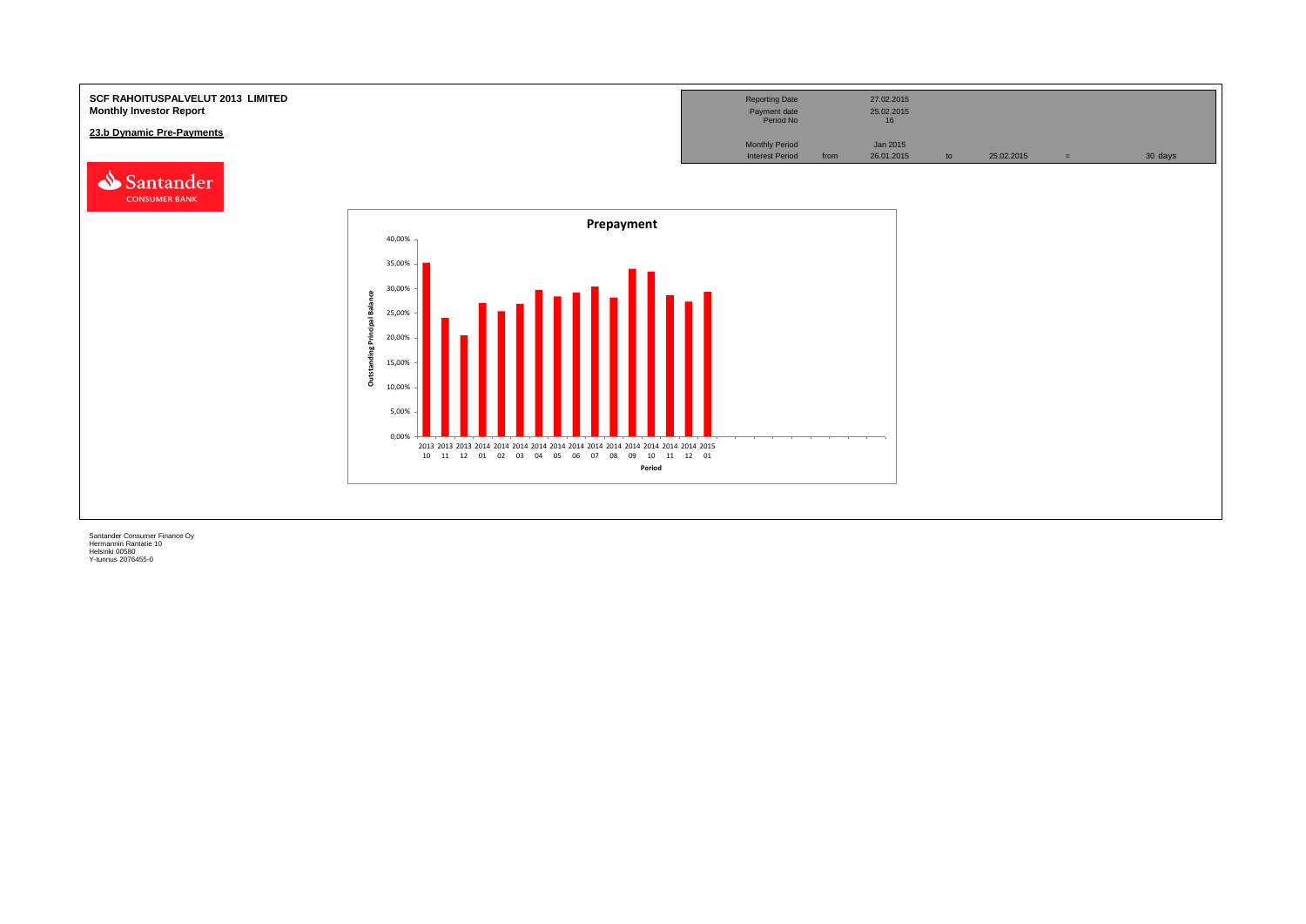![](_page_40_Figure_0.jpeg)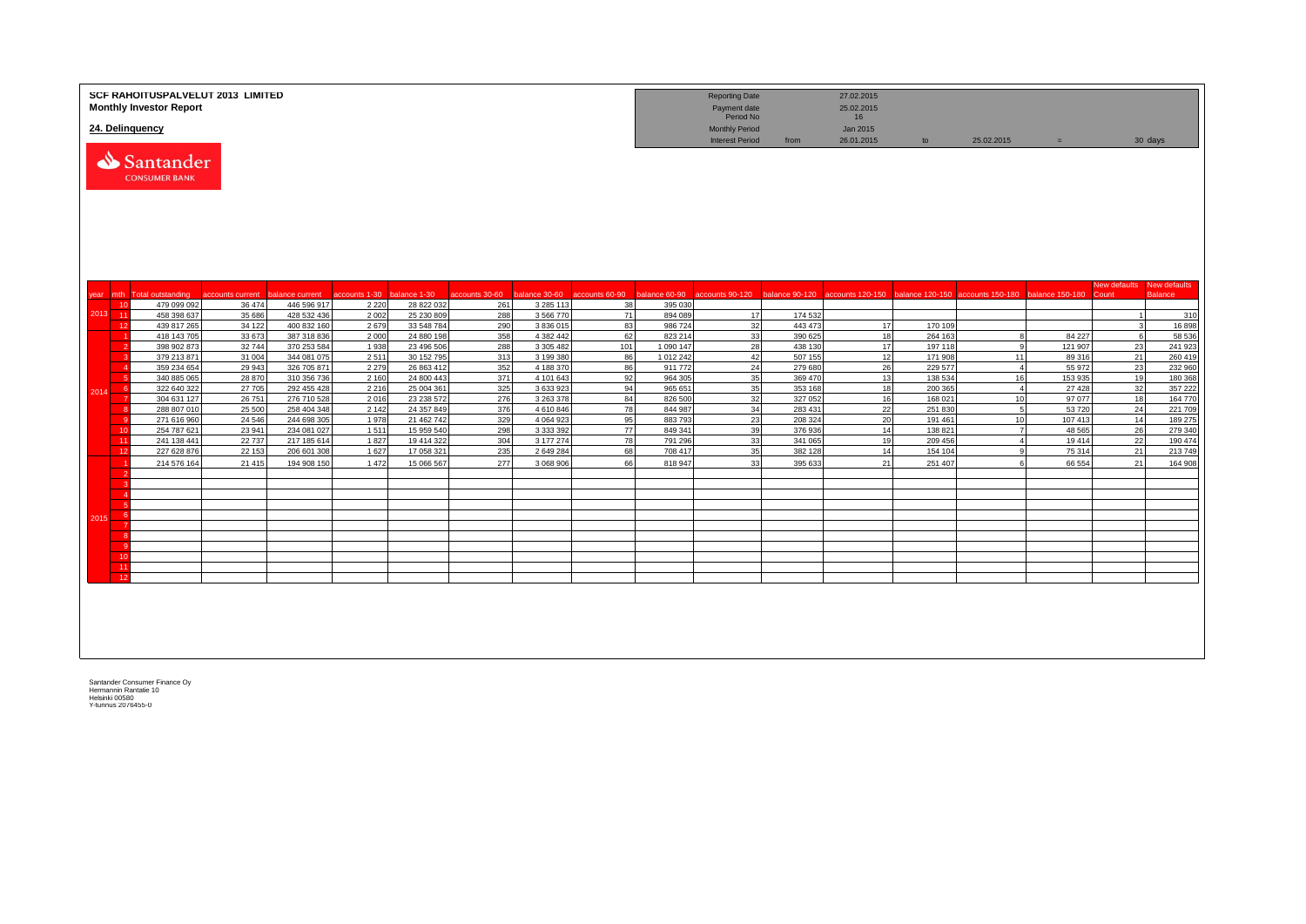| 24. Delinquency |            | <b>Monthly Investor Report</b>    | <b>SCF RAHOITUSPALVELUT 2013 LIMITED</b> |                            |                    |                          |                |                        |                              |                    | <b>Reporting Date</b><br>Payment date<br>Period No<br><b>Monthly Period</b> |                    | 27.02.2015<br>25.02.2015<br>16<br>Jan 2015 |                    |                                                                                                                      |                    |                |                                |
|-----------------|------------|-----------------------------------|------------------------------------------|----------------------------|--------------------|--------------------------|----------------|------------------------|------------------------------|--------------------|-----------------------------------------------------------------------------|--------------------|--------------------------------------------|--------------------|----------------------------------------------------------------------------------------------------------------------|--------------------|----------------|--------------------------------|
|                 |            | Santander<br><b>CONSUMER BANK</b> |                                          |                            |                    |                          |                |                        |                              |                    | <b>Interest Period</b>                                                      | from               | 26.01.2015                                 | to                 | 25.02.2015                                                                                                           | $\equiv$           |                | 30 days                        |
|                 |            | year mth Total outstanding        | accounts current                         | balance current            | accounts 1-30      | balance 1-30             | accounts 30-60 |                        | balance 30-60 accounts 60-90 |                    |                                                                             |                    |                                            |                    | balance 60-90 accounts 90-120 balance 90-120 accounts 120-150 balance 120-150 accounts 150-180 balance 150-180 Count |                    | New defaults   | New defaults<br><b>Balance</b> |
|                 | 10         | 479 099 092                       | 36 474                                   | 446 596 917                | 2 2 2 0            | 28 822 032               | 261            | 3 2 8 5 1 1 3          | 38                           | 395 030            |                                                                             |                    |                                            |                    |                                                                                                                      |                    |                |                                |
| 2013 11         |            | 458 398 637                       | 35 686                                   | 428 532 436                | 2 0 0 2            | 25 230 809               | 288            | 3 5 6 7 7 0            | 71                           | 894 089            | 17                                                                          | 174 532            |                                            |                    |                                                                                                                      |                    | $\overline{1}$ | 310                            |
|                 | 12         | 439 817 265                       | 34 122                                   | 400 832 160                | 2679               | 33 548 784               | 290            | 3836015                | 83                           | 986724             | 32                                                                          | 443 473            | 17                                         | 170 109            |                                                                                                                      |                    | $\mathbf{3}$   | 16898                          |
|                 |            | 418 143 705                       | 33 673                                   | 387 318 836                | 2 0 0 0            | 24 880 198               | 358            | 4 382 442              | 62                           | 823 214            | 33                                                                          | 390 625            | 18                                         | 264 163            |                                                                                                                      | 84 227             | 6              | 58 536                         |
|                 |            | 398 902 873                       | 32744                                    | 370 253 584                | 1 9 3 8            | 23 496 506               | 288            | 3 305 482              | 101                          | 1 090 147          | 28                                                                          | 438 130            | 17                                         | 197 118            | $\alpha$                                                                                                             | 121 907            | 23             | 241 923                        |
|                 |            | 379 213 871                       | 31 004                                   | 344 081 075                | 2511               | 30 152 795               | 313            | 3 199 380              | 86                           | 1 012 242          | 42                                                                          | 507 155            | 12                                         | 171 908            | 11                                                                                                                   | 89 316             | 21             | 260 419                        |
|                 |            | 359 234 654                       | 29 943                                   | 326 705 871                | 2 2 7 9            | 26 863 412               | 352            | 4 188 370              | 86                           | 911772             | 24                                                                          | 279 680            | 26                                         | 229 577            | $\overline{4}$                                                                                                       | 55 972             | 23             | 232 960                        |
|                 | -6         | 340 885 065<br>322 640 322        | 28 870                                   | 310 356 736                | 2 1 6 0<br>2 2 1 6 | 24 800 443               | 371            | 4 101 643<br>3 633 923 | 92<br>94                     | 964 305<br>965 651 | 35<br>35                                                                    | 369 470<br>353 168 | 13                                         | 138 534            | 16<br>$\overline{4}$                                                                                                 | 153 935<br>27 4 28 | 19<br>32       | 180 368                        |
| 2014            |            | 304 631 127                       | 27 705<br>26 751                         | 292 455 428<br>276 710 528 | 2016               | 25 004 361<br>23 238 572 | 325<br>276     | 3 263 378              | 84                           | 826 500            | 32                                                                          | 327 052            | 18<br>16                                   | 200 365<br>168 021 | 10                                                                                                                   | 97 077             | 18             | 357 222<br>164 770             |
|                 |            | 288 807 010                       | 25 500                                   | 258 404 348                | 2 1 4 2            | 24 357 849               | 376            | 4 610 846              | 78                           | 844 987            | 34                                                                          | 283 431            | 22                                         | 251 830            | $5^{\circ}$                                                                                                          | 53720              | 24             | 221 709                        |
|                 |            | 271 616 960                       | 24 5 46                                  | 244 698 305                | 1978               | 21 462 742               | 329            | 4 0 6 4 9 2 3          | 95                           | 883793             | 23                                                                          | 208 324            | 20                                         | 191 461            | 10                                                                                                                   | 107 413            | 14             | 189 275                        |
|                 | 10         | 254 787 621                       | 23 941                                   | 234 081 027                | 1511               | 15 959 540               | 298            | 3 3 3 3 3 9 2          | 77                           | 849 341            | 39                                                                          | 376 936            | 14                                         | 138 821            | $\overline{7}$                                                                                                       | 48 5 65            | 26             | 279 340                        |
|                 | -11        | 241 138 441                       | 22 7 37                                  | 217 185 614                | 1827               | 19 414 322               | 304            | 3 177 274              | 78                           | 791 296            | 33                                                                          | 341 065            | 19                                         | 209 456            | $\overline{4}$                                                                                                       | 19414              | 22             | 190 474                        |
|                 | 12         | 227 628 876                       | 22 153                                   | 206 601 308                | 1627               | 17 058 321               | 235            | 2 649 284              | 68                           | 708 417            | 35                                                                          | 382 128            | 14                                         | 154 104            | $\alpha$                                                                                                             | 75 314             | 21             | 213 749                        |
|                 |            | 214 576 164                       | 21 4 15                                  | 194 908 150                | 1472               | 15 066 567               | 277            | 3 068 906              | 66                           | 818 947            | 33                                                                          | 395 633            | 21                                         | 251 407            |                                                                                                                      | 66 554             | 21             | 164 908                        |
|                 |            |                                   |                                          |                            |                    |                          |                |                        |                              |                    |                                                                             |                    |                                            |                    |                                                                                                                      |                    |                |                                |
|                 |            |                                   |                                          |                            |                    |                          |                |                        |                              |                    |                                                                             |                    |                                            |                    |                                                                                                                      |                    |                |                                |
|                 |            |                                   |                                          |                            |                    |                          |                |                        |                              |                    |                                                                             |                    |                                            |                    |                                                                                                                      |                    |                |                                |
|                 | $\sqrt{6}$ |                                   |                                          |                            |                    |                          |                |                        |                              |                    |                                                                             |                    |                                            |                    |                                                                                                                      |                    |                |                                |
| 2015            |            |                                   |                                          |                            |                    |                          |                |                        |                              |                    |                                                                             |                    |                                            |                    |                                                                                                                      |                    |                |                                |
|                 |            |                                   |                                          |                            |                    |                          |                |                        |                              |                    |                                                                             |                    |                                            |                    |                                                                                                                      |                    |                |                                |
|                 |            |                                   |                                          |                            |                    |                          |                |                        |                              |                    |                                                                             |                    |                                            |                    |                                                                                                                      |                    |                |                                |
|                 | 10         |                                   |                                          |                            |                    |                          |                |                        |                              |                    |                                                                             |                    |                                            |                    |                                                                                                                      |                    |                |                                |
|                 | 11         |                                   |                                          |                            |                    |                          |                |                        |                              |                    |                                                                             |                    |                                            |                    |                                                                                                                      |                    |                |                                |
|                 | 12         |                                   |                                          |                            |                    |                          |                |                        |                              |                    |                                                                             |                    |                                            |                    |                                                                                                                      |                    |                |                                |
|                 |            |                                   |                                          |                            |                    |                          |                |                        |                              |                    |                                                                             |                    |                                            |                    |                                                                                                                      |                    |                |                                |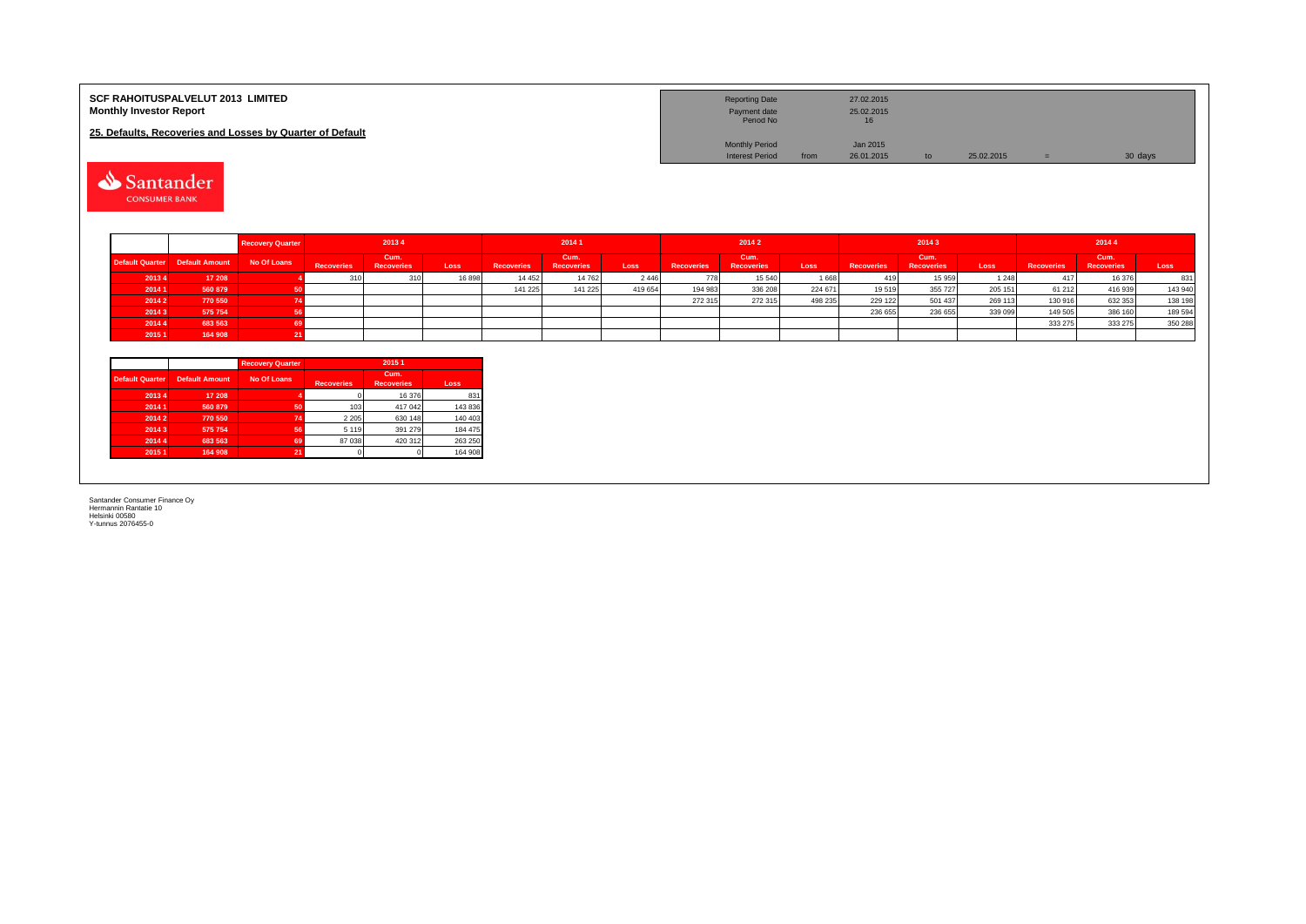| <b>SCF RAHOITUSPALVELUT 2013 LIMITED</b><br><b>Monthly Investor Report</b> | <b>Reporting Date</b><br>Payment date<br>Period No |      | 27.02.2015<br>25.02.2015<br>16 |            |         |
|----------------------------------------------------------------------------|----------------------------------------------------|------|--------------------------------|------------|---------|
| 25. Defaults, Recoveries and Losses by Quarter of Default                  |                                                    |      |                                |            |         |
|                                                                            | <b>Monthly Period</b>                              |      | Jan 2015                       |            |         |
|                                                                            | <b>Interest Period</b>                             | from | 26.01.2015                     | 25.02.2015 | 30 days |

Santander

|                        |                | <b>Recovery Quarter</b> |                   | 20134              |       |                   | 20141                     |         |                   | 2014 2                    |         |                   | 20143                     |         |                   | 20144                     |         |
|------------------------|----------------|-------------------------|-------------------|--------------------|-------|-------------------|---------------------------|---------|-------------------|---------------------------|---------|-------------------|---------------------------|---------|-------------------|---------------------------|---------|
| <b>Default Quarter</b> | Default Amount | No Of Loans             | <b>Recoveries</b> | Cum.<br>Recoveries | Loss  | <b>Recoveries</b> | Cum.<br><b>Recoveries</b> | Loss    | <b>Recoveries</b> | Cum.<br><b>Recoveries</b> | Loss    | <b>Recoveries</b> | Cum.<br><b>Recoveries</b> | Loss    | <b>Recoveries</b> | Cum.<br><b>Recoveries</b> | Loss    |
| 20134                  | 17 208         |                         |                   | 310                | 16898 | 14 4 5 2          | 14 762                    | 2 4 4 6 | 778               | 15 540                    | 1668    |                   | 15 959                    | 1 2 4 8 |                   | 16 376                    | 831     |
| 2014 1                 | 560 879        |                         |                   |                    |       | 141 225           | 141 225                   | 419 654 | 194 983           | 336 208                   | 224 671 | 19519             | 355 727                   | 205 151 | 61 21 2           | 416 939                   | 143 940 |
| 2014 2                 | 770 550        |                         |                   |                    |       |                   |                           |         | 272 315           | 272 315                   | 498 235 | 229 122           | 501 437                   | 269 113 | 130 916           | 632 353                   | 138 198 |
| 20143                  | 575 754        |                         |                   |                    |       |                   |                           |         |                   |                           |         | 236 655           | 236 655                   | 339 099 | 149 505           | 386 160                   | 189 594 |
| 2014 4                 | 683 563        |                         |                   |                    |       |                   |                           |         |                   |                           |         |                   |                           |         | 333 275           | 333 275                   | 350 288 |
| 2015 1                 | 164 908        |                         |                   |                    |       |                   |                           |         |                   |                           |         |                   |                           |         |                   |                           |         |

|                        |                       | <b>Recovery Quarter</b> | 2015 1            |                           |         |  |  |  |  |
|------------------------|-----------------------|-------------------------|-------------------|---------------------------|---------|--|--|--|--|
| <b>Default Quarter</b> | <b>Default Amount</b> | No Of Loans             | <b>Recoveries</b> | Cum.<br><b>Recoveries</b> | Loss    |  |  |  |  |
| 2013 4                 | 17 208                |                         |                   | 16 376                    | 831     |  |  |  |  |
| 2014 1                 | 560 879               | 50                      | 103               | 417 042                   | 143 836 |  |  |  |  |
| 2014 2                 | 770 550               | 74                      | 2 2 0 5           | 630 148                   | 140 403 |  |  |  |  |
| 2014 3                 | 575 754               | 56                      | 5 1 1 9           | 391 279                   | 184 475 |  |  |  |  |
| 2014 4                 | 683 563               | 69                      | 87 038            | 420 312                   | 263 250 |  |  |  |  |
| 2015 1                 | 164 908               | 21                      |                   |                           | 164 908 |  |  |  |  |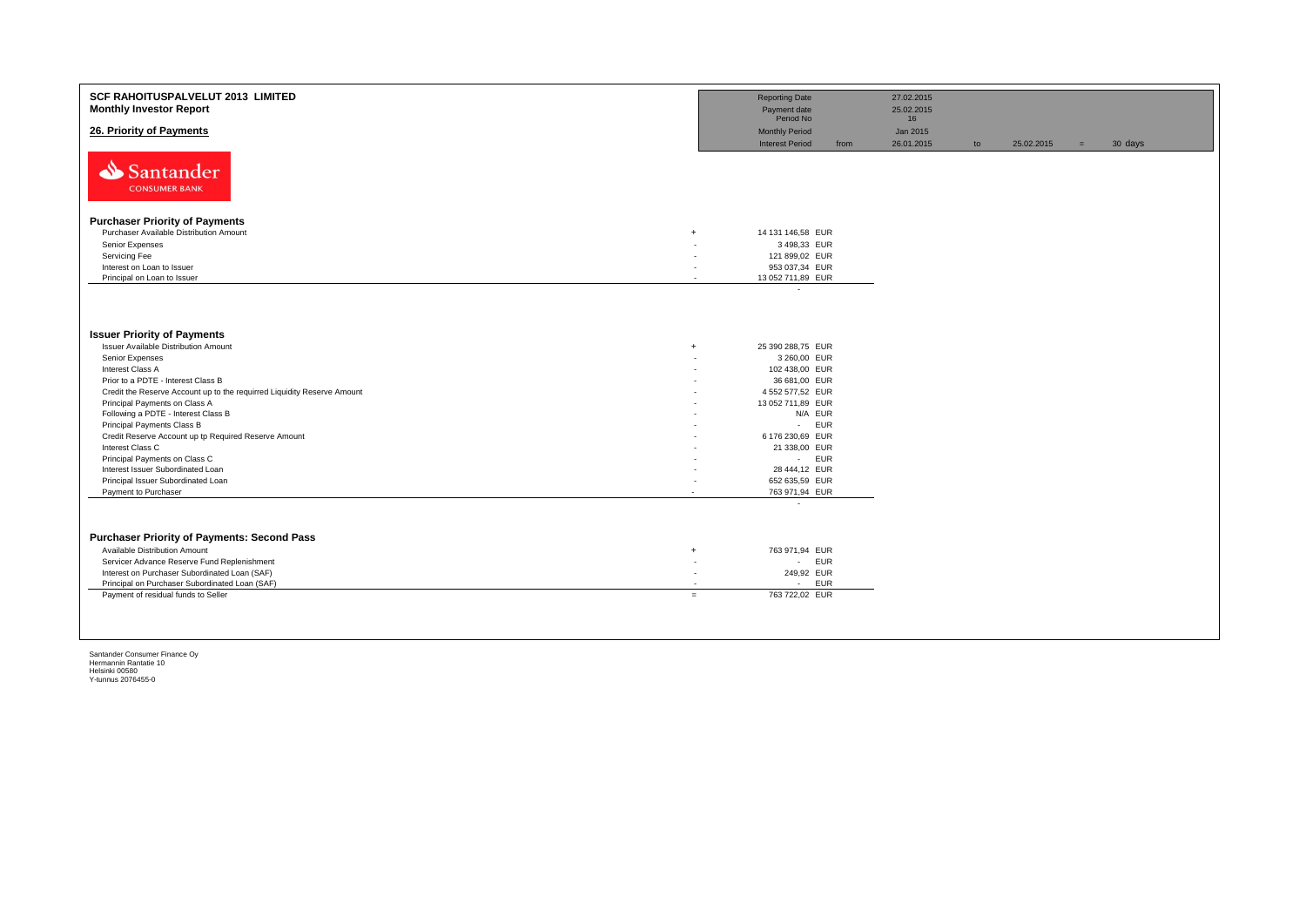| SCF RAHOITUSPALVELUT 2013 LIMITED<br><b>Monthly Investor Report</b>     | <b>Reporting Date</b><br>Payment date                           |            | 27.02.2015<br>25.02.2015 |    |            |     |         |
|-------------------------------------------------------------------------|-----------------------------------------------------------------|------------|--------------------------|----|------------|-----|---------|
| 26. Priority of Payments                                                | Period No<br><b>Monthly Period</b>                              |            | 16<br>Jan 2015           |    |            |     |         |
| Santander<br><b>CONSUMER BANK</b>                                       | <b>Interest Period</b>                                          | from       | 26.01.2015               | to | 25.02.2015 | $=$ | 30 days |
|                                                                         |                                                                 |            |                          |    |            |     |         |
| <b>Purchaser Priority of Payments</b>                                   |                                                                 |            |                          |    |            |     |         |
| Purchaser Available Distribution Amount<br>$\overline{+}$               | 14 131 146,58 EUR                                               |            |                          |    |            |     |         |
| Senior Expenses                                                         | 3 498,33 EUR                                                    |            |                          |    |            |     |         |
| Servicing Fee                                                           | 121 899,02 EUR                                                  |            |                          |    |            |     |         |
| Interest on Loan to Issuer<br>Principal on Loan to Issuer               | 953 037,34 EUR<br>13 052 711,89 EUR<br>$\overline{\phantom{a}}$ |            |                          |    |            |     |         |
|                                                                         | $\overline{\phantom{a}}$                                        |            |                          |    |            |     |         |
|                                                                         |                                                                 |            |                          |    |            |     |         |
| <b>Issuer Priority of Payments</b>                                      |                                                                 |            |                          |    |            |     |         |
| Issuer Available Distribution Amount<br>$\overline{+}$                  | 25 390 288,75 EUR                                               |            |                          |    |            |     |         |
| Senior Expenses                                                         | 3 260,00 EUR                                                    |            |                          |    |            |     |         |
| Interest Class A                                                        | 102 438,00 EUR                                                  |            |                          |    |            |     |         |
| Prior to a PDTE - Interest Class B                                      | 36 681,00 EUR                                                   |            |                          |    |            |     |         |
| Credit the Reserve Account up to the requirred Liquidity Reserve Amount | 4 552 577,52 EUR                                                |            |                          |    |            |     |         |
| Principal Payments on Class A                                           | 13 052 711,89 EUR                                               |            |                          |    |            |     |         |
| Following a PDTE - Interest Class B                                     |                                                                 | N/A EUR    |                          |    |            |     |         |
| Principal Payments Class B                                              | $\sim 100$                                                      | <b>EUR</b> |                          |    |            |     |         |
| Credit Reserve Account up tp Required Reserve Amount                    | 6 176 230,69 EUR                                                |            |                          |    |            |     |         |
| Interest Class C                                                        | 21 338,00 EUR                                                   |            |                          |    |            |     |         |
| Principal Payments on Class C                                           |                                                                 | - EUR      |                          |    |            |     |         |
| Interest Issuer Subordinated Loan                                       | 28 444,12 EUR                                                   |            |                          |    |            |     |         |
| Principal Issuer Subordinated Loan                                      | 652 635,59 EUR                                                  |            |                          |    |            |     |         |
| Payment to Purchaser<br>$\overline{\phantom{a}}$                        | 763 971,94 EUR                                                  |            |                          |    |            |     |         |
|                                                                         | $\overline{\phantom{a}}$                                        |            |                          |    |            |     |         |
| <b>Purchaser Priority of Payments: Second Pass</b>                      |                                                                 |            |                          |    |            |     |         |
| Available Distribution Amount<br>$\overline{+}$                         | 763 971,94 EUR                                                  |            |                          |    |            |     |         |
| Servicer Advance Reserve Fund Replenishment                             | $\sim$<br>٠                                                     | <b>EUR</b> |                          |    |            |     |         |
| Interest on Purchaser Subordinated Loan (SAF)                           | 249,92 EUR<br>٠                                                 |            |                          |    |            |     |         |
| Principal on Purchaser Subordinated Loan (SAF)                          | $\sim$                                                          | EUR        |                          |    |            |     |         |
| Payment of residual funds to Seller                                     | 763 722,02 EUR<br>$=$                                           |            |                          |    |            |     |         |
|                                                                         |                                                                 |            |                          |    |            |     |         |
|                                                                         |                                                                 |            |                          |    |            |     |         |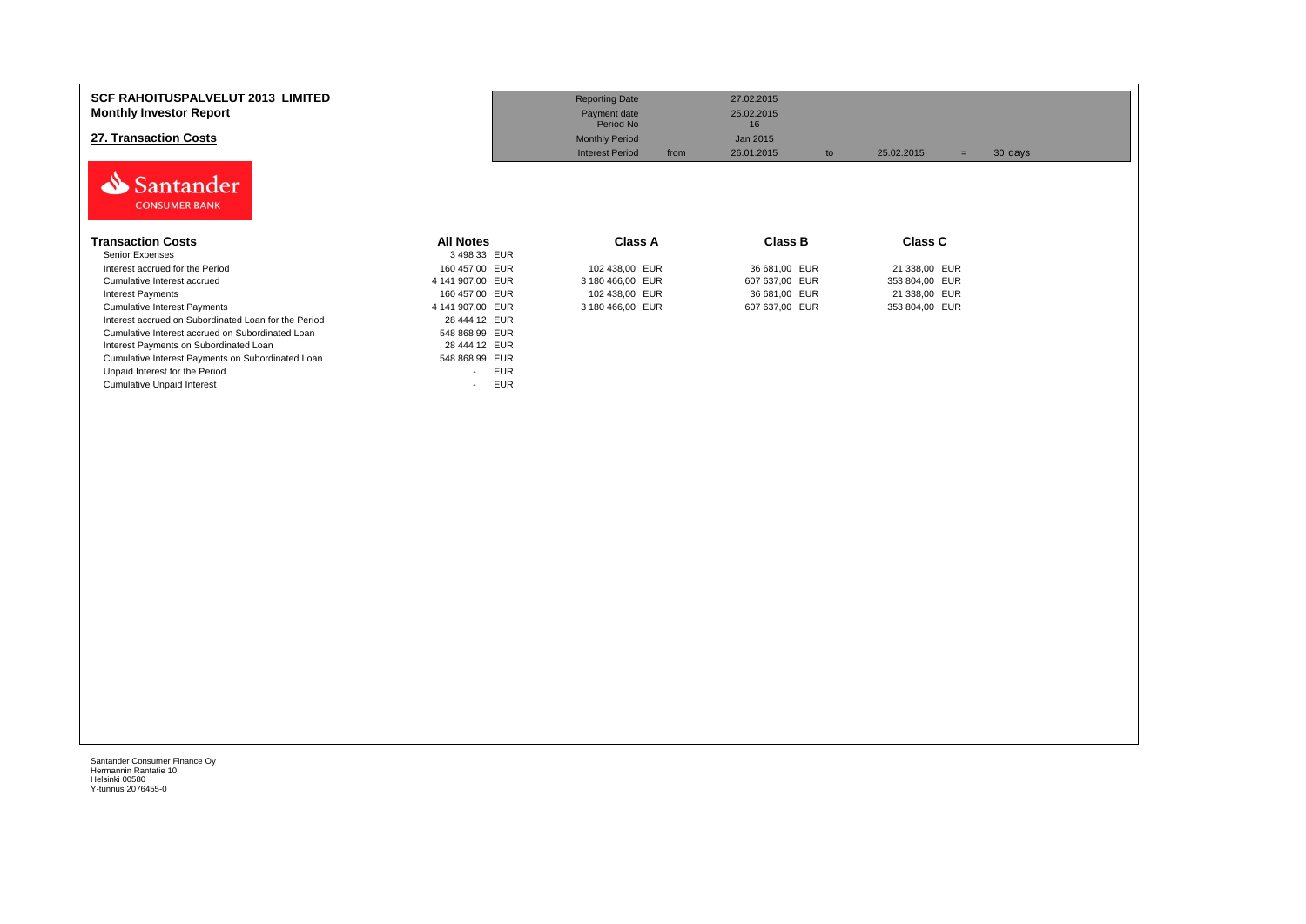| <b>SCF RAHOITUSPALVELUT 2013 LIMITED</b><br><b>Monthly Investor Report</b><br>27. Transaction Costs<br>Santander<br><b>CONSUMER BANK</b> |                                        | <b>Reporting Date</b><br>Payment date<br>Period No<br><b>Monthly Period</b><br><b>Interest Period</b><br>from | 27.02.2015<br>25.02.2015<br>16<br>Jan 2015<br>26.01.2015<br>to | 25.02.2015<br>$=$ | 30 days |
|------------------------------------------------------------------------------------------------------------------------------------------|----------------------------------------|---------------------------------------------------------------------------------------------------------------|----------------------------------------------------------------|-------------------|---------|
| <b>Transaction Costs</b>                                                                                                                 | <b>All Notes</b>                       | Class A                                                                                                       | Class B                                                        | <b>Class C</b>    |         |
| Senior Expenses                                                                                                                          | 3 498,33 EUR                           |                                                                                                               |                                                                |                   |         |
| Interest accrued for the Period                                                                                                          | 160 457,00 EUR                         | 102 438,00 EUR                                                                                                | 36 681,00 EUR                                                  | 21 338,00 EUR     |         |
| Cumulative Interest accrued                                                                                                              | 4 141 907,00 EUR                       | 3 180 466,00 EUR                                                                                              | 607 637,00 EUR                                                 | 353 804,00 EUR    |         |
| <b>Interest Payments</b>                                                                                                                 | 160 457,00 EUR                         | 102 438,00 EUR                                                                                                | 36 681,00 EUR                                                  | 21 338,00 EUR     |         |
| <b>Cumulative Interest Payments</b>                                                                                                      | 4 141 907,00 EUR                       | 3 180 466,00 EUR                                                                                              | 607 637,00 EUR                                                 | 353 804,00 EUR    |         |
| Interest accrued on Subordinated Loan for the Period                                                                                     | 28 444,12 EUR                          |                                                                                                               |                                                                |                   |         |
| Cumulative Interest accrued on Subordinated Loan                                                                                         | 548 868,99 EUR                         |                                                                                                               |                                                                |                   |         |
| Interest Payments on Subordinated Loan                                                                                                   | 28 444,12 EUR                          |                                                                                                               |                                                                |                   |         |
| Cumulative Interest Payments on Subordinated Loan                                                                                        | 548 868,99 EUR                         |                                                                                                               |                                                                |                   |         |
| Unpaid Interest for the Period                                                                                                           | <b>EUR</b><br>$\overline{\phantom{a}}$ |                                                                                                               |                                                                |                   |         |
| <b>Cumulative Unpaid Interest</b>                                                                                                        | <b>EUR</b><br>$\overline{\phantom{a}}$ |                                                                                                               |                                                                |                   |         |